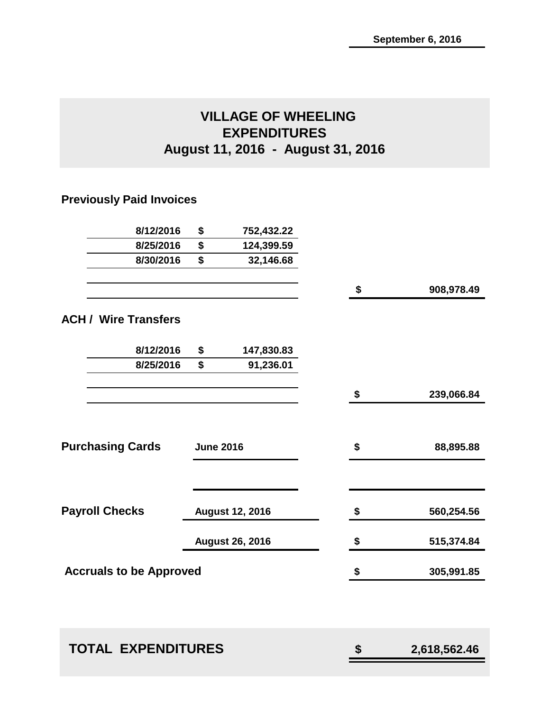## **VILLAGE OF WHEELING EXPENDITURES August 11, 2016 - August 31, 2016**

## **Previously Paid Invoices**

| 8/12/2016                      | \$               | 752,432.22             |                  |
|--------------------------------|------------------|------------------------|------------------|
| 8/25/2016                      | \$               | 124,399.59             |                  |
| 8/30/2016                      | \$               | 32,146.68              |                  |
|                                |                  |                        | \$<br>908,978.49 |
| <b>ACH / Wire Transfers</b>    |                  |                        |                  |
| 8/12/2016                      | \$               | 147,830.83             |                  |
| 8/25/2016                      | \$               | 91,236.01              |                  |
|                                |                  |                        | \$<br>239,066.84 |
| <b>Purchasing Cards</b>        | <b>June 2016</b> |                        | \$<br>88,895.88  |
|                                |                  |                        |                  |
| <b>Payroll Checks</b>          |                  | <b>August 12, 2016</b> | \$<br>560,254.56 |
|                                |                  | <b>August 26, 2016</b> | \$<br>515,374.84 |
| <b>Accruals to be Approved</b> |                  |                        | \$<br>305,991.85 |
|                                |                  |                        |                  |

| <b>TOTAL EXPENDITURES</b> |  | 2,618,562.46 |
|---------------------------|--|--------------|
|---------------------------|--|--------------|

| \$ | 2,618,562.46 |
|----|--------------|
|----|--------------|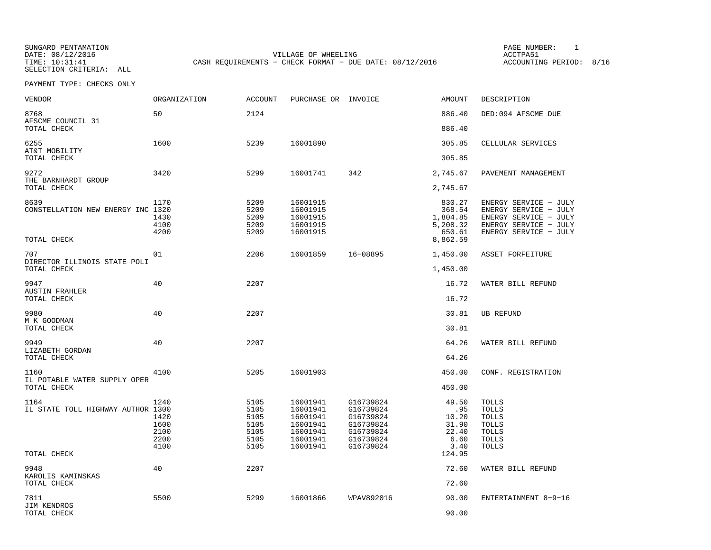SELECTION CRITERIA: ALL

SUNGARD PENTAMATION PAGE NUMBER: 1DATE: 08/12/2016 VILLAGE OF WHEELING ACCTPA51CASH REQUIREMENTS - CHECK FORMAT - DUE DATE: 08/12/2016

ACCOUNTING PERIOD: 8/16

| <b>VENDOR</b>                                            | ORGANIZATION                                 | ACCOUNT                                              | PURCHASE OR INVOICE                                                              |                                                                                         | <b>AMOUNT</b>                                                  | DESCRIPTION                                                                                                               |
|----------------------------------------------------------|----------------------------------------------|------------------------------------------------------|----------------------------------------------------------------------------------|-----------------------------------------------------------------------------------------|----------------------------------------------------------------|---------------------------------------------------------------------------------------------------------------------------|
| 8768<br>AFSCME COUNCIL 31                                | 50                                           | 2124                                                 |                                                                                  |                                                                                         | 886.40                                                         | DED:094 AFSCME DUE                                                                                                        |
| TOTAL CHECK                                              |                                              |                                                      |                                                                                  |                                                                                         | 886.40                                                         |                                                                                                                           |
| 6255                                                     | 1600                                         | 5239                                                 | 16001890                                                                         |                                                                                         | 305.85                                                         | CELLULAR SERVICES                                                                                                         |
| AT&T MOBILITY<br>TOTAL CHECK                             |                                              |                                                      |                                                                                  |                                                                                         | 305.85                                                         |                                                                                                                           |
| 9272<br>THE BARNHARDT GROUP                              | 3420                                         | 5299                                                 | 16001741                                                                         | 342                                                                                     | 2,745.67                                                       | PAVEMENT MANAGEMENT                                                                                                       |
| TOTAL CHECK                                              |                                              |                                                      |                                                                                  |                                                                                         | 2,745.67                                                       |                                                                                                                           |
| 8639<br>CONSTELLATION NEW ENERGY INC 1320<br>TOTAL CHECK | 1170<br>1430<br>4100<br>4200                 | 5209<br>5209<br>5209<br>5209<br>5209                 | 16001915<br>16001915<br>16001915<br>16001915<br>16001915                         |                                                                                         | 830.27<br>368.54<br>1,804.85<br>5,208.32<br>650.61<br>8,862.59 | ENERGY SERVICE - JULY<br>ENERGY SERVICE - JULY<br>ENERGY SERVICE - JULY<br>ENERGY SERVICE - JULY<br>ENERGY SERVICE - JULY |
| 707                                                      | 01                                           | 2206                                                 | 16001859                                                                         | 16-08895                                                                                | 1,450.00                                                       | ASSET FORFEITURE                                                                                                          |
| DIRECTOR ILLINOIS STATE POLI<br>TOTAL CHECK              |                                              |                                                      |                                                                                  |                                                                                         | 1,450.00                                                       |                                                                                                                           |
| 9947                                                     | 40                                           | 2207                                                 |                                                                                  |                                                                                         | 16.72                                                          | WATER BILL REFUND                                                                                                         |
| <b>AUSTIN FRAHLER</b><br>TOTAL CHECK                     |                                              |                                                      |                                                                                  |                                                                                         | 16.72                                                          |                                                                                                                           |
| 9980<br>M K GOODMAN                                      | 40                                           | 2207                                                 |                                                                                  |                                                                                         | 30.81                                                          | UB REFUND                                                                                                                 |
| TOTAL CHECK                                              |                                              |                                                      |                                                                                  |                                                                                         | 30.81                                                          |                                                                                                                           |
| 9949<br>LIZABETH GORDAN<br>TOTAL CHECK                   | 40                                           | 2207                                                 |                                                                                  |                                                                                         | 64.26<br>64.26                                                 | WATER BILL REFUND                                                                                                         |
|                                                          |                                              |                                                      |                                                                                  |                                                                                         |                                                                |                                                                                                                           |
| 1160<br>IL POTABLE WATER SUPPLY OPER                     | 4100                                         | 5205                                                 | 16001903                                                                         |                                                                                         | 450.00<br>450.00                                               | CONF. REGISTRATION                                                                                                        |
| TOTAL CHECK                                              |                                              |                                                      |                                                                                  |                                                                                         |                                                                |                                                                                                                           |
| 1164<br>IL STATE TOLL HIGHWAY AUTHOR 1300                | 1240<br>1420<br>1600<br>2100<br>2200<br>4100 | 5105<br>5105<br>5105<br>5105<br>5105<br>5105<br>5105 | 16001941<br>16001941<br>16001941<br>16001941<br>16001941<br>16001941<br>16001941 | G16739824<br>G16739824<br>G16739824<br>G16739824<br>G16739824<br>G16739824<br>G16739824 | 49.50<br>.95<br>10.20<br>31.90<br>22.40<br>6.60<br>3.40        | <b>TOLLS</b><br><b>TOLLS</b><br><b>TOLLS</b><br>TOLLS<br><b>TOLLS</b><br>TOLLS<br><b>TOLLS</b>                            |
| TOTAL CHECK                                              |                                              |                                                      |                                                                                  |                                                                                         | 124.95                                                         |                                                                                                                           |
| 9948<br>KAROLIS KAMINSKAS<br>TOTAL CHECK                 | 40                                           | 2207                                                 |                                                                                  |                                                                                         | 72.60<br>72.60                                                 | WATER BILL REFUND                                                                                                         |
| 7811                                                     | 5500                                         | 5299                                                 | 16001866                                                                         | WPAV892016                                                                              | 90.00                                                          | ENTERTAINMENT 8-9-16                                                                                                      |
| <b>JIM KENDROS</b><br>TOTAL CHECK                        |                                              |                                                      |                                                                                  |                                                                                         | 90.00                                                          |                                                                                                                           |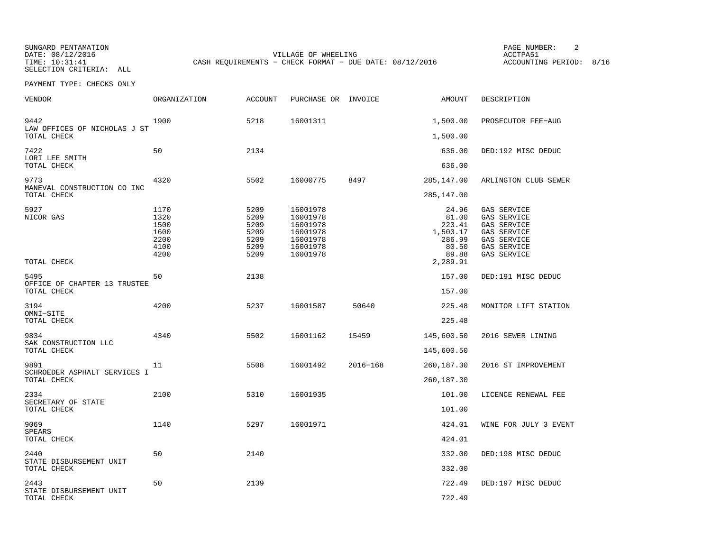SUNGARD PENTAMATION PAGE NUMBER: 2

SELECTION CRITERIA: ALL

DATE: 08/12/2016 VILLAGE OF WHEELING ACCTPA51CASH REQUIREMENTS - CHECK FORMAT - DUE DATE: 08/12/2016

ACCOUNTING PERIOD: 8/16

| VENDOR                                      | ORGANIZATION                                         | ACCOUNT                                              | PURCHASE OR INVOICE                                                              |          | AMOUNT                                                                       | DESCRIPTION                                                                                           |
|---------------------------------------------|------------------------------------------------------|------------------------------------------------------|----------------------------------------------------------------------------------|----------|------------------------------------------------------------------------------|-------------------------------------------------------------------------------------------------------|
| 9442<br>LAW OFFICES OF NICHOLAS J ST        | 1900                                                 | 5218                                                 | 16001311                                                                         |          | 1,500.00                                                                     | PROSECUTOR FEE-AUG                                                                                    |
| TOTAL CHECK                                 |                                                      |                                                      |                                                                                  |          | 1,500.00                                                                     |                                                                                                       |
| 7422<br>LORI LEE SMITH<br>TOTAL CHECK       | 50                                                   | 2134                                                 |                                                                                  |          | 636.00<br>636.00                                                             | DED:192 MISC DEDUC                                                                                    |
| 9773                                        | 4320                                                 | 5502                                                 | 16000775                                                                         | 8497     | 285,147.00                                                                   | ARLINGTON CLUB SEWER                                                                                  |
| MANEVAL CONSTRUCTION CO INC<br>TOTAL CHECK  |                                                      |                                                      |                                                                                  |          | 285,147.00                                                                   |                                                                                                       |
| 5927<br>NICOR GAS<br>TOTAL CHECK            | 1170<br>1320<br>1500<br>1600<br>2200<br>4100<br>4200 | 5209<br>5209<br>5209<br>5209<br>5209<br>5209<br>5209 | 16001978<br>16001978<br>16001978<br>16001978<br>16001978<br>16001978<br>16001978 |          | 24.96<br>81.00<br>223.41<br>1,503.17<br>286.99<br>80.50<br>89.88<br>2,289.91 | GAS SERVICE<br>GAS SERVICE<br>GAS SERVICE<br>GAS SERVICE<br>GAS SERVICE<br>GAS SERVICE<br>GAS SERVICE |
| 5495                                        | 50                                                   | 2138                                                 |                                                                                  |          | 157.00                                                                       | DED:191 MISC DEDUC                                                                                    |
| OFFICE OF CHAPTER 13 TRUSTEE<br>TOTAL CHECK |                                                      |                                                      |                                                                                  |          | 157.00                                                                       |                                                                                                       |
| 3194<br>OMNI-SITE<br>TOTAL CHECK            | 4200                                                 | 5237                                                 | 16001587                                                                         | 50640    | 225.48<br>225.48                                                             | MONITOR LIFT STATION                                                                                  |
| 9834<br>SAK CONSTRUCTION LLC<br>TOTAL CHECK | 4340                                                 | 5502                                                 | 16001162                                                                         | 15459    | 145,600.50<br>145,600.50                                                     | 2016 SEWER LINING                                                                                     |
| 9891                                        | 11                                                   | 5508                                                 | 16001492                                                                         | 2016-168 | 260,187.30                                                                   | 2016 ST IMPROVEMENT                                                                                   |
| SCHROEDER ASPHALT SERVICES I<br>TOTAL CHECK |                                                      |                                                      |                                                                                  |          | 260,187.30                                                                   |                                                                                                       |
| 2334<br>SECRETARY OF STATE                  | 2100                                                 | 5310                                                 | 16001935                                                                         |          | 101.00                                                                       | LICENCE RENEWAL FEE                                                                                   |
| TOTAL CHECK                                 |                                                      |                                                      |                                                                                  |          | 101.00                                                                       |                                                                                                       |
| 9069<br>SPEARS<br>TOTAL CHECK               | 1140                                                 | 5297                                                 | 16001971                                                                         |          | 424.01<br>424.01                                                             | WINE FOR JULY 3 EVENT                                                                                 |
| 2440                                        | 50                                                   | 2140                                                 |                                                                                  |          | 332.00                                                                       | DED:198 MISC DEDUC                                                                                    |
| STATE DISBURSEMENT UNIT<br>TOTAL CHECK      |                                                      |                                                      |                                                                                  |          | 332.00                                                                       |                                                                                                       |
| 2443                                        | 50                                                   | 2139                                                 |                                                                                  |          | 722.49                                                                       | DED:197 MISC DEDUC                                                                                    |
| STATE DISBURSEMENT UNIT<br>TOTAL CHECK      |                                                      |                                                      |                                                                                  |          | 722.49                                                                       |                                                                                                       |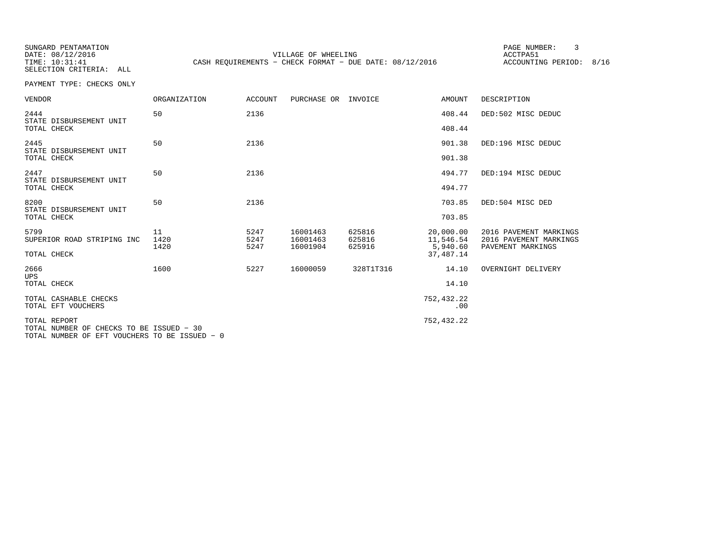SELECTION CRITERIA: ALL

SUNGARD PENTAMATION PAGE NUMBER: 3DATE: 08/12/2016 VILLAGE OF WHEELING ACCTPA51CASH REQUIREMENTS - CHECK FORMAT - DUE DATE: 08/12/2016

ACCOUNTING PERIOD: 8/16

| <b>VENDOR</b>                                                                                             | <b>ORGANIZATION</b> | <b>ACCOUNT</b> | PURCHASE OR INVOICE  |                  | <b>AMOUNT</b>           | DESCRIPTION                                      |
|-----------------------------------------------------------------------------------------------------------|---------------------|----------------|----------------------|------------------|-------------------------|--------------------------------------------------|
| 2444<br>STATE DISBURSEMENT UNIT                                                                           | 50                  | 2136           |                      |                  | 408.44                  | DED:502 MISC DEDUC                               |
| TOTAL CHECK                                                                                               |                     |                |                      |                  | 408.44                  |                                                  |
| 2445<br>STATE DISBURSEMENT UNIT                                                                           | 50                  | 2136           |                      |                  | 901.38                  | DED:196 MISC DEDUC                               |
| TOTAL CHECK                                                                                               |                     |                |                      |                  | 901.38                  |                                                  |
| 2447<br>STATE DISBURSEMENT UNIT                                                                           | 50                  | 2136           |                      |                  | 494.77                  | DED:194 MISC DEDUC                               |
| TOTAL CHECK                                                                                               |                     |                |                      |                  | 494.77                  |                                                  |
| 8200<br>STATE DISBURSEMENT UNIT                                                                           | 50                  | 2136           |                      |                  | 703.85                  | DED:504 MISC DED                                 |
| TOTAL CHECK                                                                                               |                     |                |                      |                  | 703.85                  |                                                  |
| 5799<br>SUPERIOR ROAD STRIPING INC                                                                        | 11<br>1420          | 5247<br>5247   | 16001463<br>16001463 | 625816<br>625816 | 20,000.00<br>11,546.54  | 2016 PAVEMENT MARKINGS<br>2016 PAVEMENT MARKINGS |
| TOTAL CHECK                                                                                               | 1420                | 5247           | 16001904             | 625916           | 5,940.60<br>37, 487. 14 | PAVEMENT MARKINGS                                |
| 2666<br><b>UPS</b>                                                                                        | 1600                | 5227           | 16000059             | 328T1T316        | 14.10                   | OVERNIGHT DELIVERY                               |
| TOTAL CHECK                                                                                               |                     |                |                      |                  | 14.10                   |                                                  |
| TOTAL CASHABLE CHECKS<br>TOTAL EFT VOUCHERS                                                               |                     |                |                      |                  | 752,432.22<br>.00       |                                                  |
| TOTAL REPORT<br>TOTAL NUMBER OF CHECKS TO BE ISSUED - 30<br>TOTAL NUMBER OF EFT VOUCHERS TO BE ISSUED - 0 |                     |                |                      |                  | 752,432.22              |                                                  |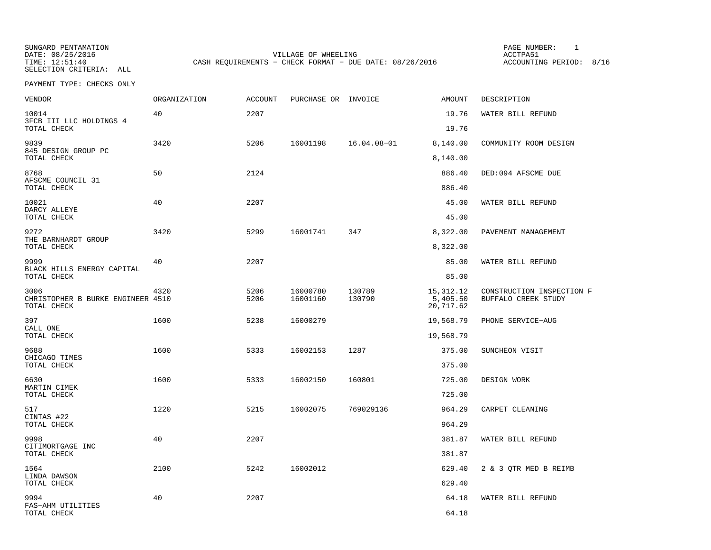SUNGARD PENTAMATION PAGE NUMBER: 1SELECTION CRITERIA: ALL

DATE: 08/25/2016 VILLAGE OF WHEELING ACCTPA51TIME: 12:51:40 CASH REQUIREMENTS - CHECK FORMAT - DUE DATE: 08/26/2016

ACCOUNTING PERIOD: 8/16

| <b>VENDOR</b>                                            | <b>ORGANIZATION</b> | <b>ACCOUNT</b> | PURCHASE OR INVOICE  |                  | AMOUNT                               | DESCRIPTION                                      |
|----------------------------------------------------------|---------------------|----------------|----------------------|------------------|--------------------------------------|--------------------------------------------------|
| 10014<br>3FCB III LLC HOLDINGS 4                         | 40                  | 2207           |                      |                  | 19.76                                | WATER BILL REFUND                                |
| TOTAL CHECK                                              |                     |                |                      |                  | 19.76                                |                                                  |
| 9839<br>845 DESIGN GROUP PC<br>TOTAL CHECK               | 3420                | 5206           | 16001198             | 16.04.08-01      | 8,140.00<br>8,140.00                 | COMMUNITY ROOM DESIGN                            |
|                                                          |                     |                |                      |                  |                                      |                                                  |
| 8768<br>AFSCME COUNCIL 31<br>TOTAL CHECK                 | 50                  | 2124           |                      |                  | 886.40<br>886.40                     | DED:094 AFSCME DUE                               |
|                                                          |                     |                |                      |                  |                                      |                                                  |
| 10021<br>DARCY ALLEYE<br>TOTAL CHECK                     | 40                  | 2207           |                      |                  | 45.00<br>45.00                       | WATER BILL REFUND                                |
| 9272                                                     | 3420                | 5299           | 16001741             | 347              | 8,322.00                             | PAVEMENT MANAGEMENT                              |
| THE BARNHARDT GROUP<br>TOTAL CHECK                       |                     |                |                      |                  | 8,322.00                             |                                                  |
| 9999                                                     | 40                  | 2207           |                      |                  | 85.00                                | WATER BILL REFUND                                |
| BLACK HILLS ENERGY CAPITAL<br>TOTAL CHECK                |                     |                |                      |                  | 85.00                                |                                                  |
| 3006<br>CHRISTOPHER B BURKE ENGINEER 4510<br>TOTAL CHECK | 4320                | 5206<br>5206   | 16000780<br>16001160 | 130789<br>130790 | 15, 312. 12<br>5,405.50<br>20,717.62 | CONSTRUCTION INSPECTION F<br>BUFFALO CREEK STUDY |
| 397                                                      | 1600                | 5238           | 16000279             |                  | 19,568.79                            | PHONE SERVICE-AUG                                |
| CALL ONE<br>TOTAL CHECK                                  |                     |                |                      |                  | 19,568.79                            |                                                  |
| 9688                                                     | 1600                | 5333           | 16002153             | 1287             | 375.00                               | SUNCHEON VISIT                                   |
| CHICAGO TIMES<br>TOTAL CHECK                             |                     |                |                      |                  | 375.00                               |                                                  |
| 6630                                                     | 1600                | 5333           | 16002150             | 160801           | 725.00                               | DESIGN WORK                                      |
| MARTIN CIMEK<br>TOTAL CHECK                              |                     |                |                      |                  | 725.00                               |                                                  |
| 517                                                      | 1220                | 5215           | 16002075             | 769029136        | 964.29                               | CARPET CLEANING                                  |
| CINTAS #22<br>TOTAL CHECK                                |                     |                |                      |                  | 964.29                               |                                                  |
| 9998                                                     | 40                  | 2207           |                      |                  | 381.87                               | WATER BILL REFUND                                |
| CITIMORTGAGE INC<br>TOTAL CHECK                          |                     |                |                      |                  | 381.87                               |                                                  |
| 1564                                                     | 2100                | 5242           | 16002012             |                  | 629.40                               | 2 & 3 QTR MED B REIMB                            |
| LINDA DAWSON<br>TOTAL CHECK                              |                     |                |                      |                  | 629.40                               |                                                  |
| 9994                                                     | 40                  | 2207           |                      |                  | 64.18                                | WATER BILL REFUND                                |
| FAS-AHM UTILITIES<br>TOTAL CHECK                         |                     |                |                      |                  | 64.18                                |                                                  |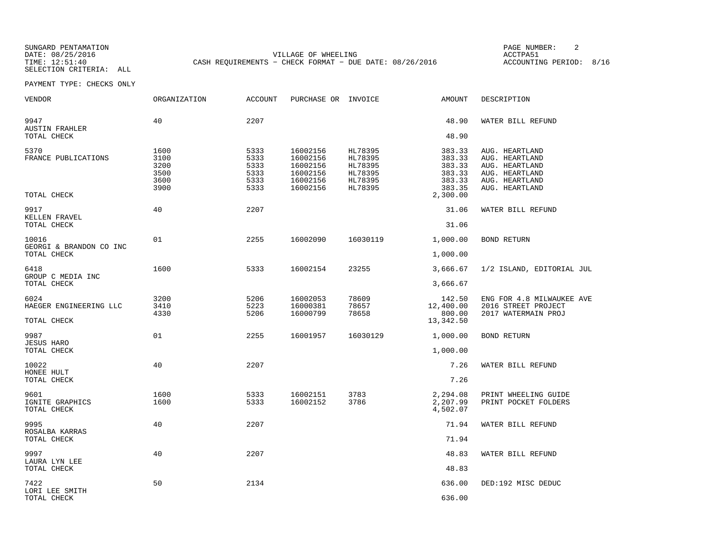SUNGARD PENTAMATION PAGE NUMBER: 2SELECTION CRITERIA: ALL

DATE: 08/25/2016 VILLAGE OF WHEELING ACCTPA51TIME: 12:51:40 CASH REQUIREMENTS - CHECK FORMAT - DUE DATE: 08/26/2016

ACCOUNTING PERIOD: 8/16

| VENDOR                                 | ORGANIZATION                                 | ACCOUNT                                      | PURCHASE OR INVOICE                                                  |                                                                | AMOUNT                                                   | DESCRIPTION                                                                                              |
|----------------------------------------|----------------------------------------------|----------------------------------------------|----------------------------------------------------------------------|----------------------------------------------------------------|----------------------------------------------------------|----------------------------------------------------------------------------------------------------------|
| 9947<br><b>AUSTIN FRAHLER</b>          | 40                                           | 2207                                         |                                                                      |                                                                | 48.90                                                    | WATER BILL REFUND                                                                                        |
| TOTAL CHECK                            |                                              |                                              |                                                                      |                                                                | 48.90                                                    |                                                                                                          |
| 5370<br>FRANCE PUBLICATIONS            | 1600<br>3100<br>3200<br>3500<br>3600<br>3900 | 5333<br>5333<br>5333<br>5333<br>5333<br>5333 | 16002156<br>16002156<br>16002156<br>16002156<br>16002156<br>16002156 | HL78395<br>HL78395<br>HL78395<br>HL78395<br>HL78395<br>HL78395 | 383.33<br>383.33<br>383.33<br>383.33<br>383.33<br>383.35 | AUG. HEARTLAND<br>AUG. HEARTLAND<br>AUG. HEARTLAND<br>AUG. HEARTLAND<br>AUG. HEARTLAND<br>AUG. HEARTLAND |
| TOTAL CHECK                            |                                              |                                              |                                                                      |                                                                | 2,300.00                                                 |                                                                                                          |
| 9917<br>KELLEN FRAVEL                  | 40                                           | 2207                                         |                                                                      |                                                                | 31.06                                                    | WATER BILL REFUND                                                                                        |
| TOTAL CHECK                            |                                              |                                              |                                                                      |                                                                | 31.06                                                    |                                                                                                          |
| 10016<br>GEORGI & BRANDON CO INC       | 01                                           | 2255                                         | 16002090                                                             | 16030119                                                       | 1,000.00                                                 | <b>BOND RETURN</b>                                                                                       |
| TOTAL CHECK                            |                                              |                                              |                                                                      |                                                                | 1,000.00                                                 |                                                                                                          |
| 6418<br>GROUP C MEDIA INC              | 1600                                         | 5333                                         | 16002154                                                             | 23255                                                          | 3,666.67                                                 | 1/2 ISLAND, EDITORIAL JUL                                                                                |
| TOTAL CHECK                            |                                              |                                              |                                                                      |                                                                | 3,666.67                                                 |                                                                                                          |
| 6024<br>HAEGER ENGINEERING LLC         | 3200<br>3410<br>4330                         | 5206<br>5223<br>5206                         | 16002053<br>16000381<br>16000799                                     | 78609<br>78657<br>78658                                        | 142.50<br>12,400.00<br>800.00                            | ENG FOR 4.8 MILWAUKEE AVE<br>2016 STREET PROJECT<br>2017 WATERMAIN PROJ                                  |
| TOTAL CHECK                            |                                              |                                              |                                                                      |                                                                | 13,342.50                                                |                                                                                                          |
| 9987<br><b>JESUS HARO</b>              | 01                                           | 2255                                         | 16001957                                                             | 16030129                                                       | 1,000.00                                                 | <b>BOND RETURN</b>                                                                                       |
| TOTAL CHECK                            |                                              |                                              |                                                                      |                                                                | 1,000.00                                                 |                                                                                                          |
| 10022<br>HONEE HULT                    | 40                                           | 2207                                         |                                                                      |                                                                | 7.26                                                     | WATER BILL REFUND                                                                                        |
| TOTAL CHECK                            |                                              |                                              |                                                                      |                                                                | 7.26                                                     |                                                                                                          |
| 9601<br>IGNITE GRAPHICS<br>TOTAL CHECK | 1600<br>1600                                 | 5333<br>5333                                 | 16002151<br>16002152                                                 | 3783<br>3786                                                   | 2,294.08<br>2,207.99<br>4,502.07                         | PRINT WHEELING GUIDE<br>PRINT POCKET FOLDERS                                                             |
| 9995<br>ROSALBA KARRAS                 | 40                                           | 2207                                         |                                                                      |                                                                | 71.94                                                    | WATER BILL REFUND                                                                                        |
| TOTAL CHECK                            |                                              |                                              |                                                                      |                                                                | 71.94                                                    |                                                                                                          |
| 9997<br>LAURA LYN LEE                  | 40                                           | 2207                                         |                                                                      |                                                                | 48.83                                                    | WATER BILL REFUND                                                                                        |
| TOTAL CHECK                            |                                              |                                              |                                                                      |                                                                | 48.83                                                    |                                                                                                          |
| 7422<br>LORI LEE SMITH                 | 50                                           | 2134                                         |                                                                      |                                                                | 636.00                                                   | DED:192 MISC DEDUC                                                                                       |
| TOTAL CHECK                            |                                              |                                              |                                                                      |                                                                | 636.00                                                   |                                                                                                          |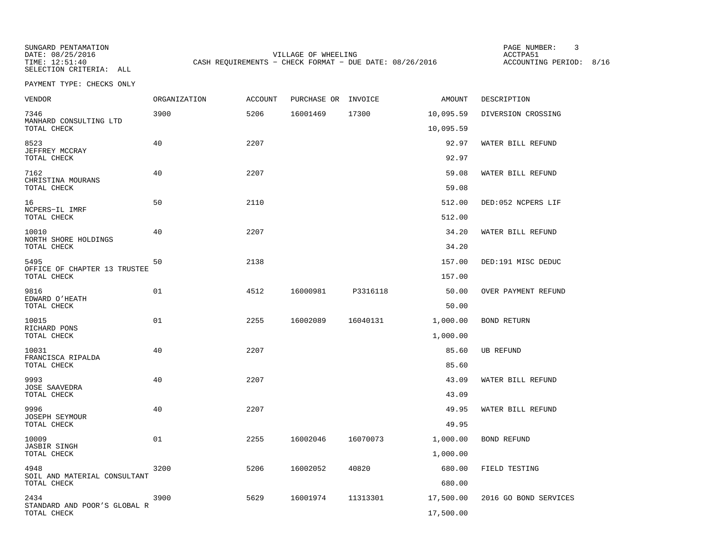SELECTION CRITERIA: ALL

SUNGARD PENTAMATION PAGE NUMBER: 3VILLAGE OF WHEELING **ACCTPA51** TIME: 12:51:40 CASH REQUIREMENTS - CHECK FORMAT - DUE DATE: 08/26/2016

ACCOUNTING PERIOD: 8/16

| <b>VENDOR</b>                         | ORGANIZATION | <b>ACCOUNT</b> | PURCHASE OR | INVOICE  | AMOUNT    | DESCRIPTION           |
|---------------------------------------|--------------|----------------|-------------|----------|-----------|-----------------------|
| 7346                                  | 3900         | 5206           | 16001469    | 17300    | 10,095.59 | DIVERSION CROSSING    |
| MANHARD CONSULTING LTD<br>TOTAL CHECK |              |                |             |          | 10,095.59 |                       |
| 8523                                  | 40           | 2207           |             |          | 92.97     | WATER BILL REFUND     |
| JEFFREY MCCRAY<br>TOTAL CHECK         |              |                |             |          | 92.97     |                       |
| 7162                                  | 40           | 2207           |             |          | 59.08     | WATER BILL REFUND     |
| CHRISTINA MOURANS<br>TOTAL CHECK      |              |                |             |          | 59.08     |                       |
| 16                                    | 50           | 2110           |             |          | 512.00    | DED:052 NCPERS LIF    |
| NCPERS-IL IMRF<br>TOTAL CHECK         |              |                |             |          | 512.00    |                       |
| 10010                                 | 40           | 2207           |             |          | 34.20     | WATER BILL REFUND     |
| NORTH SHORE HOLDINGS<br>TOTAL CHECK   |              |                |             |          | 34.20     |                       |
| 5495<br>OFFICE OF CHAPTER 13 TRUSTEE  | 50           | 2138           |             |          | 157.00    | DED:191 MISC DEDUC    |
| TOTAL CHECK                           |              |                |             |          | 157.00    |                       |
| 9816<br>EDWARD O'HEATH                | 01           | 4512           | 16000981    | P3316118 | 50.00     | OVER PAYMENT REFUND   |
| TOTAL CHECK                           |              |                |             |          | 50.00     |                       |
| 10015<br>RICHARD PONS                 | 01           | 2255           | 16002089    | 16040131 | 1,000.00  | <b>BOND RETURN</b>    |
| TOTAL CHECK                           |              |                |             |          | 1,000.00  |                       |
| 10031<br>FRANCISCA RIPALDA            | 40           | 2207           |             |          | 85.60     | <b>UB REFUND</b>      |
| TOTAL CHECK                           |              |                |             |          | 85.60     |                       |
| 9993<br><b>JOSE SAAVEDRA</b>          | 40           | 2207           |             |          | 43.09     | WATER BILL REFUND     |
| TOTAL CHECK                           |              |                |             |          | 43.09     |                       |
| 9996<br><b>JOSEPH SEYMOUR</b>         | 40           | 2207           |             |          | 49.95     | WATER BILL REFUND     |
| TOTAL CHECK                           |              |                |             |          | 49.95     |                       |
| 10009<br><b>JASBIR SINGH</b>          | 01           | 2255           | 16002046    | 16070073 | 1,000.00  | BOND REFUND           |
| TOTAL CHECK                           |              |                |             |          | 1,000.00  |                       |
| 4948<br>SOIL AND MATERIAL CONSULTANT  | 3200         | 5206           | 16002052    | 40820    | 680.00    | FIELD TESTING         |
| TOTAL CHECK                           |              |                |             |          | 680.00    |                       |
| 2434<br>STANDARD AND POOR'S GLOBAL R  | 3900         | 5629           | 16001974    | 11313301 | 17,500.00 | 2016 GO BOND SERVICES |
| TOTAL CHECK                           |              |                |             |          | 17,500.00 |                       |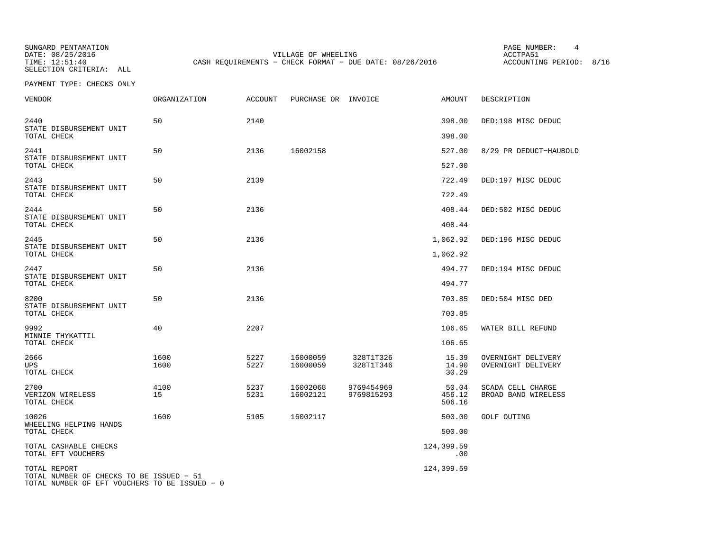SUNGARD PENTAMATION PAGE NUMBER: 4SELECTION CRITERIA: ALL

DATE: 08/25/2016 VILLAGE OF WHEELING ACCTPA51TIME: 12:51:40 CASH REQUIREMENTS - CHECK FORMAT - DUE DATE: 08/26/2016

ACCOUNTING PERIOD: 8/16

PAYMENT TYPE: CHECKS ONLY

| VENDOR                                                   | ORGANIZATION | <b>ACCOUNT</b> | PURCHASE OR INVOICE  |                          | AMOUNT                    | DESCRIPTION                              |
|----------------------------------------------------------|--------------|----------------|----------------------|--------------------------|---------------------------|------------------------------------------|
| 2440<br>STATE DISBURSEMENT UNIT                          | 50           | 2140           |                      |                          | 398.00                    | DED:198 MISC DEDUC                       |
| TOTAL CHECK                                              |              |                |                      |                          | 398.00                    |                                          |
| 2441<br>STATE DISBURSEMENT UNIT<br>TOTAL CHECK           | 50           | 2136           | 16002158             |                          | 527.00<br>527.00          | 8/29 PR DEDUCT-HAUBOLD                   |
| 2443<br>STATE DISBURSEMENT UNIT                          | 50           | 2139           |                      |                          | 722.49                    | DED:197 MISC DEDUC                       |
| TOTAL CHECK                                              |              |                |                      |                          | 722.49                    |                                          |
| 2444<br>STATE DISBURSEMENT UNIT<br>TOTAL CHECK           | 50           | 2136           |                      |                          | 408.44<br>408.44          | DED:502 MISC DEDUC                       |
| 2445                                                     | 50           | 2136           |                      |                          | 1,062.92                  | DED:196 MISC DEDUC                       |
| STATE DISBURSEMENT UNIT<br>TOTAL CHECK                   |              |                |                      |                          | 1,062.92                  |                                          |
| 2447                                                     | 50           | 2136           |                      |                          | 494.77                    | DED:194 MISC DEDUC                       |
| STATE DISBURSEMENT UNIT<br>TOTAL CHECK                   |              |                |                      |                          | 494.77                    |                                          |
| 8200                                                     | 50           | 2136           |                      |                          | 703.85                    | DED:504 MISC DED                         |
| STATE DISBURSEMENT UNIT<br>TOTAL CHECK                   |              |                |                      |                          | 703.85                    |                                          |
| 9992<br>MINNIE THYKATTIL                                 | 40           | 2207           |                      |                          | 106.65                    | WATER BILL REFUND                        |
| TOTAL CHECK                                              |              |                |                      |                          | 106.65                    |                                          |
| 2666<br><b>UPS</b><br>TOTAL CHECK                        | 1600<br>1600 | 5227<br>5227   | 16000059<br>16000059 | 328T1T326<br>328T1T346   | 15.39<br>14.90<br>30.29   | OVERNIGHT DELIVERY<br>OVERNIGHT DELIVERY |
| 2700<br>VERIZON WIRELESS<br>TOTAL CHECK                  | 4100<br>15   | 5237<br>5231   | 16002068<br>16002121 | 9769454969<br>9769815293 | 50.04<br>456.12<br>506.16 | SCADA CELL CHARGE<br>BROAD BAND WIRELESS |
| 10026<br>WHEELING HELPING HANDS                          | 1600         | 5105           | 16002117             |                          | 500.00                    | <b>GOLF OUTING</b>                       |
| TOTAL CHECK                                              |              |                |                      |                          | 500.00                    |                                          |
| TOTAL CASHABLE CHECKS<br>TOTAL EFT VOUCHERS              |              |                |                      |                          | 124,399.59<br>.00         |                                          |
| TOTAL REPORT<br>TOTAL NUMBER OF CHECKS TO BE ISSUED - 51 |              |                |                      |                          | 124,399.59                |                                          |

TOTAL NUMBER OF EFT VOUCHERS TO BE ISSUED − 0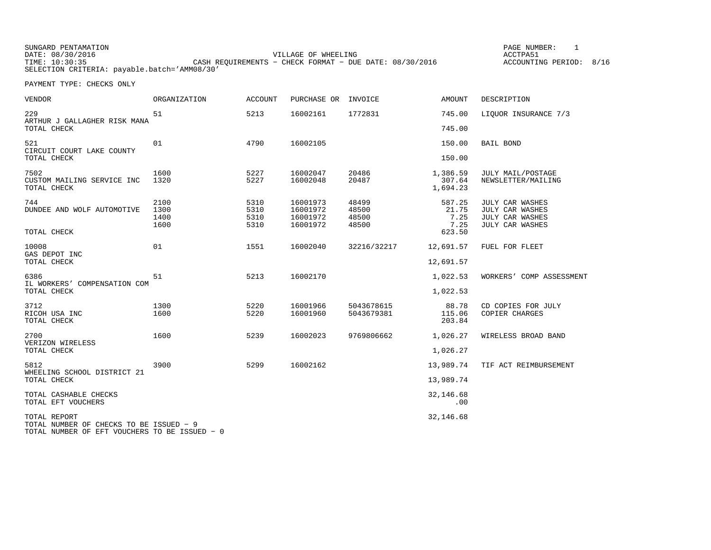SUNGARD PENTAMATION PAGE NUMBER: 1DATE:  $08/30/2016$  ACCTPA51 TIME: 10:30:35 CASH REQUIREMENTS - CHECK FORMAT - DUE DATE: 08/30/2016 SELECTION CRITERIA: payable.batch='AMM08/30'

ACCOUNTING PERIOD: 8/16

| <b>VENDOR</b>                                                                                            | <b>ORGANIZATION</b> | <b>ACCOUNT</b> | PURCHASE OR          | INVOICE        | <b>AMOUNT</b>                  | DESCRIPTION                                    |
|----------------------------------------------------------------------------------------------------------|---------------------|----------------|----------------------|----------------|--------------------------------|------------------------------------------------|
| 229<br>ARTHUR J GALLAGHER RISK MANA                                                                      | 51                  | 5213           | 16002161             | 1772831        | 745.00                         | LIQUOR INSURANCE 7/3                           |
| TOTAL CHECK                                                                                              |                     |                |                      |                | 745.00                         |                                                |
| 521<br>CIRCUIT COURT LAKE COUNTY                                                                         | 01                  | 4790           | 16002105             |                | 150.00                         | <b>BAIL BOND</b>                               |
| TOTAL CHECK                                                                                              |                     |                |                      |                | 150.00                         |                                                |
| 7502<br>CUSTOM MAILING SERVICE INC<br>TOTAL CHECK                                                        | 1600<br>1320        | 5227<br>5227   | 16002047<br>16002048 | 20486<br>20487 | 1,386.59<br>307.64<br>1,694.23 | <b>JULY MAIL/POSTAGE</b><br>NEWSLETTER/MAILING |
| 744                                                                                                      | 2100                | 5310           | 16001973             | 48499          | 587.25                         | JULY CAR WASHES                                |
| DUNDEE AND WOLF AUTOMOTIVE                                                                               | 1300                | 5310           | 16001972             | 48500          | 21.75                          | JULY CAR WASHES                                |
|                                                                                                          | 1400                | 5310           | 16001972             | 48500          | 7.25                           | JULY CAR WASHES                                |
| TOTAL CHECK                                                                                              | 1600                | 5310           | 16001972             | 48500          | 7.25<br>623.50                 | JULY CAR WASHES                                |
| 10008<br>GAS DEPOT INC                                                                                   | 01                  | 1551           | 16002040             | 32216/32217    | 12,691.57                      | FUEL FOR FLEET                                 |
| TOTAL CHECK                                                                                              |                     |                |                      |                | 12,691.57                      |                                                |
| 6386<br>IL WORKERS' COMPENSATION COM                                                                     | 51                  | 5213           | 16002170             |                | 1,022.53                       | WORKERS' COMP ASSESSMENT                       |
| TOTAL CHECK                                                                                              |                     |                |                      |                | 1,022.53                       |                                                |
| 3712                                                                                                     | 1300                | 5220           | 16001966             | 5043678615     | 88.78                          | CD COPIES FOR JULY                             |
| RICOH USA INC<br>TOTAL CHECK                                                                             | 1600                | 5220           | 16001960             | 5043679381     | 115.06<br>203.84               | COPIER CHARGES                                 |
| 2700                                                                                                     | 1600                | 5239           | 16002023             | 9769806662     | 1,026.27                       | WIRELESS BROAD BAND                            |
| VERIZON WIRELESS<br>TOTAL CHECK                                                                          |                     |                |                      |                | 1,026.27                       |                                                |
| 5812<br>WHEELING SCHOOL DISTRICT 21                                                                      | 3900                | 5299           | 16002162             |                | 13,989.74                      | TIF ACT REIMBURSEMENT                          |
| TOTAL CHECK                                                                                              |                     |                |                      |                | 13,989.74                      |                                                |
| TOTAL CASHABLE CHECKS<br>TOTAL EFT VOUCHERS                                                              |                     |                |                      |                | 32, 146.68<br>.00              |                                                |
| TOTAL REPORT<br>TOTAL NUMBER OF CHECKS TO BE ISSUED - 9<br>TOTAL NUMBER OF EFT VOUCHERS TO BE ISSUED - 0 |                     |                |                      |                | 32,146.68                      |                                                |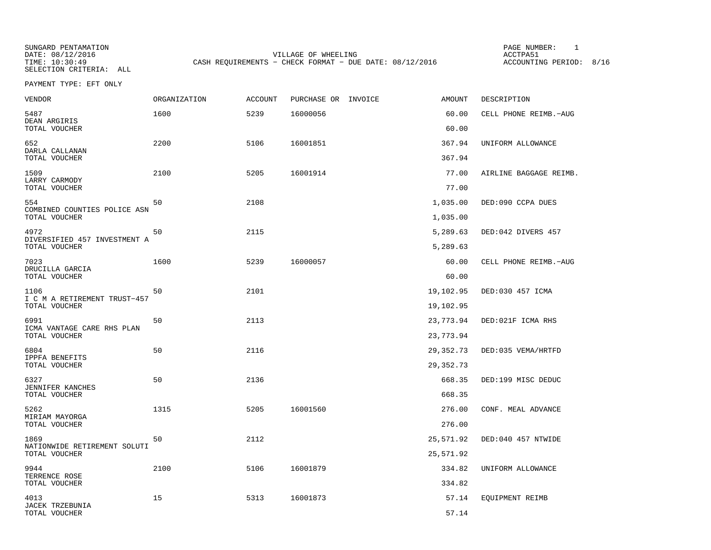SELECTION CRITERIA: ALL

SUNGARD PENTAMATION PAGE NUMBER: 1DATE: 08/12/2016 VILLAGE OF WHEELING ACCTPA51CASH REQUIREMENTS - CHECK FORMAT - DUE DATE: 08/12/2016

ACCOUNTING PERIOD: 8/16

PAYMENT TYPE: EFT ONLY

| <b>VENDOR</b>                                         | ORGANIZATION | <b>ACCOUNT</b> | PURCHASE OR INVOICE | <b>AMOUNT</b>          | DESCRIPTION            |
|-------------------------------------------------------|--------------|----------------|---------------------|------------------------|------------------------|
| 5487<br>DEAN ARGIRIS<br>TOTAL VOUCHER                 | 1600         | 5239           | 16000056            | 60.00<br>60.00         | CELL PHONE REIMB.-AUG  |
| 652                                                   | 2200         | 5106           | 16001851            | 367.94                 | UNIFORM ALLOWANCE      |
| DARLA CALLANAN<br>TOTAL VOUCHER                       |              |                |                     | 367.94                 |                        |
| 1509<br>LARRY CARMODY                                 | 2100         | 5205           | 16001914            | 77.00                  | AIRLINE BAGGAGE REIMB. |
| TOTAL VOUCHER                                         |              |                |                     | 77.00                  |                        |
| 554<br>COMBINED COUNTIES POLICE ASN<br>TOTAL VOUCHER  | 50           | 2108           |                     | 1,035.00<br>1,035.00   | DED:090 CCPA DUES      |
| 4972                                                  | 50           | 2115           |                     | 5,289.63               | DED:042 DIVERS 457     |
| DIVERSIFIED 457 INVESTMENT A<br>TOTAL VOUCHER         |              |                |                     | 5,289.63               |                        |
| 7023<br>DRUCILLA GARCIA                               | 1600         | 5239           | 16000057            | 60.00                  | CELL PHONE REIMB.-AUG  |
| TOTAL VOUCHER                                         |              |                |                     | 60.00                  |                        |
| 1106<br>I C M A RETIREMENT TRUST-457<br>TOTAL VOUCHER | 50           | 2101           |                     | 19,102.95<br>19,102.95 | DED:030 457 ICMA       |
| 6991                                                  | 50           | 2113           |                     | 23,773.94              | DED:021F ICMA RHS      |
| ICMA VANTAGE CARE RHS PLAN<br>TOTAL VOUCHER           |              |                |                     | 23,773.94              |                        |
| 6804                                                  | 50           | 2116           |                     | 29, 352. 73            | DED:035 VEMA/HRTFD     |
| IPPFA BENEFITS<br>TOTAL VOUCHER                       |              |                |                     | 29, 352. 73            |                        |
| 6327                                                  | 50           | 2136           |                     | 668.35                 | DED:199 MISC DEDUC     |
| JENNIFER KANCHES<br>TOTAL VOUCHER                     |              |                |                     | 668.35                 |                        |
| 5262                                                  | 1315         | 5205           | 16001560            | 276.00                 | CONF. MEAL ADVANCE     |
| MIRIAM MAYORGA<br>TOTAL VOUCHER                       |              |                |                     | 276.00                 |                        |
| 1869                                                  | 50           | 2112           |                     | 25,571.92              | DED:040 457 NTWIDE     |
| NATIONWIDE RETIREMENT SOLUTI<br>TOTAL VOUCHER         |              |                |                     | 25,571.92              |                        |
| 9944                                                  | 2100         | 5106           | 16001879            | 334.82                 | UNIFORM ALLOWANCE      |
| TERRENCE ROSE<br>TOTAL VOUCHER                        |              |                |                     | 334.82                 |                        |
| 4013                                                  | 15           | 5313           | 16001873            | 57.14                  | EQUIPMENT REIMB        |
| JACEK TRZEBUNIA<br>TOTAL VOUCHER                      |              |                |                     | 57.14                  |                        |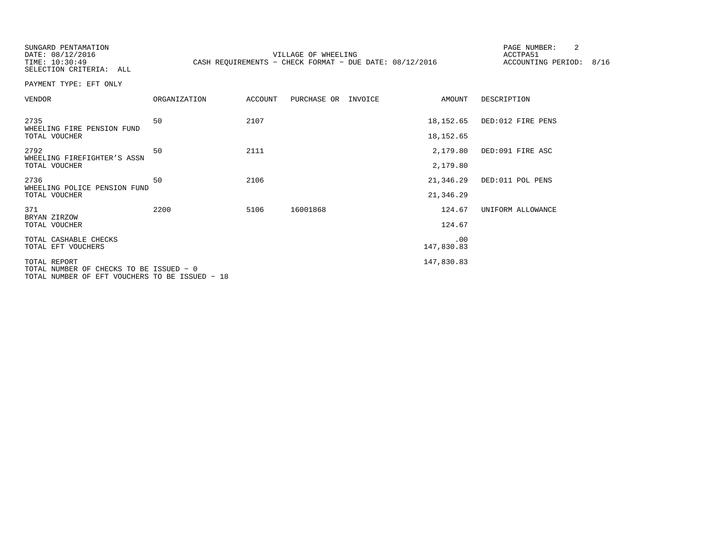SUNGARD PENTAMATION PAGE NUMBER: 2

SELECTION CRITERIA: ALL

DATE:  $08/12/2016$  ACCTPA51 TIME: 10:30:49 CASH REQUIREMENTS - CHECK FORMAT - DUE DATE: 08/12/2016

ACCOUNTING PERIOD: 8/16

PAYMENT TYPE: EFT ONLY

| <b>VENDOR</b>                               | <b>ORGANIZATION</b> | <b>ACCOUNT</b> | PURCHASE OR | INVOICE | AMOUNT            | DESCRIPTION       |
|---------------------------------------------|---------------------|----------------|-------------|---------|-------------------|-------------------|
| 2735<br>WHEELING FIRE PENSION FUND          | 50                  | 2107           |             |         | 18,152.65         | DED:012 FIRE PENS |
| TOTAL VOUCHER                               |                     |                |             |         | 18,152.65         |                   |
| 2792<br>WHEELING FIREFIGHTER'S ASSN         | 50                  | 2111           |             |         | 2,179.80          | DED:091 FIRE ASC  |
| TOTAL VOUCHER                               |                     |                |             |         | 2,179.80          |                   |
| 2736<br>WHEELING POLICE PENSION FUND        | 50                  | 2106           |             |         | 21,346.29         | DED:011 POL PENS  |
| TOTAL VOUCHER                               |                     |                |             |         | 21,346.29         |                   |
| 371<br>BRYAN ZIRZOW                         | 2200                | 5106           | 16001868    |         | 124.67            | UNIFORM ALLOWANCE |
| TOTAL VOUCHER                               |                     |                |             |         | 124.67            |                   |
| TOTAL CASHABLE CHECKS<br>TOTAL EFT VOUCHERS |                     |                |             |         | .00<br>147,830.83 |                   |
| TOTAL REPORT                                |                     |                |             |         | 147,830.83        |                   |
| TOTAL NUMBER OF CHECKS TO BE ISSUED - 0     |                     |                |             |         |                   |                   |

TOTAL NUMBER OF EFT VOUCHERS TO BE ISSUED − 18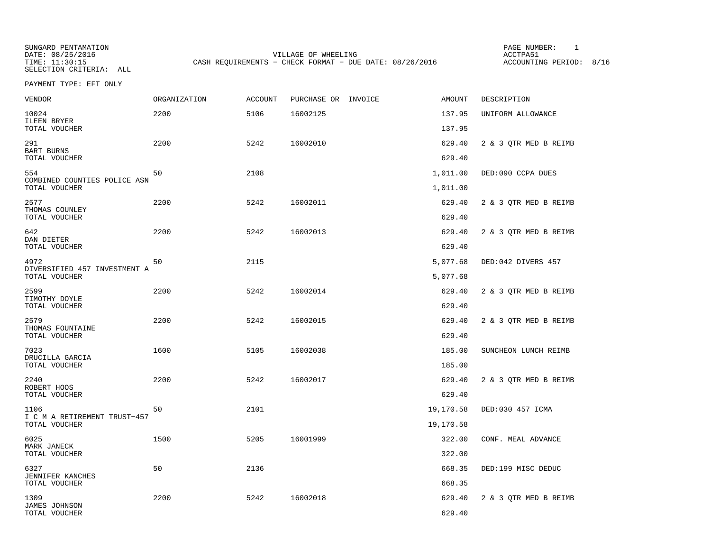SUNGARD PENTAMATION PAGE NUMBER: 1SELECTION CRITERIA: ALL

DATE: 08/25/2016 VILLAGE OF WHEELING ACCTPA51TIME: 11:30:15 CASH REQUIREMENTS - CHECK FORMAT - DUE DATE: 08/26/2016

ACCOUNTING PERIOD: 8/16

PAYMENT TYPE: EFT ONLY

| VENDOR                                   | ORGANIZATION | <b>ACCOUNT</b> | PURCHASE OR INVOICE | AMOUNT    | DESCRIPTION           |
|------------------------------------------|--------------|----------------|---------------------|-----------|-----------------------|
| 10024<br>ILEEN BRYER                     | 2200         | 5106           | 16002125            | 137.95    | UNIFORM ALLOWANCE     |
| TOTAL VOUCHER                            |              |                |                     | 137.95    |                       |
| 291<br>BART BURNS                        | 2200         | 5242           | 16002010            | 629.40    | 2 & 3 OTR MED B REIMB |
| TOTAL VOUCHER                            |              |                |                     | 629.40    |                       |
| 554<br>COMBINED COUNTIES POLICE ASN      | 50           | 2108           |                     | 1,011.00  | DED:090 CCPA DUES     |
| TOTAL VOUCHER                            |              |                |                     | 1,011.00  |                       |
| 2577                                     | 2200         | 5242           | 16002011            | 629.40    | 2 & 3 OTR MED B REIMB |
| THOMAS COUNLEY<br>TOTAL VOUCHER          |              |                |                     | 629.40    |                       |
| 642                                      | 2200         | 5242           | 16002013            | 629.40    | 2 & 3 OTR MED B REIMB |
| DAN DIETER<br>TOTAL VOUCHER              |              |                |                     | 629.40    |                       |
| 4972<br>DIVERSIFIED 457 INVESTMENT A     | 50           | 2115           |                     | 5,077.68  | DED:042 DIVERS 457    |
| TOTAL VOUCHER                            |              |                |                     | 5,077.68  |                       |
| 2599<br>TIMOTHY DOYLE                    | 2200         | 5242           | 16002014            | 629.40    | 2 & 3 QTR MED B REIMB |
| TOTAL VOUCHER                            |              |                |                     | 629.40    |                       |
| 2579<br>THOMAS FOUNTAINE                 | 2200         | 5242           | 16002015            | 629.40    | 2 & 3 OTR MED B REIMB |
| TOTAL VOUCHER                            |              |                |                     | 629.40    |                       |
| 7023<br>DRUCILLA GARCIA                  | 1600         | 5105           | 16002038            | 185.00    | SUNCHEON LUNCH REIMB  |
| TOTAL VOUCHER                            |              |                |                     | 185.00    |                       |
| 2240                                     | 2200         | 5242           | 16002017            | 629.40    | 2 & 3 QTR MED B REIMB |
| ROBERT HOOS<br>TOTAL VOUCHER             |              |                |                     | 629.40    |                       |
| 1106<br>I C M A RETIREMENT TRUST-457     | 50           | 2101           |                     | 19,170.58 | DED:030 457 ICMA      |
| TOTAL VOUCHER                            |              |                |                     | 19,170.58 |                       |
| 6025<br>MARK JANECK                      | 1500         | 5205           | 16001999            | 322.00    | CONF. MEAL ADVANCE    |
| TOTAL VOUCHER                            |              |                |                     | 322.00    |                       |
| 6327                                     | 50           | 2136           |                     | 668.35    | DED:199 MISC DEDUC    |
| <b>JENNIFER KANCHES</b><br>TOTAL VOUCHER |              |                |                     | 668.35    |                       |
| 1309                                     | 2200         | 5242           | 16002018            | 629.40    | 2 & 3 QTR MED B REIMB |
| JAMES JOHNSON<br>TOTAL VOUCHER           |              |                |                     | 629.40    |                       |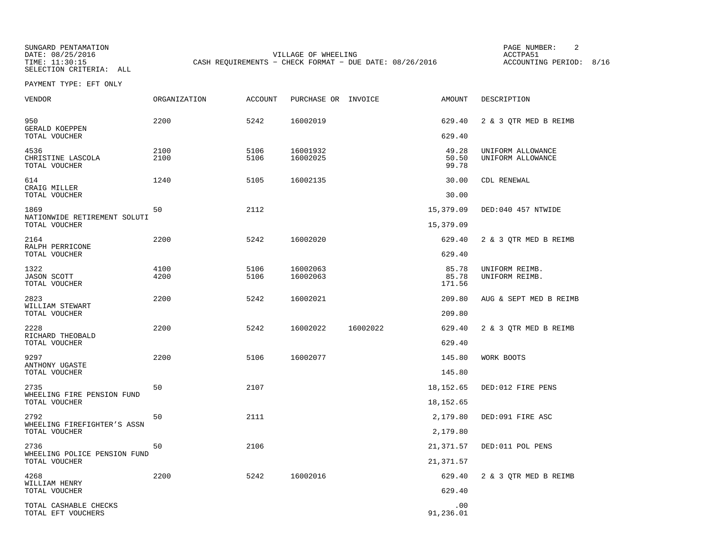SUNGARD PENTAMATION PAGE NUMBER: 2SELECTION CRITERIA: ALL

DATE: 08/25/2016 VILLAGE OF WHEELING ACCTPA51TIME: 11:30:15 CASH REQUIREMENTS - CHECK FORMAT - DUE DATE: 08/26/2016

ACCOUNTING PERIOD: 8/16

PAYMENT TYPE: EFT ONLY

| <b>VENDOR</b>                                 | <b>ORGANIZATION</b> | <b>ACCOUNT</b> | PURCHASE OR INVOICE  |          | <b>AMOUNT</b>            | DESCRIPTION                            |
|-----------------------------------------------|---------------------|----------------|----------------------|----------|--------------------------|----------------------------------------|
| 950<br>GERALD KOEPPEN                         | 2200                | 5242           | 16002019             |          | 629.40                   | 2 & 3 QTR MED B REIMB                  |
| TOTAL VOUCHER                                 |                     |                |                      |          | 629.40                   |                                        |
| 4536<br>CHRISTINE LASCOLA<br>TOTAL VOUCHER    | 2100<br>2100        | 5106<br>5106   | 16001932<br>16002025 |          | 49.28<br>50.50<br>99.78  | UNIFORM ALLOWANCE<br>UNIFORM ALLOWANCE |
| 614                                           | 1240                | 5105           | 16002135             |          | 30.00                    | CDL RENEWAL                            |
| CRAIG MILLER<br>TOTAL VOUCHER                 |                     |                |                      |          | 30.00                    |                                        |
| 1869                                          | 50                  | 2112           |                      |          | 15,379.09                | DED:040 457 NTWIDE                     |
| NATIONWIDE RETIREMENT SOLUTI<br>TOTAL VOUCHER |                     |                |                      |          | 15,379.09                |                                        |
| 2164<br>RALPH PERRICONE                       | 2200                | 5242           | 16002020             |          | 629.40                   | 2 & 3 OTR MED B REIMB                  |
| TOTAL VOUCHER                                 |                     |                |                      |          | 629.40                   |                                        |
| 1322<br><b>JASON SCOTT</b><br>TOTAL VOUCHER   | 4100<br>4200        | 5106<br>5106   | 16002063<br>16002063 |          | 85.78<br>85.78<br>171.56 | UNIFORM REIMB.<br>UNIFORM REIMB.       |
| 2823<br>WILLIAM STEWART                       | 2200                | 5242           | 16002021             |          | 209.80                   | AUG & SEPT MED B REIMB                 |
| TOTAL VOUCHER                                 |                     |                |                      |          | 209.80                   |                                        |
| 2228<br>RICHARD THEOBALD                      | 2200                | 5242           | 16002022             | 16002022 | 629.40                   | 2 & 3 OTR MED B REIMB                  |
| TOTAL VOUCHER                                 |                     |                |                      |          | 629.40                   |                                        |
| 9297<br>ANTHONY UGASTE                        | 2200                | 5106           | 16002077             |          | 145.80                   | WORK BOOTS                             |
| TOTAL VOUCHER                                 |                     |                |                      |          | 145.80                   |                                        |
| 2735<br>WHEELING FIRE PENSION FUND            | 50                  | 2107           |                      |          | 18, 152.65               | DED:012 FIRE PENS                      |
| TOTAL VOUCHER                                 |                     |                |                      |          | 18,152.65                |                                        |
| 2792<br>WHEELING FIREFIGHTER'S ASSN           | 50                  | 2111           |                      |          | 2,179.80                 | DED:091 FIRE ASC                       |
| TOTAL VOUCHER                                 |                     |                |                      |          | 2,179.80                 |                                        |
| 2736                                          | 50                  | 2106           |                      |          | 21,371.57                | DED:011 POL PENS                       |
| WHEELING POLICE PENSION FUND<br>TOTAL VOUCHER |                     |                |                      |          | 21,371.57                |                                        |
| 4268                                          | 2200                | 5242           | 16002016             |          | 629.40                   | 2 & 3 QTR MED B REIMB                  |
| WILLIAM HENRY<br>TOTAL VOUCHER                |                     |                |                      |          | 629.40                   |                                        |
| TOTAL CASHABLE CHECKS<br>TOTAL EFT VOUCHERS   |                     |                |                      |          | .00<br>91,236.01         |                                        |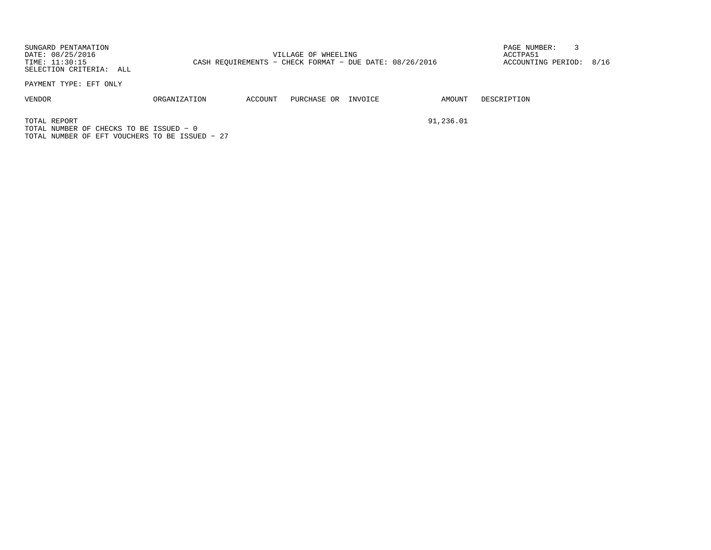SUNGARD PENTAMATION PAGE NUMBER: 3DATE: 08/25/2016 VILLAGE OF WHEELING ACCTPA51TIME: 11:30:15 CASH REQUIREMENTS - CHECK FORMAT - DUE DATE: 08/26/2016 SELECTION CRITERIA: ALL

ACCOUNTING PERIOD: 8/16

PAYMENT TYPE: EFT ONLY

VENDOR ORGANIZATION ACCOUNT PURCHASE OR INVOICE AMOUNT DESCRIPTION

TOTAL REPORT 91,236.01TOTAL NUMBER OF CHECKS TO BE ISSUED − 0TOTAL NUMBER OF EFT VOUCHERS TO BE ISSUED − 27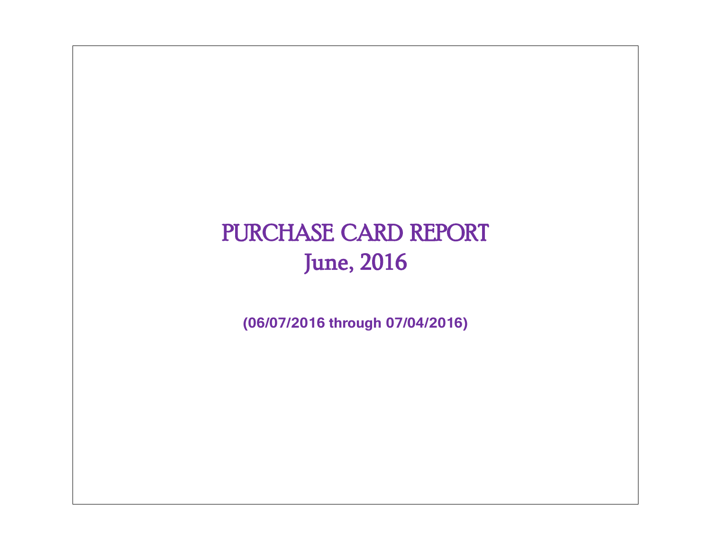# PURCHASE CARD REPORT June, 2016

**(06/07/2016 through 07/04/2016)**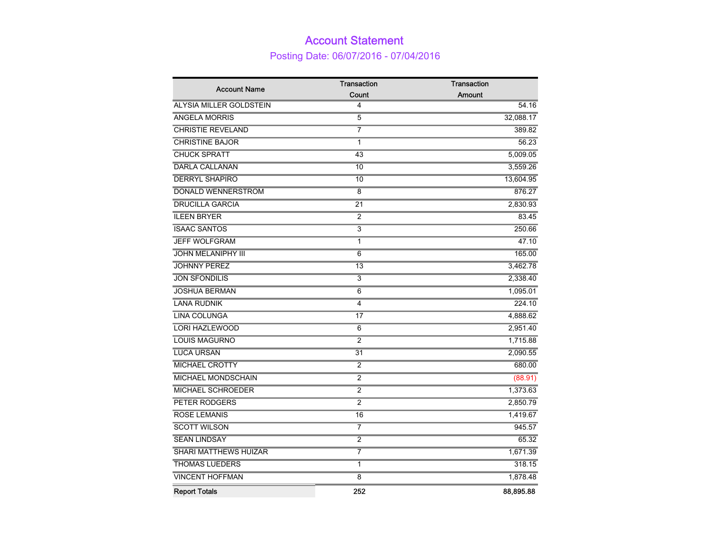## Account Statement Posting Date: 06/07/2016 - 07/04/2016

| <b>Account Name</b>            | Transaction             | Transaction   |
|--------------------------------|-------------------------|---------------|
|                                | Count                   | <b>Amount</b> |
| <b>ALYSIA MILLER GOLDSTEIN</b> | 4                       | 54.16         |
| <b>ANGELA MORRIS</b>           | 5                       | 32,088.17     |
| <b>CHRISTIE REVELAND</b>       | 7                       | 389.82        |
| <b>CHRISTINE BAJOR</b>         | 1                       | 56.23         |
| <b>CHUCK SPRATT</b>            | 43                      | 5,009.05      |
| <b>DARLA CALLANAN</b>          | 10                      | 3,559.26      |
| <b>DERRYL SHAPIRO</b>          | 10                      | 13,604.95     |
| <b>DONALD WENNERSTROM</b>      | $\overline{8}$          | 876.27        |
| <b>DRUCILLA GARCIA</b>         | $\overline{21}$         | 2,830.93      |
| <b>ILEEN BRYER</b>             | 2                       | 83.45         |
| <b>ISAAC SANTOS</b>            | $\overline{\mathbf{3}}$ | 250.66        |
| <b>JEFF WOLFGRAM</b>           | 1                       | 47.10         |
| <b>JOHN MELANIPHY III</b>      | $\overline{6}$          | 165.00        |
| <b>JOHNNY PEREZ</b>            | $\overline{13}$         | 3,462.78      |
| <b>JON SFONDILIS</b>           | $\overline{3}$          | 2,338.40      |
| <b>JOSHUA BERMAN</b>           | $\overline{6}$          | 1,095.01      |
| <b>LANA RUDNIK</b>             | 4                       | 224.10        |
| <b>LINA COLUNGA</b>            | 17                      | 4,888.62      |
| <b>LORI HAZLEWOOD</b>          | $\overline{6}$          | 2,951.40      |
| <b>LOUIS MAGURNO</b>           | $\overline{2}$          | 1,715.88      |
| <b>LUCA URSAN</b>              | 31                      | 2,090.55      |
| <b>MICHAEL CROTTY</b>          | $\overline{2}$          | 680.00        |
| <b>MICHAEL MONDSCHAIN</b>      | $\overline{2}$          | (88.91)       |
| <b>MICHAEL SCHROEDER</b>       | $\overline{2}$          | 1,373.63      |
| PETER RODGERS                  | 2                       | 2,850.79      |
| <b>ROSE LEMANIS</b>            | 16                      | 1,419.67      |
| <b>SCOTT WILSON</b>            | 7                       | 945.57        |
| <b>SEAN LINDSAY</b>            | $\overline{2}$          | 65.32         |
| <b>SHARI MATTHEWS HUIZAR</b>   | 7                       | 1,671.39      |
| <b>THOMAS LUEDERS</b>          | 1                       | 318.15        |
| <b>VINCENT HOFFMAN</b>         | $\overline{8}$          | 1,878.48      |
| <b>Report Totals</b>           | 252                     | 88,895.88     |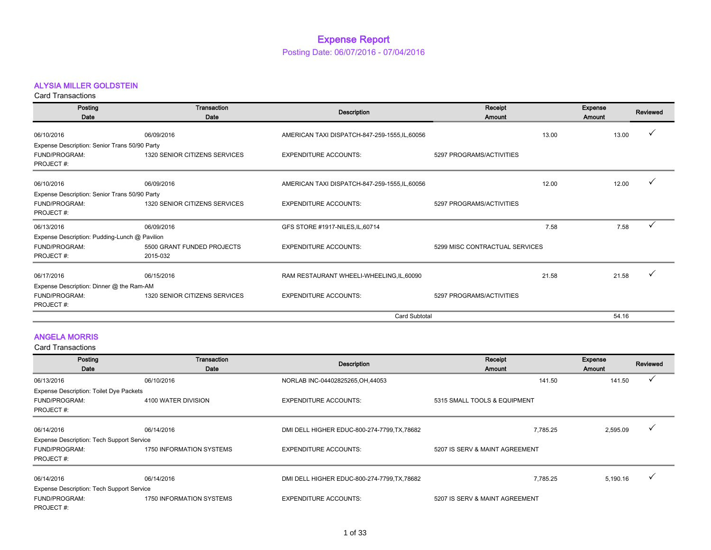## ALYSIA MILLER GOLDSTEIN

Card Transactions

| Posting<br>Date                               | Transaction<br>Date           | <b>Description</b>                           | Receipt<br>Amount              |       | Expense<br>Amount | Reviewed |
|-----------------------------------------------|-------------------------------|----------------------------------------------|--------------------------------|-------|-------------------|----------|
| 06/10/2016                                    | 06/09/2016                    | AMERICAN TAXI DISPATCH-847-259-1555,IL,60056 |                                | 13.00 | 13.00             |          |
| Expense Description: Senior Trans 50/90 Party |                               |                                              |                                |       |                   |          |
| <b>FUND/PROGRAM:</b><br>PROJECT#:             | 1320 SENIOR CITIZENS SERVICES | <b>EXPENDITURE ACCOUNTS:</b>                 | 5297 PROGRAMS/ACTIVITIES       |       |                   |          |
| 06/10/2016                                    | 06/09/2016                    | AMERICAN TAXI DISPATCH-847-259-1555,IL,60056 |                                | 12.00 | 12.00             |          |
| Expense Description: Senior Trans 50/90 Party |                               |                                              |                                |       |                   |          |
| FUND/PROGRAM:                                 | 1320 SENIOR CITIZENS SERVICES | <b>EXPENDITURE ACCOUNTS:</b>                 | 5297 PROGRAMS/ACTIVITIES       |       |                   |          |
| PROJECT#:                                     |                               |                                              |                                |       |                   |          |
| 06/13/2016                                    | 06/09/2016                    | GFS STORE #1917-NILES, IL, 60714             |                                | 7.58  | 7.58              |          |
| Expense Description: Pudding-Lunch @ Pavilion |                               |                                              |                                |       |                   |          |
| <b>FUND/PROGRAM:</b>                          | 5500 GRANT FUNDED PROJECTS    | <b>EXPENDITURE ACCOUNTS:</b>                 | 5299 MISC CONTRACTUAL SERVICES |       |                   |          |
| PROJECT#:                                     | 2015-032                      |                                              |                                |       |                   |          |
| 06/17/2016                                    | 06/15/2016                    | RAM RESTAURANT WHEELI-WHEELING, IL, 60090    |                                | 21.58 | 21.58             |          |
| Expense Description: Dinner @ the Ram-AM      |                               |                                              |                                |       |                   |          |
| <b>FUND/PROGRAM:</b>                          | 1320 SENIOR CITIZENS SERVICES | <b>EXPENDITURE ACCOUNTS:</b>                 | 5297 PROGRAMS/ACTIVITIES       |       |                   |          |
| PROJECT#:                                     |                               |                                              |                                |       |                   |          |
|                                               |                               | <b>Card Subtotal</b>                         |                                |       | 54.16             |          |

## ANGELA MORRIS

| Posting<br>Date                                  | Transaction<br>Date      | Description                                  | Receipt<br>Amount              | Expense<br><b>Amount</b> | Reviewed |
|--------------------------------------------------|--------------------------|----------------------------------------------|--------------------------------|--------------------------|----------|
| 06/13/2016                                       | 06/10/2016               | NORLAB INC-04402825265, OH, 44053            | 141.50                         | 141.50                   |          |
| Expense Description: Toilet Dye Packets          |                          |                                              |                                |                          |          |
| FUND/PROGRAM:                                    | 4100 WATER DIVISION      | <b>EXPENDITURE ACCOUNTS:</b>                 | 5315 SMALL TOOLS & EQUIPMENT   |                          |          |
| PROJECT#:                                        |                          |                                              |                                |                          |          |
| 06/14/2016                                       | 06/14/2016               | DMI DELL HIGHER EDUC-800-274-7799, TX, 78682 | 7.785.25                       | 2,595.09                 |          |
| Expense Description: Tech Support Service        |                          |                                              |                                |                          |          |
| FUND/PROGRAM:                                    | 1750 INFORMATION SYSTEMS | <b>EXPENDITURE ACCOUNTS:</b>                 | 5207 IS SERV & MAINT AGREEMENT |                          |          |
| PROJECT#:                                        |                          |                                              |                                |                          |          |
| 06/14/2016                                       | 06/14/2016               | DMI DELL HIGHER EDUC-800-274-7799, TX, 78682 | 7.785.25                       | 5,190.16                 |          |
| <b>Expense Description: Tech Support Service</b> |                          |                                              |                                |                          |          |
| FUND/PROGRAM:                                    | 1750 INFORMATION SYSTEMS | <b>EXPENDITURE ACCOUNTS:</b>                 | 5207 IS SERV & MAINT AGREEMENT |                          |          |
| PROJECT#:                                        |                          |                                              |                                |                          |          |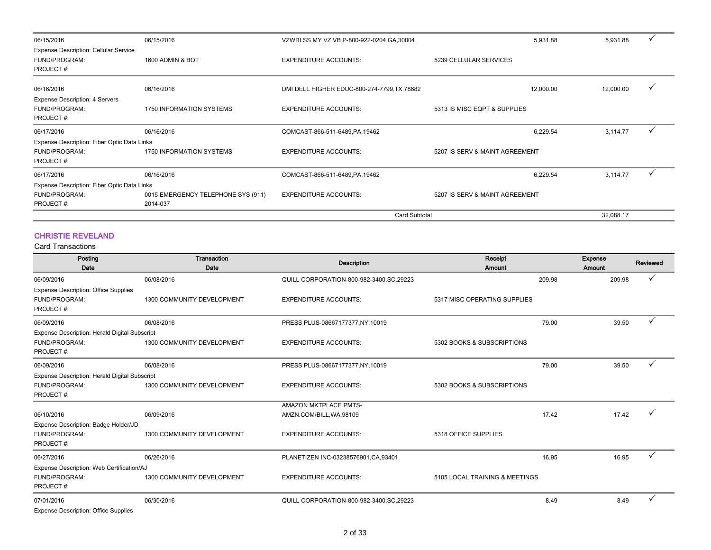| 06/15/2016                                   | 06/15/2016                         | VZWRLSS MY VZ VB P-800-922-0204, GA, 30004   |                                | 5,931.88<br>5,931.88   | $\checkmark$ |
|----------------------------------------------|------------------------------------|----------------------------------------------|--------------------------------|------------------------|--------------|
| <b>Expense Description: Cellular Service</b> |                                    |                                              |                                |                        |              |
| FUND/PROGRAM:                                | 1600 ADMIN & BOT                   | <b>EXPENDITURE ACCOUNTS:</b>                 | 5239 CELLULAR SERVICES         |                        |              |
| PROJECT#:                                    |                                    |                                              |                                |                        |              |
| 06/16/2016                                   | 06/16/2016                         | DMI DELL HIGHER EDUC-800-274-7799, TX, 78682 |                                | 12,000.00<br>12,000.00 | $\checkmark$ |
| Expense Description: 4 Servers               |                                    |                                              |                                |                        |              |
| FUND/PROGRAM:                                | 1750 INFORMATION SYSTEMS           | <b>EXPENDITURE ACCOUNTS:</b>                 | 5313 IS MISC EQPT & SUPPLIES   |                        |              |
| PROJECT#:                                    |                                    |                                              |                                |                        |              |
| 06/17/2016                                   | 06/16/2016                         | COMCAST-866-511-6489, PA, 19462              |                                | 6,229.54<br>3,114.77   | $\checkmark$ |
| Expense Description: Fiber Optic Data Links  |                                    |                                              |                                |                        |              |
| FUND/PROGRAM:                                | 1750 INFORMATION SYSTEMS           | <b>EXPENDITURE ACCOUNTS:</b>                 | 5207 IS SERV & MAINT AGREEMENT |                        |              |
| PROJECT#:                                    |                                    |                                              |                                |                        |              |
| 06/17/2016                                   | 06/16/2016                         | COMCAST-866-511-6489, PA, 19462              |                                | 3,114.77<br>6,229.54   | $\checkmark$ |
| Expense Description: Fiber Optic Data Links  |                                    |                                              |                                |                        |              |
| FUND/PROGRAM:                                | 0015 EMERGENCY TELEPHONE SYS (911) | <b>EXPENDITURE ACCOUNTS:</b>                 | 5207 IS SERV & MAINT AGREEMENT |                        |              |
| PROJECT#:                                    | 2014-037                           |                                              |                                |                        |              |
|                                              |                                    | <b>Card Subtotal</b>                         |                                | 32,088.17              |              |

## CHRISTIE REVELAND

| Posting<br>Date                                      | <b>Transaction</b><br>Date | <b>Description</b>                        | Receipt<br>Amount              | <b>Expense</b><br><b>Amount</b> | Reviewed |
|------------------------------------------------------|----------------------------|-------------------------------------------|--------------------------------|---------------------------------|----------|
| 06/09/2016                                           | 06/08/2016                 | QUILL CORPORATION-800-982-3400, SC, 29223 | 209.98                         | 209.98                          |          |
| <b>Expense Description: Office Supplies</b>          |                            |                                           |                                |                                 |          |
| <b>FUND/PROGRAM:</b>                                 | 1300 COMMUNITY DEVELOPMENT | <b>EXPENDITURE ACCOUNTS:</b>              | 5317 MISC OPERATING SUPPLIES   |                                 |          |
| PROJECT#:                                            |                            |                                           |                                |                                 |          |
| 06/09/2016                                           | 06/08/2016                 | PRESS PLUS-08667177377, NY, 10019         | 79.00                          | 39.50                           | ✓        |
| Expense Description: Herald Digital Subscript        |                            |                                           |                                |                                 |          |
| FUND/PROGRAM:                                        | 1300 COMMUNITY DEVELOPMENT | <b>EXPENDITURE ACCOUNTS:</b>              | 5302 BOOKS & SUBSCRIPTIONS     |                                 |          |
| PROJECT#:                                            |                            |                                           |                                |                                 |          |
| 06/09/2016                                           | 06/08/2016                 | PRESS PLUS-08667177377, NY, 10019         | 79.00                          | 39.50                           | ✓        |
| <b>Expense Description: Herald Digital Subscript</b> |                            |                                           |                                |                                 |          |
| FUND/PROGRAM:                                        | 1300 COMMUNITY DEVELOPMENT | <b>EXPENDITURE ACCOUNTS:</b>              | 5302 BOOKS & SUBSCRIPTIONS     |                                 |          |
| PROJECT#:                                            |                            |                                           |                                |                                 |          |
|                                                      |                            | <b>AMAZON MKTPLACE PMTS-</b>              |                                |                                 |          |
| 06/10/2016                                           | 06/09/2016                 | AMZN.COM/BILL, WA, 98109                  | 17.42                          | 17.42                           |          |
| Expense Description: Badge Holder/JD                 |                            |                                           |                                |                                 |          |
| FUND/PROGRAM:                                        | 1300 COMMUNITY DEVELOPMENT | <b>EXPENDITURE ACCOUNTS:</b>              | 5318 OFFICE SUPPLIES           |                                 |          |
| PROJECT#:                                            |                            |                                           |                                |                                 |          |
| 06/27/2016                                           | 06/26/2016                 | PLANETIZEN INC-03238576901, CA, 93401     | 16.95                          | 16.95                           | ✓        |
| Expense Description: Web Certification/AJ            |                            |                                           |                                |                                 |          |
| FUND/PROGRAM:                                        | 1300 COMMUNITY DEVELOPMENT | <b>EXPENDITURE ACCOUNTS:</b>              | 5105 LOCAL TRAINING & MEETINGS |                                 |          |
| PROJECT#:                                            |                            |                                           |                                |                                 |          |
| 07/01/2016                                           | 06/30/2016                 | QUILL CORPORATION-800-982-3400, SC, 29223 | 8.49                           | 8.49                            | v        |
| <b>Expense Description: Office Supplies</b>          |                            |                                           |                                |                                 |          |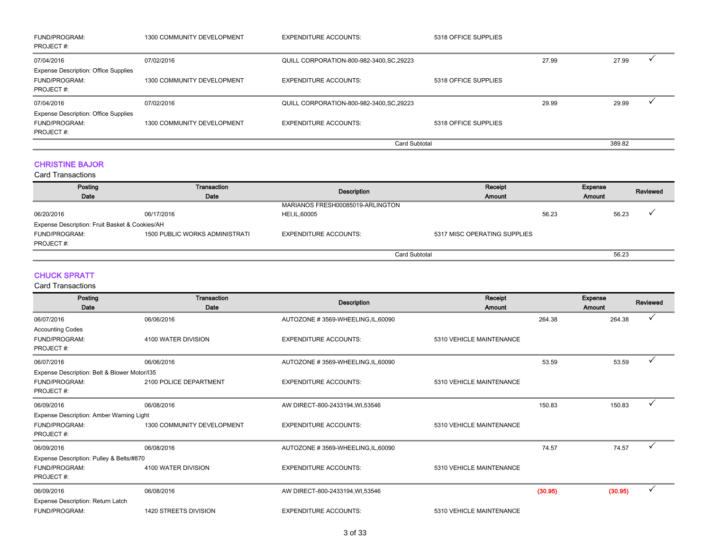| <b>FUND/PROGRAM:</b><br>PROJECT#:                                                | 1300 COMMUNITY DEVELOPMENT | <b>EXPENDITURE ACCOUNTS:</b>              | 5318 OFFICE SUPPLIES |       |        |  |
|----------------------------------------------------------------------------------|----------------------------|-------------------------------------------|----------------------|-------|--------|--|
| 07/04/2016                                                                       | 07/02/2016                 | QUILL CORPORATION-800-982-3400, SC, 29223 |                      | 27.99 | 27.99  |  |
| <b>Expense Description: Office Supplies</b><br><b>FUND/PROGRAM:</b><br>PROJECT#: | 1300 COMMUNITY DEVELOPMENT | <b>EXPENDITURE ACCOUNTS:</b>              | 5318 OFFICE SUPPLIES |       |        |  |
| 07/04/2016                                                                       | 07/02/2016                 | QUILL CORPORATION-800-982-3400, SC, 29223 |                      | 29.99 | 29.99  |  |
| <b>Expense Description: Office Supplies</b><br><b>FUND/PROGRAM:</b><br>PROJECT#: | 1300 COMMUNITY DEVELOPMENT | <b>EXPENDITURE ACCOUNTS:</b>              | 5318 OFFICE SUPPLIES |       |        |  |
|                                                                                  |                            | Card Subtotal                             |                      |       | 389.82 |  |

## CHRISTINE BAJOR

Card Transactions

| Posting                                        | Transaction                           | Description                      | Receipt                      | <b>Expense</b> |               | Reviewed |
|------------------------------------------------|---------------------------------------|----------------------------------|------------------------------|----------------|---------------|----------|
| Date                                           | Date                                  |                                  | Amount                       |                | <b>Amount</b> |          |
|                                                |                                       | MARIANOS FRESH00085019-ARLINGTON |                              |                |               |          |
| 06/20/2016                                     | 06/17/2016                            | HEI, IL, 60005                   |                              | 56.23          | 56.23         |          |
| Expense Description: Fruit Basket & Cookies/AH |                                       |                                  |                              |                |               |          |
| <b>FUND/PROGRAM:</b>                           | <b>1500 PUBLIC WORKS ADMINISTRATI</b> | <b>EXPENDITURE ACCOUNTS:</b>     | 5317 MISC OPERATING SUPPLIES |                |               |          |
| PROJECT#:                                      |                                       |                                  |                              |                |               |          |
|                                                |                                       | Card Subtotal                    |                              |                | 56.23         |          |

## CHUCK SPRATT

| Posting                                      | <b>Transaction</b>         | <b>Description</b>                 | Receipt                  |         | Expense | Reviewed     |
|----------------------------------------------|----------------------------|------------------------------------|--------------------------|---------|---------|--------------|
| Date                                         | Date                       |                                    | Amount                   |         | Amount  |              |
| 06/07/2016                                   | 06/06/2016                 | AUTOZONE #3569-WHEELING, IL, 60090 |                          | 264.38  | 264.38  |              |
| <b>Accounting Codes</b>                      |                            |                                    |                          |         |         |              |
| <b>FUND/PROGRAM:</b>                         | 4100 WATER DIVISION        | <b>EXPENDITURE ACCOUNTS:</b>       | 5310 VEHICLE MAINTENANCE |         |         |              |
| PROJECT#:                                    |                            |                                    |                          |         |         |              |
| 06/07/2016                                   | 06/06/2016                 | AUTOZONE #3569-WHEELING, IL, 60090 |                          | 53.59   | 53.59   | $\checkmark$ |
| Expense Description: Belt & Blower Motor/135 |                            |                                    |                          |         |         |              |
| FUND/PROGRAM:                                | 2100 POLICE DEPARTMENT     | <b>EXPENDITURE ACCOUNTS:</b>       | 5310 VEHICLE MAINTENANCE |         |         |              |
| PROJECT#:                                    |                            |                                    |                          |         |         |              |
| 06/09/2016                                   | 06/08/2016                 | AW DIRECT-800-2433194, WI,53546    |                          | 150.83  | 150.83  | $\checkmark$ |
| Expense Description: Amber Warning Light     |                            |                                    |                          |         |         |              |
| FUND/PROGRAM:                                | 1300 COMMUNITY DEVELOPMENT | <b>EXPENDITURE ACCOUNTS:</b>       | 5310 VEHICLE MAINTENANCE |         |         |              |
| PROJECT#:                                    |                            |                                    |                          |         |         |              |
| 06/09/2016                                   | 06/08/2016                 | AUTOZONE #3569-WHEELING, IL, 60090 |                          | 74.57   | 74.57   |              |
| Expense Description: Pulley & Belts/#870     |                            |                                    |                          |         |         |              |
| <b>FUND/PROGRAM:</b>                         | 4100 WATER DIVISION        | <b>EXPENDITURE ACCOUNTS:</b>       | 5310 VEHICLE MAINTENANCE |         |         |              |
| PROJECT#:                                    |                            |                                    |                          |         |         |              |
| 06/09/2016                                   | 06/08/2016                 | AW DIRECT-800-2433194, WI,53546    |                          | (30.95) | (30.95) |              |
| Expense Description: Return Latch            |                            |                                    |                          |         |         |              |
| FUND/PROGRAM:                                | 1420 STREETS DIVISION      | <b>EXPENDITURE ACCOUNTS:</b>       | 5310 VEHICLE MAINTENANCE |         |         |              |
|                                              |                            |                                    |                          |         |         |              |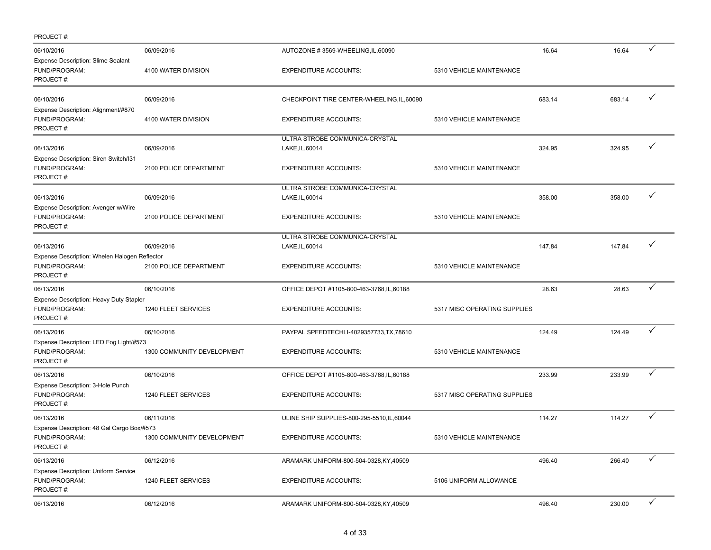| PROJECT#:                                                                   |                            |                                                   |                              |        |        |              |
|-----------------------------------------------------------------------------|----------------------------|---------------------------------------------------|------------------------------|--------|--------|--------------|
| 06/10/2016<br>Expense Description: Slime Sealant                            | 06/09/2016                 | AUTOZONE #3569-WHEELING, IL, 60090                |                              | 16.64  | 16.64  | ✓            |
| FUND/PROGRAM:<br>PROJECT#:                                                  | 4100 WATER DIVISION        | <b>EXPENDITURE ACCOUNTS:</b>                      | 5310 VEHICLE MAINTENANCE     |        |        |              |
| 06/10/2016<br>Expense Description: Alignment/#870                           | 06/09/2016                 | CHECKPOINT TIRE CENTER-WHEELING, IL, 60090        |                              | 683.14 | 683.14 | ✓            |
| FUND/PROGRAM:<br>PROJECT#:                                                  | 4100 WATER DIVISION        | <b>EXPENDITURE ACCOUNTS:</b>                      | 5310 VEHICLE MAINTENANCE     |        |        |              |
| 06/13/2016                                                                  | 06/09/2016                 | ULTRA STROBE COMMUNICA-CRYSTAL<br>LAKE, IL, 60014 |                              | 324.95 | 324.95 | ✓            |
| Expense Description: Siren Switch/I31<br>FUND/PROGRAM:<br>PROJECT#:         | 2100 POLICE DEPARTMENT     | <b>EXPENDITURE ACCOUNTS:</b>                      | 5310 VEHICLE MAINTENANCE     |        |        |              |
| 06/13/2016                                                                  | 06/09/2016                 | ULTRA STROBE COMMUNICA-CRYSTAL                    |                              | 358.00 | 358.00 | ✓            |
| Expense Description: Avenger w/Wire                                         |                            | LAKE, IL, 60014                                   |                              |        |        |              |
| FUND/PROGRAM:<br>PROJECT#:                                                  | 2100 POLICE DEPARTMENT     | <b>EXPENDITURE ACCOUNTS:</b>                      | 5310 VEHICLE MAINTENANCE     |        |        |              |
|                                                                             |                            | ULTRA STROBE COMMUNICA-CRYSTAL                    |                              |        |        | ✓            |
| 06/13/2016                                                                  | 06/09/2016                 | LAKE, IL, 60014                                   |                              | 147.84 | 147.84 |              |
| Expense Description: Whelen Halogen Reflector<br>FUND/PROGRAM:<br>PROJECT#: | 2100 POLICE DEPARTMENT     | <b>EXPENDITURE ACCOUNTS:</b>                      | 5310 VEHICLE MAINTENANCE     |        |        |              |
| 06/13/2016                                                                  | 06/10/2016                 | OFFICE DEPOT #1105-800-463-3768, IL, 60188        |                              | 28.63  | 28.63  | ✓            |
| Expense Description: Heavy Duty Stapler                                     |                            |                                                   |                              |        |        |              |
| FUND/PROGRAM:<br>PROJECT#:                                                  | 1240 FLEET SERVICES        | <b>EXPENDITURE ACCOUNTS:</b>                      | 5317 MISC OPERATING SUPPLIES |        |        |              |
| 06/13/2016                                                                  | 06/10/2016                 | PAYPAL SPEEDTECHLI-4029357733, TX, 78610          |                              | 124.49 | 124.49 | $\checkmark$ |
| Expense Description: LED Fog Light/#573<br>FUND/PROGRAM:<br>PROJECT#:       | 1300 COMMUNITY DEVELOPMENT | <b>EXPENDITURE ACCOUNTS:</b>                      | 5310 VEHICLE MAINTENANCE     |        |        |              |
| 06/13/2016                                                                  | 06/10/2016                 | OFFICE DEPOT #1105-800-463-3768, IL, 60188        |                              | 233.99 | 233.99 | $\checkmark$ |
| Expense Description: 3-Hole Punch<br>FUND/PROGRAM:<br>PROJECT#:             | 1240 FLEET SERVICES        | <b>EXPENDITURE ACCOUNTS:</b>                      | 5317 MISC OPERATING SUPPLIES |        |        |              |
| 06/13/2016                                                                  | 06/11/2016                 | ULINE SHIP SUPPLIES-800-295-5510, IL, 60044       |                              | 114.27 | 114.27 | $\checkmark$ |
| Expense Description: 48 Gal Cargo Box/#573                                  |                            |                                                   |                              |        |        |              |
| FUND/PROGRAM:<br>PROJECT#:                                                  | 1300 COMMUNITY DEVELOPMENT | <b>EXPENDITURE ACCOUNTS:</b>                      | 5310 VEHICLE MAINTENANCE     |        |        |              |
| 06/13/2016                                                                  | 06/12/2016                 | ARAMARK UNIFORM-800-504-0328, KY, 40509           |                              | 496.40 | 266.40 | ✓            |
| <b>Expense Description: Uniform Service</b><br>FUND/PROGRAM:<br>PROJECT #:  | 1240 FLEET SERVICES        | <b>EXPENDITURE ACCOUNTS:</b>                      | 5106 UNIFORM ALLOWANCE       |        |        |              |
| 06/13/2016                                                                  | 06/12/2016                 | ARAMARK UNIFORM-800-504-0328, KY, 40509           |                              | 496.40 | 230.00 | $\checkmark$ |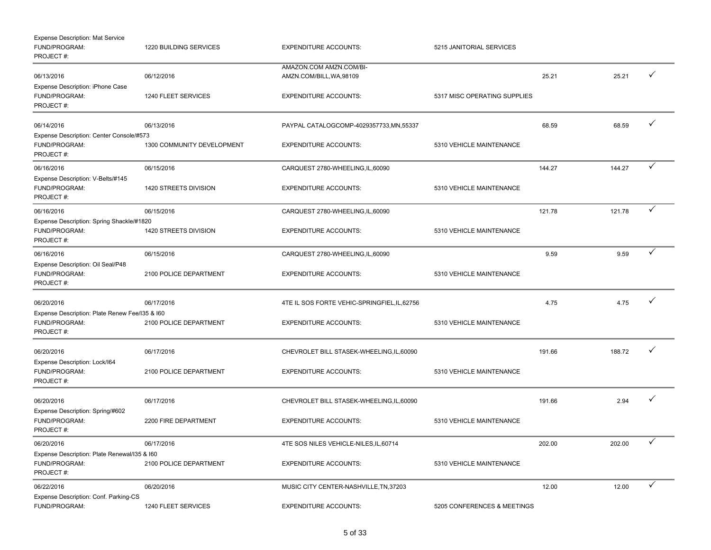| <b>Expense Description: Mat Service</b><br>FUND/PROGRAM:<br>PROJECT#:        | 1220 BUILDING SERVICES     | <b>EXPENDITURE ACCOUNTS:</b>                        | 5215 JANITORIAL SERVICES     |        |        |              |
|------------------------------------------------------------------------------|----------------------------|-----------------------------------------------------|------------------------------|--------|--------|--------------|
| 06/13/2016<br>Expense Description: iPhone Case                               | 06/12/2016                 | AMAZON.COM AMZN.COM/BI-<br>AMZN.COM/BILL, WA, 98109 |                              | 25.21  | 25.21  | ✓            |
| FUND/PROGRAM:<br>PROJECT#:                                                   | 1240 FLEET SERVICES        | <b>EXPENDITURE ACCOUNTS:</b>                        | 5317 MISC OPERATING SUPPLIES |        |        |              |
| 06/14/2016                                                                   | 06/13/2016                 | PAYPAL CATALOGCOMP-4029357733, MN, 55337            |                              | 68.59  | 68.59  | ✓            |
| Expense Description: Center Console/#573<br>FUND/PROGRAM:<br>PROJECT#:       | 1300 COMMUNITY DEVELOPMENT | <b>EXPENDITURE ACCOUNTS:</b>                        | 5310 VEHICLE MAINTENANCE     |        |        |              |
| 06/16/2016                                                                   | 06/15/2016                 | CARQUEST 2780-WHEELING, IL, 60090                   |                              | 144.27 | 144.27 | ✓            |
| Expense Description: V-Belts/#145<br>FUND/PROGRAM:<br>PROJECT#:              | 1420 STREETS DIVISION      | <b>EXPENDITURE ACCOUNTS:</b>                        | 5310 VEHICLE MAINTENANCE     |        |        |              |
| 06/16/2016                                                                   | 06/15/2016                 | CARQUEST 2780-WHEELING, IL, 60090                   |                              | 121.78 | 121.78 | ✓            |
| Expense Description: Spring Shackle/#1820<br>FUND/PROGRAM:<br>PROJECT#:      | 1420 STREETS DIVISION      | <b>EXPENDITURE ACCOUNTS:</b>                        | 5310 VEHICLE MAINTENANCE     |        |        |              |
| 06/16/2016                                                                   | 06/15/2016                 | CARQUEST 2780-WHEELING, IL, 60090                   |                              | 9.59   | 9.59   | ✓            |
| Expense Description: Oil Seal/P48<br>FUND/PROGRAM:<br>PROJECT#:              | 2100 POLICE DEPARTMENT     | <b>EXPENDITURE ACCOUNTS:</b>                        | 5310 VEHICLE MAINTENANCE     |        |        |              |
| 06/20/2016                                                                   | 06/17/2016                 | 4TE IL SOS FORTE VEHIC-SPRINGFIEL, IL, 62756        |                              | 4.75   | 4.75   |              |
| Expense Description: Plate Renew Fee/I35 & I60<br>FUND/PROGRAM:<br>PROJECT#: | 2100 POLICE DEPARTMENT     | <b>EXPENDITURE ACCOUNTS:</b>                        | 5310 VEHICLE MAINTENANCE     |        |        |              |
| 06/20/2016                                                                   | 06/17/2016                 | CHEVROLET BILL STASEK-WHEELING,IL,60090             |                              | 191.66 | 188.72 | ✓            |
| Expense Description: Lock/I64<br>FUND/PROGRAM:<br>PROJECT#:                  | 2100 POLICE DEPARTMENT     | <b>EXPENDITURE ACCOUNTS:</b>                        | 5310 VEHICLE MAINTENANCE     |        |        |              |
| 06/20/2016<br>Expense Description: Spring/#602                               | 06/17/2016                 | CHEVROLET BILL STASEK-WHEELING,IL,60090             |                              | 191.66 | 2.94   | ✓            |
| FUND/PROGRAM:<br>PROJECT#:                                                   | 2200 FIRE DEPARTMENT       | <b>EXPENDITURE ACCOUNTS:</b>                        | 5310 VEHICLE MAINTENANCE     |        |        |              |
| 06/20/2016                                                                   | 06/17/2016                 | 4TE SOS NILES VEHICLE-NILES, IL, 60714              |                              | 202.00 | 202.00 | ✓            |
| Expense Description: Plate Renewal/135 & 160<br>FUND/PROGRAM:<br>PROJECT#:   | 2100 POLICE DEPARTMENT     | <b>EXPENDITURE ACCOUNTS:</b>                        | 5310 VEHICLE MAINTENANCE     |        |        |              |
| 06/22/2016                                                                   | 06/20/2016                 | MUSIC CITY CENTER-NASHVILLE, TN, 37203              |                              | 12.00  | 12.00  | $\checkmark$ |
| Expense Description: Conf. Parking-CS<br>FUND/PROGRAM:                       | 1240 FLEET SERVICES        | <b>EXPENDITURE ACCOUNTS:</b>                        | 5205 CONFERENCES & MEETINGS  |        |        |              |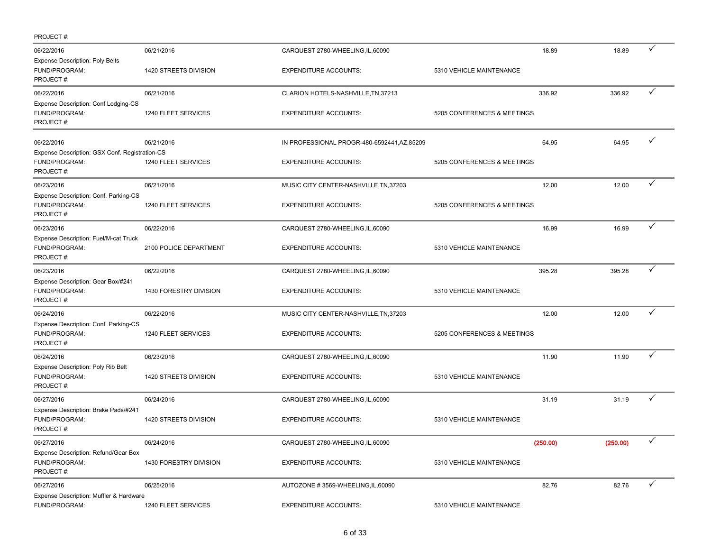| PROJECT#:                                                                    |                        |                                              |                             |          |              |
|------------------------------------------------------------------------------|------------------------|----------------------------------------------|-----------------------------|----------|--------------|
| 06/22/2016<br><b>Expense Description: Poly Belts</b>                         | 06/21/2016             | CARQUEST 2780-WHEELING, IL, 60090            | 18.89                       | 18.89    | ✓            |
| FUND/PROGRAM:<br>PROJECT#:                                                   | 1420 STREETS DIVISION  | <b>EXPENDITURE ACCOUNTS:</b>                 | 5310 VEHICLE MAINTENANCE    |          |              |
| 06/22/2016                                                                   | 06/21/2016             | CLARION HOTELS-NASHVILLE, TN, 37213          | 336.92                      | 336.92   | ✓            |
| Expense Description: Conf Lodging-CS<br>FUND/PROGRAM:<br>PROJECT#:           | 1240 FLEET SERVICES    | <b>EXPENDITURE ACCOUNTS:</b>                 | 5205 CONFERENCES & MEETINGS |          |              |
| 06/22/2016                                                                   | 06/21/2016             | IN PROFESSIONAL PROGR-480-6592441, AZ, 85209 | 64.95                       | 64.95    | ✓            |
| Expense Description: GSX Conf. Registration-CS<br>FUND/PROGRAM:<br>PROJECT#: | 1240 FLEET SERVICES    | <b>EXPENDITURE ACCOUNTS:</b>                 | 5205 CONFERENCES & MEETINGS |          |              |
| 06/23/2016                                                                   | 06/21/2016             | MUSIC CITY CENTER-NASHVILLE, TN, 37203       | 12.00                       | 12.00    |              |
| Expense Description: Conf. Parking-CS<br>FUND/PROGRAM:<br>PROJECT#:          | 1240 FLEET SERVICES    | <b>EXPENDITURE ACCOUNTS:</b>                 | 5205 CONFERENCES & MEETINGS |          |              |
| 06/23/2016                                                                   | 06/22/2016             | CARQUEST 2780-WHEELING, IL, 60090            | 16.99                       | 16.99    | ✓            |
| Expense Description: Fuel/M-cat Truck<br>FUND/PROGRAM:<br>PROJECT#:          | 2100 POLICE DEPARTMENT | <b>EXPENDITURE ACCOUNTS:</b>                 | 5310 VEHICLE MAINTENANCE    |          |              |
| 06/23/2016                                                                   | 06/22/2016             | CARQUEST 2780-WHEELING, IL, 60090            | 395.28                      | 395.28   | ✓            |
| Expense Description: Gear Box/#241<br>FUND/PROGRAM:<br>PROJECT#:             | 1430 FORESTRY DIVISION | <b>EXPENDITURE ACCOUNTS:</b>                 | 5310 VEHICLE MAINTENANCE    |          |              |
| 06/24/2016                                                                   | 06/22/2016             | MUSIC CITY CENTER-NASHVILLE, TN, 37203       | 12.00                       | 12.00    | ✓            |
| Expense Description: Conf. Parking-CS<br>FUND/PROGRAM:<br>PROJECT#:          | 1240 FLEET SERVICES    | <b>EXPENDITURE ACCOUNTS:</b>                 | 5205 CONFERENCES & MEETINGS |          |              |
| 06/24/2016                                                                   | 06/23/2016             | CARQUEST 2780-WHEELING, IL, 60090            | 11.90                       | 11.90    | ✓            |
| Expense Description: Poly Rib Belt<br>FUND/PROGRAM:<br>PROJECT#:             | 1420 STREETS DIVISION  | <b>EXPENDITURE ACCOUNTS:</b>                 | 5310 VEHICLE MAINTENANCE    |          |              |
| 06/27/2016                                                                   | 06/24/2016             | CARQUEST 2780-WHEELING, IL, 60090            | 31.19                       | 31.19    | ✓            |
| Expense Description: Brake Pads/#241<br>FUND/PROGRAM:<br>PROJECT#:           | 1420 STREETS DIVISION  | <b>EXPENDITURE ACCOUNTS:</b>                 | 5310 VEHICLE MAINTENANCE    |          |              |
| 06/27/2016                                                                   | 06/24/2016             | CARQUEST 2780-WHEELING, IL, 60090            | (250.00)                    | (250.00) | ✓            |
| Expense Description: Refund/Gear Box<br>FUND/PROGRAM:<br>PROJECT#:           | 1430 FORESTRY DIVISION | <b>EXPENDITURE ACCOUNTS:</b>                 | 5310 VEHICLE MAINTENANCE    |          |              |
| 06/27/2016                                                                   | 06/25/2016             | AUTOZONE #3569-WHEELING, IL, 60090           | 82.76                       | 82.76    | $\checkmark$ |
| Expense Description: Muffler & Hardware<br>FUND/PROGRAM:                     | 1240 FLEET SERVICES    | <b>EXPENDITURE ACCOUNTS:</b>                 | 5310 VEHICLE MAINTENANCE    |          |              |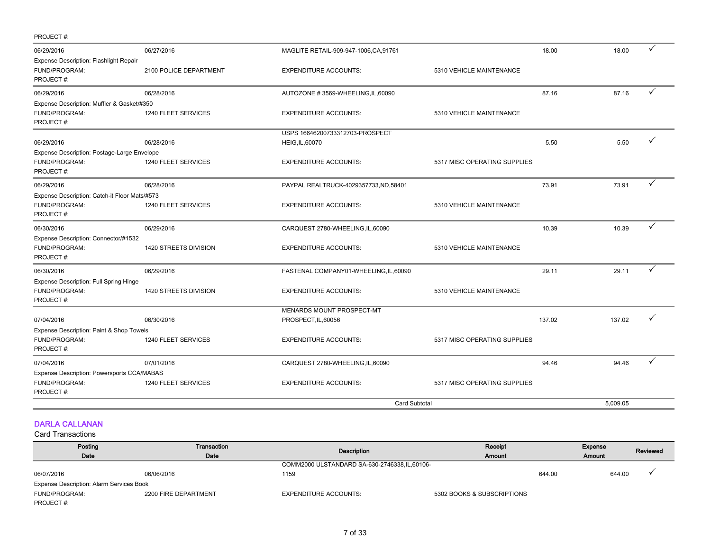| PROJECT#:                                                                   |                        |                                                           |                              |          |              |
|-----------------------------------------------------------------------------|------------------------|-----------------------------------------------------------|------------------------------|----------|--------------|
| 06/29/2016                                                                  | 06/27/2016             | MAGLITE RETAIL-909-947-1006, CA, 91761                    | 18.00                        | 18.00    | ✓            |
| Expense Description: Flashlight Repair<br><b>FUND/PROGRAM:</b><br>PROJECT#: | 2100 POLICE DEPARTMENT | <b>EXPENDITURE ACCOUNTS:</b>                              | 5310 VEHICLE MAINTENANCE     |          |              |
| 06/29/2016                                                                  | 06/28/2016             | AUTOZONE #3569-WHEELING, IL, 60090                        | 87.16                        | 87.16    | ✓            |
| Expense Description: Muffler & Gasket/#350<br>FUND/PROGRAM:<br>PROJECT#:    | 1240 FLEET SERVICES    | <b>EXPENDITURE ACCOUNTS:</b>                              | 5310 VEHICLE MAINTENANCE     |          |              |
| 06/29/2016                                                                  | 06/28/2016             | USPS 16646200733312703-PROSPECT<br><b>HEIG, IL, 60070</b> | 5.50                         | 5.50     |              |
| Expense Description: Postage-Large Envelope<br>FUND/PROGRAM:<br>PROJECT#:   | 1240 FLEET SERVICES    | <b>EXPENDITURE ACCOUNTS:</b>                              | 5317 MISC OPERATING SUPPLIES |          |              |
| 06/29/2016                                                                  | 06/28/2016             | PAYPAL REALTRUCK-4029357733, ND, 58401                    | 73.91                        | 73.91    | ✓            |
| Expense Description: Catch-it Floor Mats/#573<br>FUND/PROGRAM:<br>PROJECT#: | 1240 FLEET SERVICES    | <b>EXPENDITURE ACCOUNTS:</b>                              | 5310 VEHICLE MAINTENANCE     |          |              |
| 06/30/2016                                                                  | 06/29/2016             | CARQUEST 2780-WHEELING, IL, 60090                         | 10.39                        | 10.39    | $\checkmark$ |
| Expense Description: Connector/#1532<br>FUND/PROGRAM:<br>PROJECT#:          | 1420 STREETS DIVISION  | <b>EXPENDITURE ACCOUNTS:</b>                              | 5310 VEHICLE MAINTENANCE     |          |              |
| 06/30/2016                                                                  | 06/29/2016             | FASTENAL COMPANY01-WHEELING,IL,60090                      | 29.11                        | 29.11    |              |
| Expense Description: Full Spring Hinge<br>FUND/PROGRAM:<br>PROJECT#:        | 1420 STREETS DIVISION  | <b>EXPENDITURE ACCOUNTS:</b>                              | 5310 VEHICLE MAINTENANCE     |          |              |
| 07/04/2016<br>Expense Description: Paint & Shop Towels                      | 06/30/2016             | MENARDS MOUNT PROSPECT-MT<br>PROSPECT, IL, 60056          | 137.02                       | 137.02   | ✓            |
| FUND/PROGRAM:<br>PROJECT#:                                                  | 1240 FLEET SERVICES    | <b>EXPENDITURE ACCOUNTS:</b>                              | 5317 MISC OPERATING SUPPLIES |          |              |
| 07/04/2016                                                                  | 07/01/2016             | CARQUEST 2780-WHEELING, IL, 60090                         | 94.46                        | 94.46    |              |
| Expense Description: Powersports CCA/MABAS<br>FUND/PROGRAM:<br>PROJECT#:    | 1240 FLEET SERVICES    | <b>EXPENDITURE ACCOUNTS:</b>                              | 5317 MISC OPERATING SUPPLIES |          |              |
|                                                                             |                        | <b>Card Subtotal</b>                                      |                              | 5,009.05 |              |

## DARLA CALLANAN

| Posting                                         | Transaction          | Description                                    | Receipt                    |        | <b>Expense</b> | Reviewed |
|-------------------------------------------------|----------------------|------------------------------------------------|----------------------------|--------|----------------|----------|
| Date                                            | Date                 |                                                | Amount                     |        | <b>Amount</b>  |          |
|                                                 |                      | COMM2000 ULSTANDARD SA-630-2746338, IL, 60106- |                            |        |                |          |
| 06/07/2016                                      | 06/06/2016           | 1159                                           |                            | 644.00 | 644.00         |          |
| <b>Expense Description: Alarm Services Book</b> |                      |                                                |                            |        |                |          |
| FUND/PROGRAM:                                   | 2200 FIRE DEPARTMENT | <b>EXPENDITURE ACCOUNTS:</b>                   | 5302 BOOKS & SUBSCRIPTIONS |        |                |          |
| PROJECT#:                                       |                      |                                                |                            |        |                |          |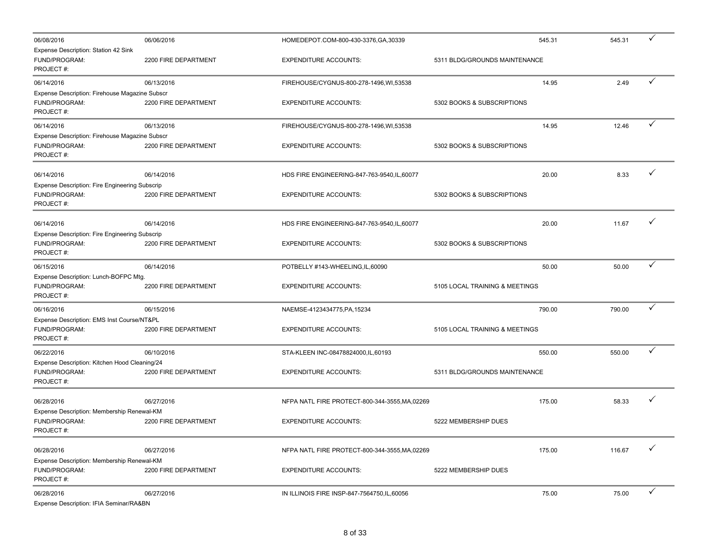| 06/08/2016                                                                   | 06/06/2016           | HOMEDEPOT.COM-800-430-3376,GA,30339            | 545.31                         | 545.31 | ✓            |
|------------------------------------------------------------------------------|----------------------|------------------------------------------------|--------------------------------|--------|--------------|
| Expense Description: Station 42 Sink<br>FUND/PROGRAM:<br>PROJECT#:           | 2200 FIRE DEPARTMENT | <b>EXPENDITURE ACCOUNTS:</b>                   | 5311 BLDG/GROUNDS MAINTENANCE  |        |              |
| 06/14/2016                                                                   | 06/13/2016           | FIREHOUSE/CYGNUS-800-278-1496, WI, 53538       | 14.95                          | 2.49   | $\checkmark$ |
| Expense Description: Firehouse Magazine Subscr<br>FUND/PROGRAM:<br>PROJECT#: | 2200 FIRE DEPARTMENT | <b>EXPENDITURE ACCOUNTS:</b>                   | 5302 BOOKS & SUBSCRIPTIONS     |        |              |
| 06/14/2016                                                                   | 06/13/2016           | FIREHOUSE/CYGNUS-800-278-1496, WI, 53538       | 14.95                          | 12.46  | ✓            |
| Expense Description: Firehouse Magazine Subscr<br>FUND/PROGRAM:<br>PROJECT#: | 2200 FIRE DEPARTMENT | <b>EXPENDITURE ACCOUNTS:</b>                   | 5302 BOOKS & SUBSCRIPTIONS     |        |              |
| 06/14/2016                                                                   | 06/14/2016           | HDS FIRE ENGINEERING-847-763-9540,IL,60077     | 20.00                          | 8.33   | ✓            |
| Expense Description: Fire Engineering Subscrip                               |                      |                                                |                                |        |              |
| FUND/PROGRAM:<br>PROJECT#:                                                   | 2200 FIRE DEPARTMENT | <b>EXPENDITURE ACCOUNTS:</b>                   | 5302 BOOKS & SUBSCRIPTIONS     |        |              |
| 06/14/2016                                                                   | 06/14/2016           | HDS FIRE ENGINEERING-847-763-9540,IL,60077     | 20.00                          | 11.67  | ✓            |
| Expense Description: Fire Engineering Subscrip                               |                      |                                                |                                |        |              |
| FUND/PROGRAM:<br>PROJECT#:                                                   | 2200 FIRE DEPARTMENT | <b>EXPENDITURE ACCOUNTS:</b>                   | 5302 BOOKS & SUBSCRIPTIONS     |        |              |
| 06/15/2016                                                                   | 06/14/2016           | POTBELLY #143-WHEELING,IL,60090                | 50.00                          | 50.00  | ✓            |
| Expense Description: Lunch-BOFPC Mtg.<br>FUND/PROGRAM:<br>PROJECT#:          | 2200 FIRE DEPARTMENT | <b>EXPENDITURE ACCOUNTS:</b>                   | 5105 LOCAL TRAINING & MEETINGS |        |              |
| 06/16/2016                                                                   | 06/15/2016           | NAEMSE-4123434775, PA, 15234                   | 790.00                         | 790.00 | ✓            |
| Expense Description: EMS Inst Course/NT&PL<br>FUND/PROGRAM:<br>PROJECT#:     | 2200 FIRE DEPARTMENT | <b>EXPENDITURE ACCOUNTS:</b>                   | 5105 LOCAL TRAINING & MEETINGS |        |              |
| 06/22/2016                                                                   | 06/10/2016           | STA-KLEEN INC-08478824000, IL, 60193           | 550.00                         | 550.00 | ✓            |
| Expense Description: Kitchen Hood Cleaning/24<br>FUND/PROGRAM:<br>PROJECT#:  | 2200 FIRE DEPARTMENT | <b>EXPENDITURE ACCOUNTS:</b>                   | 5311 BLDG/GROUNDS MAINTENANCE  |        |              |
| 06/28/2016                                                                   | 06/27/2016           | NFPA NATL FIRE PROTECT-800-344-3555, MA, 02269 | 175.00                         | 58.33  | ✓            |
| Expense Description: Membership Renewal-KM                                   |                      |                                                |                                |        |              |
| FUND/PROGRAM:<br>PROJECT#:                                                   | 2200 FIRE DEPARTMENT | <b>EXPENDITURE ACCOUNTS:</b>                   | 5222 MEMBERSHIP DUES           |        |              |
| 06/28/2016                                                                   | 06/27/2016           | NFPA NATL FIRE PROTECT-800-344-3555, MA, 02269 | 175.00                         | 116.67 |              |
| Expense Description: Membership Renewal-KM<br>FUND/PROGRAM:<br>PROJECT#:     | 2200 FIRE DEPARTMENT | <b>EXPENDITURE ACCOUNTS:</b>                   | 5222 MEMBERSHIP DUES           |        |              |
| 06/28/2016<br>Expense Description: IFIA Seminar/RA&BN                        | 06/27/2016           | IN ILLINOIS FIRE INSP-847-7564750, IL, 60056   | 75.00                          | 75.00  | ✓            |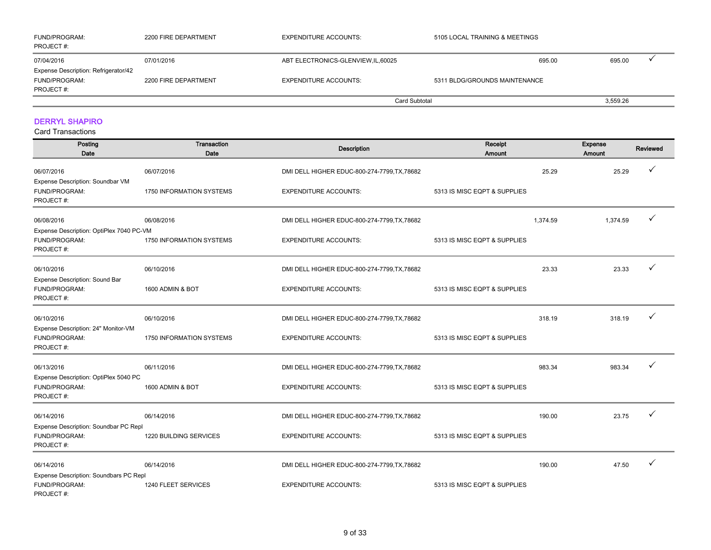| <b>FUND/PROGRAM:</b><br>PROJECT #:                           | 2200 FIRE DEPARTMENT | <b>EXPENDITURE ACCOUNTS:</b>        | 5105 LOCAL TRAINING & MEETINGS |        |          |  |
|--------------------------------------------------------------|----------------------|-------------------------------------|--------------------------------|--------|----------|--|
| 07/04/2016                                                   | 07/01/2016           | ABT ELECTRONICS-GLENVIEW, IL, 60025 |                                | 695.00 | 695.00   |  |
| Expense Description: Refrigerator/42<br><b>FUND/PROGRAM:</b> | 2200 FIRE DEPARTMENT | <b>EXPENDITURE ACCOUNTS:</b>        | 5311 BLDG/GROUNDS MAINTENANCE  |        |          |  |
| PROJECT#:                                                    |                      |                                     | Card Subtotal                  |        | 3,559.26 |  |

## DERRYL SHAPIRO

| Posting<br>Date                                                        | Transaction<br>Date             | <b>Description</b>                           | Receipt<br><b>Amount</b>     |          | Expense<br>Amount | Reviewed     |
|------------------------------------------------------------------------|---------------------------------|----------------------------------------------|------------------------------|----------|-------------------|--------------|
| 06/07/2016                                                             | 06/07/2016                      | DMI DELL HIGHER EDUC-800-274-7799, TX, 78682 |                              | 25.29    | 25.29             | $\checkmark$ |
| Expense Description: Soundbar VM<br>FUND/PROGRAM:<br>PROJECT#:         | 1750 INFORMATION SYSTEMS        | <b>EXPENDITURE ACCOUNTS:</b>                 | 5313 IS MISC EQPT & SUPPLIES |          |                   |              |
| 06/08/2016                                                             | 06/08/2016                      | DMI DELL HIGHER EDUC-800-274-7799, TX, 78682 |                              | 1,374.59 | 1,374.59          | $\checkmark$ |
| Expense Description: OptiPlex 7040 PC-VM<br>FUND/PROGRAM:<br>PROJECT#: | <b>1750 INFORMATION SYSTEMS</b> | <b>EXPENDITURE ACCOUNTS:</b>                 | 5313 IS MISC EQPT & SUPPLIES |          |                   |              |
| 06/10/2016                                                             | 06/10/2016                      | DMI DELL HIGHER EDUC-800-274-7799, TX, 78682 |                              | 23.33    | 23.33             |              |
| Expense Description: Sound Bar<br>FUND/PROGRAM:<br>PROJECT#:           | 1600 ADMIN & BOT                | <b>EXPENDITURE ACCOUNTS:</b>                 | 5313 IS MISC EQPT & SUPPLIES |          |                   |              |
| 06/10/2016                                                             | 06/10/2016                      | DMI DELL HIGHER EDUC-800-274-7799, TX, 78682 |                              | 318.19   | 318.19            | ✓            |
| Expense Description: 24" Monitor-VM<br>FUND/PROGRAM:<br>PROJECT#:      | 1750 INFORMATION SYSTEMS        | <b>EXPENDITURE ACCOUNTS:</b>                 | 5313 IS MISC EQPT & SUPPLIES |          |                   |              |
| 06/13/2016                                                             | 06/11/2016                      | DMI DELL HIGHER EDUC-800-274-7799, TX, 78682 |                              | 983.34   | 983.34            | ✓            |
| Expense Description: OptiPlex 5040 PC<br>FUND/PROGRAM:<br>PROJECT#:    | 1600 ADMIN & BOT                | <b>EXPENDITURE ACCOUNTS:</b>                 | 5313 IS MISC EQPT & SUPPLIES |          |                   |              |
| 06/14/2016                                                             | 06/14/2016                      | DMI DELL HIGHER EDUC-800-274-7799, TX, 78682 |                              | 190.00   | 23.75             | $\checkmark$ |
| Expense Description: Soundbar PC Repl<br>FUND/PROGRAM:<br>PROJECT#:    | 1220 BUILDING SERVICES          | <b>EXPENDITURE ACCOUNTS:</b>                 | 5313 IS MISC EQPT & SUPPLIES |          |                   |              |
| 06/14/2016                                                             | 06/14/2016                      | DMI DELL HIGHER EDUC-800-274-7799, TX, 78682 |                              | 190.00   | 47.50             | ✓            |
| Expense Description: Soundbars PC Repl<br>FUND/PROGRAM:<br>PROJECT#:   | 1240 FLEET SERVICES             | <b>EXPENDITURE ACCOUNTS:</b>                 | 5313 IS MISC EQPT & SUPPLIES |          |                   |              |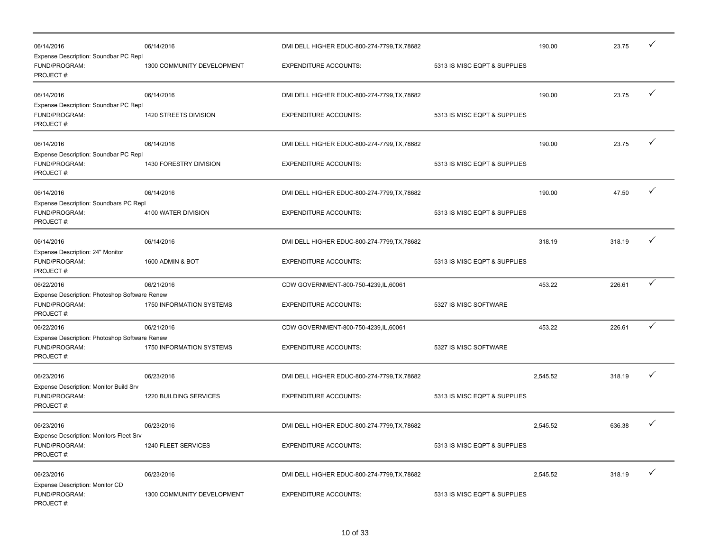| 06/14/2016<br>Expense Description: Soundbar PC Repl                         | 06/14/2016                 | DMI DELL HIGHER EDUC-800-274-7799, TX, 78682 |                              | 190.00   | 23.75  | ✓            |
|-----------------------------------------------------------------------------|----------------------------|----------------------------------------------|------------------------------|----------|--------|--------------|
| FUND/PROGRAM:<br>PROJECT#:                                                  | 1300 COMMUNITY DEVELOPMENT | <b>EXPENDITURE ACCOUNTS:</b>                 | 5313 IS MISC EQPT & SUPPLIES |          |        |              |
| 06/14/2016<br>Expense Description: Soundbar PC Repl                         | 06/14/2016                 | DMI DELL HIGHER EDUC-800-274-7799, TX, 78682 |                              | 190.00   | 23.75  | $\checkmark$ |
| FUND/PROGRAM:<br>PROJECT#:                                                  | 1420 STREETS DIVISION      | <b>EXPENDITURE ACCOUNTS:</b>                 | 5313 IS MISC EQPT & SUPPLIES |          |        |              |
| 06/14/2016                                                                  | 06/14/2016                 | DMI DELL HIGHER EDUC-800-274-7799, TX, 78682 |                              | 190.00   | 23.75  | $\checkmark$ |
| Expense Description: Soundbar PC Repl<br>FUND/PROGRAM:<br>PROJECT#:         | 1430 FORESTRY DIVISION     | <b>EXPENDITURE ACCOUNTS:</b>                 | 5313 IS MISC EQPT & SUPPLIES |          |        |              |
| 06/14/2016<br>Expense Description: Soundbars PC Repl                        | 06/14/2016                 | DMI DELL HIGHER EDUC-800-274-7799, TX, 78682 |                              | 190.00   | 47.50  | $\checkmark$ |
| FUND/PROGRAM:<br>PROJECT#:                                                  | 4100 WATER DIVISION        | <b>EXPENDITURE ACCOUNTS:</b>                 | 5313 IS MISC EQPT & SUPPLIES |          |        |              |
| 06/14/2016<br>Expense Description: 24" Monitor                              | 06/14/2016                 | DMI DELL HIGHER EDUC-800-274-7799, TX, 78682 |                              | 318.19   | 318.19 | $\checkmark$ |
| FUND/PROGRAM:<br>PROJECT#:                                                  | 1600 ADMIN & BOT           | <b>EXPENDITURE ACCOUNTS:</b>                 | 5313 IS MISC EQPT & SUPPLIES |          |        |              |
| 06/22/2016                                                                  | 06/21/2016                 | CDW GOVERNMENT-800-750-4239, IL, 60061       |                              | 453.22   | 226.61 | $\checkmark$ |
| Expense Description: Photoshop Software Renew<br>FUND/PROGRAM:<br>PROJECT#: | 1750 INFORMATION SYSTEMS   | <b>EXPENDITURE ACCOUNTS:</b>                 | 5327 IS MISC SOFTWARE        |          |        |              |
| 06/22/2016                                                                  | 06/21/2016                 | CDW GOVERNMENT-800-750-4239, IL, 60061       |                              | 453.22   | 226.61 | $\checkmark$ |
| Expense Description: Photoshop Software Renew<br>FUND/PROGRAM:<br>PROJECT#: | 1750 INFORMATION SYSTEMS   | <b>EXPENDITURE ACCOUNTS:</b>                 | 5327 IS MISC SOFTWARE        |          |        |              |
| 06/23/2016                                                                  | 06/23/2016                 | DMI DELL HIGHER EDUC-800-274-7799, TX, 78682 |                              | 2,545.52 | 318.19 | $\checkmark$ |
| Expense Description: Monitor Build Srv<br>FUND/PROGRAM:<br>PROJECT#:        | 1220 BUILDING SERVICES     | <b>EXPENDITURE ACCOUNTS:</b>                 | 5313 IS MISC EQPT & SUPPLIES |          |        |              |
| 06/23/2016                                                                  | 06/23/2016                 | DMI DELL HIGHER EDUC-800-274-7799, TX, 78682 |                              | 2,545.52 | 636.38 | $\checkmark$ |
| Expense Description: Monitors Fleet Srv<br>FUND/PROGRAM:<br>PROJECT#:       | 1240 FLEET SERVICES        | <b>EXPENDITURE ACCOUNTS:</b>                 | 5313 IS MISC EQPT & SUPPLIES |          |        |              |
| 06/23/2016<br>Expense Description: Monitor CD                               | 06/23/2016                 | DMI DELL HIGHER EDUC-800-274-7799, TX, 78682 |                              | 2,545.52 | 318.19 | $\checkmark$ |
| FUND/PROGRAM:<br>PROJECT#:                                                  | 1300 COMMUNITY DEVELOPMENT | <b>EXPENDITURE ACCOUNTS:</b>                 | 5313 IS MISC EQPT & SUPPLIES |          |        |              |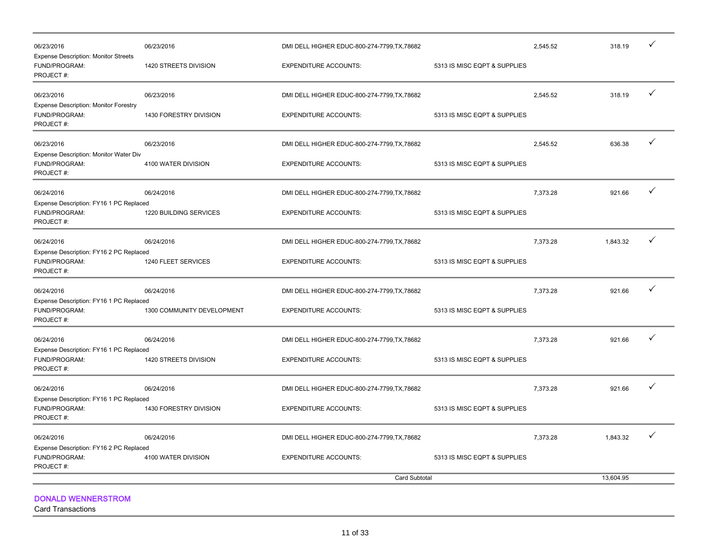| 06/23/2016                                                                 | 06/23/2016                 | DMI DELL HIGHER EDUC-800-274-7799, TX, 78682 |                              | 2,545.52 | 318.19    |   |
|----------------------------------------------------------------------------|----------------------------|----------------------------------------------|------------------------------|----------|-----------|---|
| <b>Expense Description: Monitor Streets</b><br>FUND/PROGRAM:<br>PROJECT#:  | 1420 STREETS DIVISION      | <b>EXPENDITURE ACCOUNTS:</b>                 | 5313 IS MISC EQPT & SUPPLIES |          |           |   |
| 06/23/2016                                                                 | 06/23/2016                 | DMI DELL HIGHER EDUC-800-274-7799, TX, 78682 |                              | 2,545.52 | 318.19    | ✓ |
| <b>Expense Description: Monitor Forestry</b><br>FUND/PROGRAM:<br>PROJECT#: | 1430 FORESTRY DIVISION     | <b>EXPENDITURE ACCOUNTS:</b>                 | 5313 IS MISC EQPT & SUPPLIES |          |           |   |
| 06/23/2016                                                                 | 06/23/2016                 | DMI DELL HIGHER EDUC-800-274-7799, TX, 78682 |                              | 2,545.52 | 636.38    | ✓ |
| Expense Description: Monitor Water Div<br>FUND/PROGRAM:<br>PROJECT#:       | 4100 WATER DIVISION        | <b>EXPENDITURE ACCOUNTS:</b>                 | 5313 IS MISC EQPT & SUPPLIES |          |           |   |
| 06/24/2016                                                                 | 06/24/2016                 | DMI DELL HIGHER EDUC-800-274-7799, TX, 78682 |                              | 7,373.28 | 921.66    | ✓ |
| Expense Description: FY16 1 PC Replaced<br>FUND/PROGRAM:<br>PROJECT#:      | 1220 BUILDING SERVICES     | <b>EXPENDITURE ACCOUNTS:</b>                 | 5313 IS MISC EQPT & SUPPLIES |          |           |   |
| 06/24/2016                                                                 | 06/24/2016                 | DMI DELL HIGHER EDUC-800-274-7799, TX, 78682 |                              | 7,373.28 | 1,843.32  | ✓ |
| Expense Description: FY16 2 PC Replaced<br>FUND/PROGRAM:<br>PROJECT#:      | 1240 FLEET SERVICES        | <b>EXPENDITURE ACCOUNTS:</b>                 | 5313 IS MISC EQPT & SUPPLIES |          |           |   |
| 06/24/2016                                                                 | 06/24/2016                 | DMI DELL HIGHER EDUC-800-274-7799, TX, 78682 |                              | 7,373.28 | 921.66    | ✓ |
| Expense Description: FY16 1 PC Replaced<br>FUND/PROGRAM:<br>PROJECT#:      | 1300 COMMUNITY DEVELOPMENT | <b>EXPENDITURE ACCOUNTS:</b>                 | 5313 IS MISC EQPT & SUPPLIES |          |           |   |
| 06/24/2016                                                                 | 06/24/2016                 | DMI DELL HIGHER EDUC-800-274-7799, TX, 78682 |                              | 7,373.28 | 921.66    | ✓ |
| Expense Description: FY16 1 PC Replaced<br>FUND/PROGRAM:<br>PROJECT#:      | 1420 STREETS DIVISION      | <b>EXPENDITURE ACCOUNTS:</b>                 | 5313 IS MISC EQPT & SUPPLIES |          |           |   |
| 06/24/2016                                                                 | 06/24/2016                 | DMI DELL HIGHER EDUC-800-274-7799, TX, 78682 |                              | 7,373.28 | 921.66    | ✓ |
| Expense Description: FY16 1 PC Replaced<br>FUND/PROGRAM:<br>PROJECT#:      | 1430 FORESTRY DIVISION     | <b>EXPENDITURE ACCOUNTS:</b>                 | 5313 IS MISC EQPT & SUPPLIES |          |           |   |
| 06/24/2016                                                                 | 06/24/2016                 | DMI DELL HIGHER EDUC-800-274-7799, TX, 78682 |                              | 7,373.28 | 1,843.32  | ✓ |
| Expense Description: FY16 2 PC Replaced<br>FUND/PROGRAM:<br>PROJECT#:      | 4100 WATER DIVISION        | <b>EXPENDITURE ACCOUNTS:</b>                 | 5313 IS MISC EQPT & SUPPLIES |          |           |   |
|                                                                            |                            | Card Subtotal                                |                              |          | 13.604.95 |   |
|                                                                            |                            |                                              |                              |          |           |   |

DONALD WENNERSTROM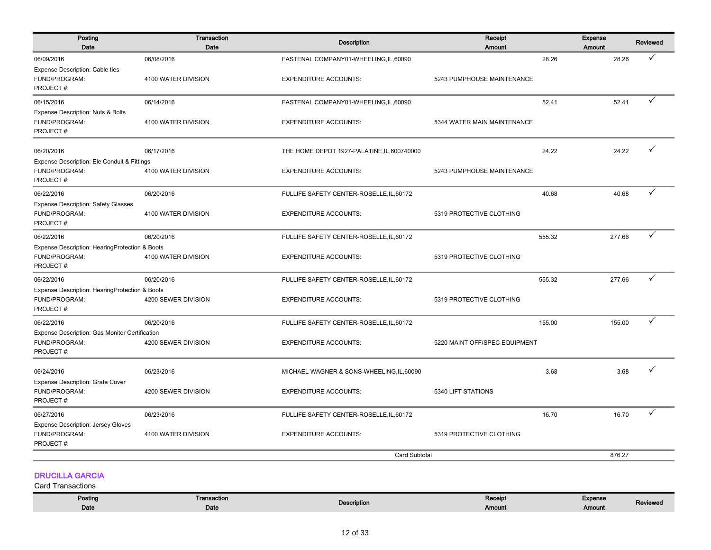| Posting<br>Date                                                              | Transaction<br>Date | <b>Description</b>                          | Receipt<br><b>Amount</b>      | Expense<br>Amount | Reviewed     |
|------------------------------------------------------------------------------|---------------------|---------------------------------------------|-------------------------------|-------------------|--------------|
| 06/09/2016                                                                   | 06/08/2016          | FASTENAL COMPANY01-WHEELING,IL,60090        | 28.26                         | 28.26             | ✓            |
| Expense Description: Cable ties<br>FUND/PROGRAM:<br>PROJECT#:                | 4100 WATER DIVISION | <b>EXPENDITURE ACCOUNTS:</b>                | 5243 PUMPHOUSE MAINTENANCE    |                   |              |
| 06/15/2016                                                                   | 06/14/2016          | FASTENAL COMPANY01-WHEELING, IL, 60090      | 52.41                         | 52.41             | $\checkmark$ |
| Expense Description: Nuts & Bolts<br>FUND/PROGRAM:<br>PROJECT#:              | 4100 WATER DIVISION | <b>EXPENDITURE ACCOUNTS:</b>                | 5344 WATER MAIN MAINTENANCE   |                   |              |
| 06/20/2016                                                                   | 06/17/2016          | THE HOME DEPOT 1927-PALATINE, IL, 600740000 | 24.22                         | 24.22             | ✓            |
| Expense Description: Ele Conduit & Fittings                                  |                     |                                             |                               |                   |              |
| FUND/PROGRAM:<br>PROJECT#:                                                   | 4100 WATER DIVISION | <b>EXPENDITURE ACCOUNTS:</b>                | 5243 PUMPHOUSE MAINTENANCE    |                   |              |
| 06/22/2016                                                                   | 06/20/2016          | FULLIFE SAFETY CENTER-ROSELLE, IL, 60172    | 40.68                         | 40.68             | ✓            |
| <b>Expense Description: Safety Glasses</b><br>FUND/PROGRAM:<br>PROJECT#:     | 4100 WATER DIVISION | <b>EXPENDITURE ACCOUNTS:</b>                | 5319 PROTECTIVE CLOTHING      |                   |              |
| 06/22/2016                                                                   | 06/20/2016          | FULLIFE SAFETY CENTER-ROSELLE, IL, 60172    | 555.32                        | 277.66            | $\checkmark$ |
| Expense Description: HearingProtection & Boots<br>FUND/PROGRAM:<br>PROJECT#: | 4100 WATER DIVISION | <b>EXPENDITURE ACCOUNTS:</b>                | 5319 PROTECTIVE CLOTHING      |                   |              |
| 06/22/2016                                                                   | 06/20/2016          | FULLIFE SAFETY CENTER-ROSELLE, IL, 60172    | 555.32                        | 277.66            | ✓            |
| Expense Description: HearingProtection & Boots<br>FUND/PROGRAM:<br>PROJECT#: | 4200 SEWER DIVISION | <b>EXPENDITURE ACCOUNTS:</b>                | 5319 PROTECTIVE CLOTHING      |                   |              |
| 06/22/2016                                                                   | 06/20/2016          | FULLIFE SAFETY CENTER-ROSELLE, IL, 60172    | 155.00                        | 155.00            | $\checkmark$ |
| Expense Description: Gas Monitor Certification<br>FUND/PROGRAM:<br>PROJECT#: | 4200 SEWER DIVISION | <b>EXPENDITURE ACCOUNTS:</b>                | 5220 MAINT OFF/SPEC EQUIPMENT |                   |              |
| 06/24/2016                                                                   | 06/23/2016          | MICHAEL WAGNER & SONS-WHEELING, IL, 60090   | 3.68                          | 3.68              |              |
| <b>Expense Description: Grate Cover</b><br>FUND/PROGRAM:<br>PROJECT#:        | 4200 SEWER DIVISION | <b>EXPENDITURE ACCOUNTS:</b>                | 5340 LIFT STATIONS            |                   |              |
| 06/27/2016                                                                   | 06/23/2016          | FULLIFE SAFETY CENTER-ROSELLE, IL, 60172    | 16.70                         | 16.70             | ✓            |
| <b>Expense Description: Jersey Gloves</b><br>FUND/PROGRAM:<br>PROJECT#:      | 4100 WATER DIVISION | <b>EXPENDITURE ACCOUNTS:</b>                | 5319 PROTECTIVE CLOTHING      |                   |              |
|                                                                              |                     | <b>Card Subtotal</b>                        |                               | 876.27            |              |
| <b>DRUCILLA GARCIA</b><br>Card Transactions                                  |                     |                                             |                               |                   |              |

| Posting<br>the contract of the contract of | Transaction | <b>Description</b> | Receipt | Expense |          |
|--------------------------------------------|-------------|--------------------|---------|---------|----------|
| Date                                       | Date        |                    | Amount  | Amount  | Reviewed |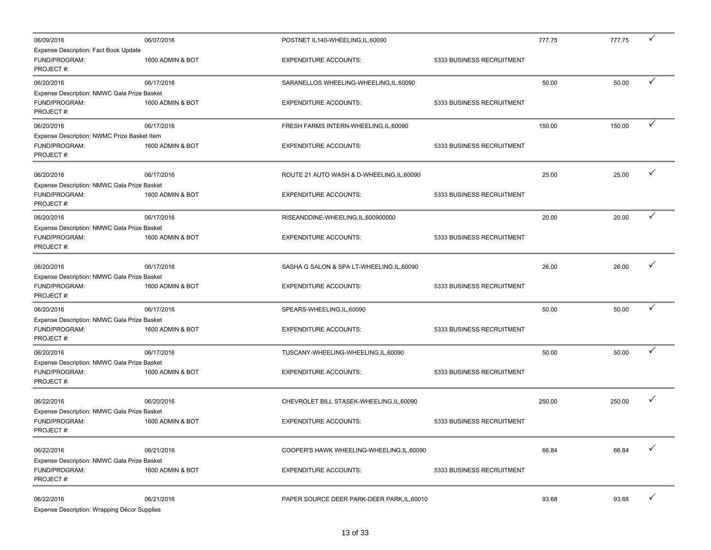| 06/09/2016                                                                | 06/07/2016       | POSTNET IL140-WHEELING, IL, 60090           |                           | 777.75 | 777.75 | ✓ |
|---------------------------------------------------------------------------|------------------|---------------------------------------------|---------------------------|--------|--------|---|
| Expense Description: Fact Book Update<br>FUND/PROGRAM:<br>PROJECT#:       | 1600 ADMIN & BOT | <b>EXPENDITURE ACCOUNTS:</b>                | 5333 BUSINESS RECRUITMENT |        |        |   |
| 06/20/2016                                                                | 06/17/2016       | SARANELLOS WHEELING-WHEELING, IL, 60090     |                           | 50.00  | 50.00  | ✓ |
| Expense Description: NMWC Gala Prize Basket<br>FUND/PROGRAM:<br>PROJECT#: | 1600 ADMIN & BOT | <b>EXPENDITURE ACCOUNTS:</b>                | 5333 BUSINESS RECRUITMENT |        |        |   |
| 06/20/2016                                                                | 06/17/2016       | FRESH FARMS INTERN-WHEELING, IL, 60090      |                           | 150.00 | 150.00 | ✓ |
| Expense Description: NWMC Prize Basket Item<br>FUND/PROGRAM:<br>PROJECT#: | 1600 ADMIN & BOT | <b>EXPENDITURE ACCOUNTS:</b>                | 5333 BUSINESS RECRUITMENT |        |        |   |
| 06/20/2016<br>Expense Description: NMWC Gala Prize Basket                 | 06/17/2016       | ROUTE 21 AUTO WASH & D-WHEELING, IL, 60090  |                           | 25.00  | 25.00  | ✓ |
| FUND/PROGRAM:<br>PROJECT#:                                                | 1600 ADMIN & BOT | <b>EXPENDITURE ACCOUNTS:</b>                | 5333 BUSINESS RECRUITMENT |        |        |   |
| 06/20/2016                                                                | 06/17/2016       | RISEANDDINE-WHEELING,IL,600900000           |                           | 20.00  | 20.00  | ✓ |
| Expense Description: NMWC Gala Prize Basket<br>FUND/PROGRAM:<br>PROJECT#: | 1600 ADMIN & BOT | <b>EXPENDITURE ACCOUNTS:</b>                | 5333 BUSINESS RECRUITMENT |        |        |   |
| 06/20/2016                                                                | 06/17/2016       | SASHA G SALON & SPA LT-WHEELING, IL, 60090  |                           | 26.00  | 26.00  | ✓ |
| Expense Description: NMWC Gala Prize Basket<br>FUND/PROGRAM:<br>PROJECT#: | 1600 ADMIN & BOT | <b>EXPENDITURE ACCOUNTS:</b>                | 5333 BUSINESS RECRUITMENT |        |        |   |
| 06/20/2016                                                                | 06/17/2016       | SPEARS-WHEELING, IL, 60090                  |                           | 50.00  | 50.00  |   |
| Expense Description: NMWC Gala Prize Basket                               |                  |                                             |                           |        |        |   |
| FUND/PROGRAM:<br>PROJECT#:                                                | 1600 ADMIN & BOT | <b>EXPENDITURE ACCOUNTS:</b>                | 5333 BUSINESS RECRUITMENT |        |        |   |
| 06/20/2016                                                                | 06/17/2016       | TUSCANY-WHEELING-WHEELING, IL, 60090        |                           | 50.00  | 50.00  | ✓ |
| Expense Description: NMWC Gala Prize Basket<br>FUND/PROGRAM:<br>PROJECT#: | 1600 ADMIN & BOT | <b>EXPENDITURE ACCOUNTS:</b>                | 5333 BUSINESS RECRUITMENT |        |        |   |
| 06/22/2016                                                                | 06/20/2016       | CHEVROLET BILL STASEK-WHEELING, IL, 60090   |                           | 250.00 | 250.00 | ✓ |
| Expense Description: NMWC Gala Prize Basket<br>FUND/PROGRAM:<br>PROJECT#: | 1600 ADMIN & BOT | <b>EXPENDITURE ACCOUNTS:</b>                | 5333 BUSINESS RECRUITMENT |        |        |   |
| 06/22/2016                                                                | 06/21/2016       | COOPER'S HAWK WHEELING-WHEELING, IL, 60090  |                           | 66.84  | 66.84  |   |
| Expense Description: NMWC Gala Prize Basket<br>FUND/PROGRAM:<br>PROJECT#: | 1600 ADMIN & BOT | <b>EXPENDITURE ACCOUNTS:</b>                | 5333 BUSINESS RECRUITMENT |        |        |   |
| 06/22/2016<br>Expense Description: Wrapping Décor Supplies                | 06/21/2016       | PAPER SOURCE DEER PARK-DEER PARK, IL, 60010 |                           | 93.68  | 93.68  | ✓ |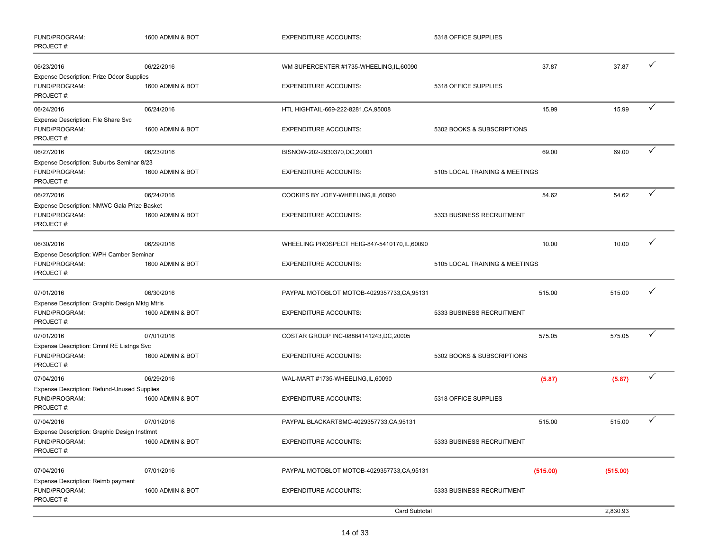| FUND/PROGRAM:<br>PROJECT#:                                                       | 1600 ADMIN & BOT | <b>EXPENDITURE ACCOUNTS:</b>                  | 5318 OFFICE SUPPLIES           |          |   |
|----------------------------------------------------------------------------------|------------------|-----------------------------------------------|--------------------------------|----------|---|
| 06/23/2016                                                                       | 06/22/2016       | WM SUPERCENTER #1735-WHEELING,IL,60090        | 37.87                          | 37.87    | ✓ |
| Expense Description: Prize Décor Supplies<br>FUND/PROGRAM:<br>PROJECT#:          | 1600 ADMIN & BOT | <b>EXPENDITURE ACCOUNTS:</b>                  | 5318 OFFICE SUPPLIES           |          |   |
| 06/24/2016                                                                       | 06/24/2016       | HTL HIGHTAIL-669-222-8281, CA, 95008          | 15.99                          | 15.99    | ✓ |
| Expense Description: File Share Svc<br>FUND/PROGRAM:<br>PROJECT#:                | 1600 ADMIN & BOT | <b>EXPENDITURE ACCOUNTS:</b>                  | 5302 BOOKS & SUBSCRIPTIONS     |          |   |
| 06/27/2016                                                                       | 06/23/2016       | BISNOW-202-2930370,DC,20001                   | 69.00                          | 69.00    | ✓ |
| Expense Description: Suburbs Seminar 8/23<br>FUND/PROGRAM:<br>PROJECT#:          | 1600 ADMIN & BOT | <b>EXPENDITURE ACCOUNTS:</b>                  | 5105 LOCAL TRAINING & MEETINGS |          |   |
| 06/27/2016                                                                       | 06/24/2016       | COOKIES BY JOEY-WHEELING, IL, 60090           | 54.62                          | 54.62    | ✓ |
| Expense Description: NMWC Gala Prize Basket<br>FUND/PROGRAM:<br>PROJECT#:        | 1600 ADMIN & BOT | <b>EXPENDITURE ACCOUNTS:</b>                  | 5333 BUSINESS RECRUITMENT      |          |   |
| 06/30/2016                                                                       | 06/29/2016       | WHEELING PROSPECT HEIG-847-5410170, IL, 60090 | 10.00                          | 10.00    | ✓ |
| Expense Description: WPH Camber Seminar<br>FUND/PROGRAM:<br>PROJECT#:            | 1600 ADMIN & BOT | <b>EXPENDITURE ACCOUNTS:</b>                  | 5105 LOCAL TRAINING & MEETINGS |          |   |
| 07/01/2016                                                                       | 06/30/2016       | PAYPAL MOTOBLOT MOTOB-4029357733, CA, 95131   | 515.00                         | 515.00   | ✓ |
| Expense Description: Graphic Design Mktg Mtrls<br>FUND/PROGRAM:<br>PROJECT#:     | 1600 ADMIN & BOT | <b>EXPENDITURE ACCOUNTS:</b>                  | 5333 BUSINESS RECRUITMENT      |          |   |
| 07/01/2016                                                                       | 07/01/2016       | COSTAR GROUP INC-08884141243, DC, 20005       | 575.05                         | 575.05   | ✓ |
| Expense Description: Cmml RE Listngs Svc<br>FUND/PROGRAM:<br>PROJECT#:           | 1600 ADMIN & BOT | <b>EXPENDITURE ACCOUNTS:</b>                  | 5302 BOOKS & SUBSCRIPTIONS     |          |   |
| 07/04/2016                                                                       | 06/29/2016       | WAL-MART #1735-WHEELING, IL, 60090            | (5.87)                         | (5.87)   | ✓ |
| <b>Expense Description: Refund-Unused Supplies</b><br>FUND/PROGRAM:<br>PROJECT#: | 1600 ADMIN & BOT | <b>EXPENDITURE ACCOUNTS:</b>                  | 5318 OFFICE SUPPLIES           |          |   |
| 07/04/2016                                                                       | 07/01/2016       | PAYPAL BLACKARTSMC-4029357733,CA,95131        | 515.00                         | 515.00   | ✓ |
| Expense Description: Graphic Design Instlmnt<br>FUND/PROGRAM:<br>PROJECT#:       | 1600 ADMIN & BOT | <b>EXPENDITURE ACCOUNTS:</b>                  | 5333 BUSINESS RECRUITMENT      |          |   |
| 07/04/2016                                                                       | 07/01/2016       | PAYPAL MOTOBLOT MOTOB-4029357733,CA,95131     | (515.00)                       | (515.00) |   |
| Expense Description: Reimb payment<br>FUND/PROGRAM:<br>PROJECT#:                 | 1600 ADMIN & BOT | <b>EXPENDITURE ACCOUNTS:</b>                  | 5333 BUSINESS RECRUITMENT      |          |   |
|                                                                                  |                  | <b>Card Subtotal</b>                          |                                | 2,830.93 |   |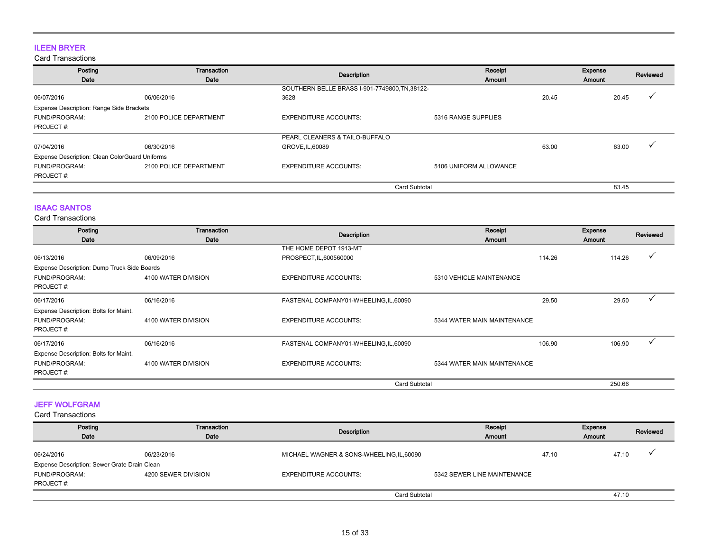## ILEEN BRYER

Card Transactions

| Posting<br>Date                                | Transaction<br>Date    | Description                                    | Receipt<br>Amount      |       | Expense<br>Amount | Reviewed |
|------------------------------------------------|------------------------|------------------------------------------------|------------------------|-------|-------------------|----------|
|                                                |                        | SOUTHERN BELLE BRASS I-901-7749800, TN, 38122- |                        |       |                   |          |
| 06/07/2016                                     | 06/06/2016             | 3628                                           |                        | 20.45 |                   | 20.45    |
| Expense Description: Range Side Brackets       |                        |                                                |                        |       |                   |          |
| FUND/PROGRAM:                                  | 2100 POLICE DEPARTMENT | <b>EXPENDITURE ACCOUNTS:</b>                   | 5316 RANGE SUPPLIES    |       |                   |          |
| PROJECT#:                                      |                        |                                                |                        |       |                   |          |
|                                                |                        | PEARL CLEANERS & TAILO-BUFFALO                 |                        |       |                   |          |
| 07/04/2016                                     | 06/30/2016             | GROVE.IL.60089                                 |                        | 63.00 |                   | 63.00    |
| Expense Description: Clean ColorGuard Uniforms |                        |                                                |                        |       |                   |          |
| FUND/PROGRAM:                                  | 2100 POLICE DEPARTMENT | <b>EXPENDITURE ACCOUNTS:</b>                   | 5106 UNIFORM ALLOWANCE |       |                   |          |
| PROJECT#:                                      |                        |                                                |                        |       |                   |          |
|                                                |                        | <b>Card Subtotal</b>                           |                        |       |                   | 83.45    |

### ISAAC SANTOS

Card Transactions

| Posting                                     | <b>Transaction</b>  |                                        | Receipt                     | Expense          | Reviewed |
|---------------------------------------------|---------------------|----------------------------------------|-----------------------------|------------------|----------|
| Date                                        | Date                | <b>Description</b>                     | Amount                      | Amount           |          |
|                                             |                     | THE HOME DEPOT 1913-MT                 |                             |                  |          |
| 06/13/2016                                  | 06/09/2016          | PROSPECT, IL, 600560000                |                             | 114.26<br>114.26 |          |
| Expense Description: Dump Truck Side Boards |                     |                                        |                             |                  |          |
| FUND/PROGRAM:                               | 4100 WATER DIVISION | <b>EXPENDITURE ACCOUNTS:</b>           | 5310 VEHICLE MAINTENANCE    |                  |          |
| PROJECT#:                                   |                     |                                        |                             |                  |          |
| 06/17/2016                                  | 06/16/2016          | FASTENAL COMPANY01-WHEELING, IL, 60090 |                             | 29.50<br>29.50   |          |
| Expense Description: Bolts for Maint.       |                     |                                        |                             |                  |          |
| FUND/PROGRAM:                               | 4100 WATER DIVISION | <b>EXPENDITURE ACCOUNTS:</b>           | 5344 WATER MAIN MAINTENANCE |                  |          |
| PROJECT#:                                   |                     |                                        |                             |                  |          |
| 06/17/2016                                  | 06/16/2016          | FASTENAL COMPANY01-WHEELING, IL, 60090 |                             | 106.90<br>106.90 |          |
| Expense Description: Bolts for Maint.       |                     |                                        |                             |                  |          |
| FUND/PROGRAM:                               | 4100 WATER DIVISION | <b>EXPENDITURE ACCOUNTS:</b>           | 5344 WATER MAIN MAINTENANCE |                  |          |
| PROJECT#:                                   |                     |                                        |                             |                  |          |
|                                             |                     | <b>Card Subtotal</b>                   |                             | 250.66           |          |

## JEFF WOLFGRAM

| Posting<br>Date                              | Transaction<br>Date | Description                               | Receipt<br>Amount           | Expense<br><b>Amount</b> |       | Reviewed |
|----------------------------------------------|---------------------|-------------------------------------------|-----------------------------|--------------------------|-------|----------|
| 06/24/2016                                   | 06/23/2016          | MICHAEL WAGNER & SONS-WHEELING, IL, 60090 |                             | 47.10                    | 47.10 |          |
| Expense Description: Sewer Grate Drain Clean |                     |                                           |                             |                          |       |          |
| <b>FUND/PROGRAM:</b>                         | 4200 SEWER DIVISION | <b>EXPENDITURE ACCOUNTS:</b>              | 5342 SEWER LINE MAINTENANCE |                          |       |          |
| PROJECT#:                                    |                     |                                           |                             |                          |       |          |
|                                              |                     | <b>Card Subtotal</b>                      |                             |                          | 47.10 |          |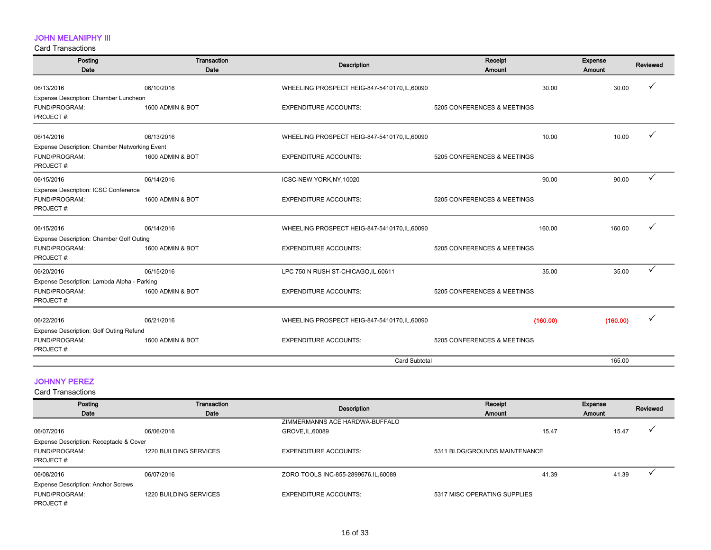## JOHN MELANIPHY III

Card Transactions

| Posting<br>Date                               | Transaction<br>Date | <b>Description</b>                            | Receipt<br>Amount           | Expense<br>Amount | Reviewed |
|-----------------------------------------------|---------------------|-----------------------------------------------|-----------------------------|-------------------|----------|
|                                               |                     |                                               |                             |                   |          |
| 06/13/2016                                    | 06/10/2016          | WHEELING PROSPECT HEIG-847-5410170, IL, 60090 | 30.00                       | 30.00             |          |
| Expense Description: Chamber Luncheon         |                     |                                               |                             |                   |          |
| FUND/PROGRAM:                                 | 1600 ADMIN & BOT    | <b>EXPENDITURE ACCOUNTS:</b>                  | 5205 CONFERENCES & MEETINGS |                   |          |
| PROJECT#:                                     |                     |                                               |                             |                   |          |
| 06/14/2016                                    | 06/13/2016          | WHEELING PROSPECT HEIG-847-5410170, IL, 60090 | 10.00                       | 10.00             |          |
| Expense Description: Chamber Networking Event |                     |                                               |                             |                   |          |
| FUND/PROGRAM:                                 | 1600 ADMIN & BOT    | <b>EXPENDITURE ACCOUNTS:</b>                  | 5205 CONFERENCES & MEETINGS |                   |          |
| PROJECT #:                                    |                     |                                               |                             |                   |          |
| 06/15/2016                                    | 06/14/2016          | ICSC-NEW YORK, NY, 10020                      | 90.00                       | 90.00             | ✓        |
| Expense Description: ICSC Conference          |                     |                                               |                             |                   |          |
| FUND/PROGRAM:                                 | 1600 ADMIN & BOT    | <b>EXPENDITURE ACCOUNTS:</b>                  | 5205 CONFERENCES & MEETINGS |                   |          |
| PROJECT#:                                     |                     |                                               |                             |                   |          |
| 06/15/2016                                    | 06/14/2016          | WHEELING PROSPECT HEIG-847-5410170, IL, 60090 | 160.00                      | 160.00            |          |
| Expense Description: Chamber Golf Outing      |                     |                                               |                             |                   |          |
| FUND/PROGRAM:                                 | 1600 ADMIN & BOT    | <b>EXPENDITURE ACCOUNTS:</b>                  | 5205 CONFERENCES & MEETINGS |                   |          |
| PROJECT#:                                     |                     |                                               |                             |                   |          |
| 06/20/2016                                    | 06/15/2016          | LPC 750 N RUSH ST-CHICAGO, IL, 60611          | 35.00                       | 35.00             | ✓        |
| Expense Description: Lambda Alpha - Parking   |                     |                                               |                             |                   |          |
| FUND/PROGRAM:                                 | 1600 ADMIN & BOT    | <b>EXPENDITURE ACCOUNTS:</b>                  | 5205 CONFERENCES & MEETINGS |                   |          |
| PROJECT#:                                     |                     |                                               |                             |                   |          |
| 06/22/2016                                    | 06/21/2016          | WHEELING PROSPECT HEIG-847-5410170, IL, 60090 | (160.00)                    | (160.00)          |          |
| Expense Description: Golf Outing Refund       |                     |                                               |                             |                   |          |
| FUND/PROGRAM:                                 | 1600 ADMIN & BOT    | <b>EXPENDITURE ACCOUNTS:</b>                  | 5205 CONFERENCES & MEETINGS |                   |          |
| PROJECT#:                                     |                     |                                               |                             |                   |          |
|                                               |                     | <b>Card Subtotal</b>                          |                             | 165.00            |          |

## JOHNNY PEREZ

| Posting<br>Date                           | Transaction<br>Date    | Description                           | Receipt<br><b>Amount</b>      | Expense<br>Amount | Reviewed |
|-------------------------------------------|------------------------|---------------------------------------|-------------------------------|-------------------|----------|
|                                           |                        | ZIMMERMANNS ACE HARDWA-BUFFALO        |                               |                   |          |
| 06/07/2016                                | 06/06/2016             | GROVE, IL, 60089                      | 15.47                         | 15.47             |          |
| Expense Description: Receptacle & Cover   |                        |                                       |                               |                   |          |
| FUND/PROGRAM:                             | 1220 BUILDING SERVICES | <b>EXPENDITURE ACCOUNTS:</b>          | 5311 BLDG/GROUNDS MAINTENANCE |                   |          |
| PROJECT#:                                 |                        |                                       |                               |                   |          |
| 06/08/2016                                | 06/07/2016             | ZORO TOOLS INC-855-2899676, IL, 60089 | 41.39                         | 41.39             |          |
| <b>Expense Description: Anchor Screws</b> |                        |                                       |                               |                   |          |
| FUND/PROGRAM:                             | 1220 BUILDING SERVICES | <b>EXPENDITURE ACCOUNTS:</b>          | 5317 MISC OPERATING SUPPLIES  |                   |          |
| PROJECT#:                                 |                        |                                       |                               |                   |          |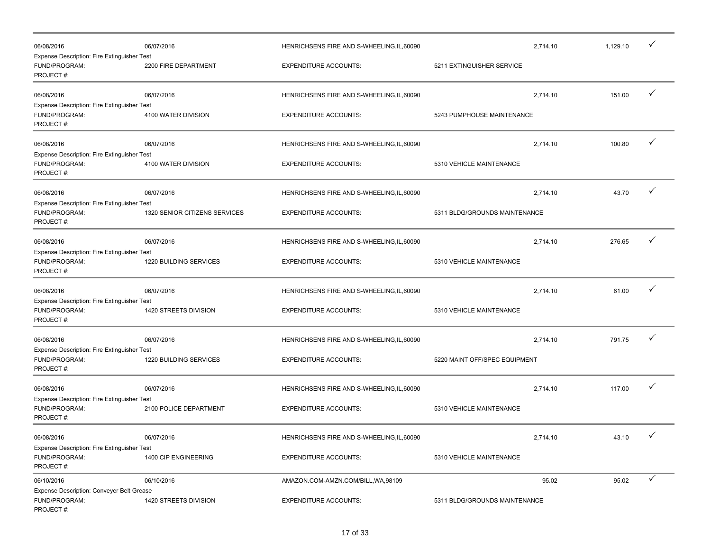| 06/08/2016                                                                       | 06/07/2016                    | HENRICHSENS FIRE AND S-WHEELING, IL, 60090 | 2,714.10                      | 1,129.10 | $\checkmark$ |
|----------------------------------------------------------------------------------|-------------------------------|--------------------------------------------|-------------------------------|----------|--------------|
| Expense Description: Fire Extinguisher Test<br>FUND/PROGRAM:<br>PROJECT#:        | 2200 FIRE DEPARTMENT          | <b>EXPENDITURE ACCOUNTS:</b>               | 5211 EXTINGUISHER SERVICE     |          |              |
| 06/08/2016<br><b>Expense Description: Fire Extinguisher Test</b>                 | 06/07/2016                    | HENRICHSENS FIRE AND S-WHEELING, IL, 60090 | 2,714.10                      | 151.00   | $\checkmark$ |
| FUND/PROGRAM:<br>PROJECT#:                                                       | 4100 WATER DIVISION           | <b>EXPENDITURE ACCOUNTS:</b>               | 5243 PUMPHOUSE MAINTENANCE    |          |              |
| 06/08/2016                                                                       | 06/07/2016                    | HENRICHSENS FIRE AND S-WHEELING, IL, 60090 | 2,714.10                      | 100.80   | $\checkmark$ |
| Expense Description: Fire Extinguisher Test<br>FUND/PROGRAM:<br>PROJECT#:        | 4100 WATER DIVISION           | <b>EXPENDITURE ACCOUNTS:</b>               | 5310 VEHICLE MAINTENANCE      |          |              |
| 06/08/2016                                                                       | 06/07/2016                    | HENRICHSENS FIRE AND S-WHEELING, IL, 60090 | 2,714.10                      | 43.70    | $\checkmark$ |
| Expense Description: Fire Extinguisher Test<br>FUND/PROGRAM:<br>PROJECT#:        | 1320 SENIOR CITIZENS SERVICES | <b>EXPENDITURE ACCOUNTS:</b>               | 5311 BLDG/GROUNDS MAINTENANCE |          |              |
| 06/08/2016                                                                       | 06/07/2016                    | HENRICHSENS FIRE AND S-WHEELING, IL, 60090 | 2,714.10                      | 276.65   | $\checkmark$ |
| Expense Description: Fire Extinguisher Test<br>FUND/PROGRAM:<br>PROJECT#:        | 1220 BUILDING SERVICES        | <b>EXPENDITURE ACCOUNTS:</b>               | 5310 VEHICLE MAINTENANCE      |          |              |
| 06/08/2016                                                                       | 06/07/2016                    | HENRICHSENS FIRE AND S-WHEELING, IL, 60090 | 2,714.10                      | 61.00    | $\checkmark$ |
| <b>Expense Description: Fire Extinguisher Test</b><br>FUND/PROGRAM:<br>PROJECT#: | 1420 STREETS DIVISION         | <b>EXPENDITURE ACCOUNTS:</b>               | 5310 VEHICLE MAINTENANCE      |          |              |
| 06/08/2016                                                                       | 06/07/2016                    | HENRICHSENS FIRE AND S-WHEELING, IL, 60090 | 2,714.10                      | 791.75   | $\checkmark$ |
| Expense Description: Fire Extinguisher Test<br>FUND/PROGRAM:<br>PROJECT#:        | 1220 BUILDING SERVICES        | <b>EXPENDITURE ACCOUNTS:</b>               | 5220 MAINT OFF/SPEC EQUIPMENT |          |              |
| 06/08/2016                                                                       | 06/07/2016                    | HENRICHSENS FIRE AND S-WHEELING, IL, 60090 | 2,714.10                      | 117.00   | ✓            |
| Expense Description: Fire Extinguisher Test<br>FUND/PROGRAM:<br>PROJECT#:        | 2100 POLICE DEPARTMENT        | <b>EXPENDITURE ACCOUNTS:</b>               | 5310 VEHICLE MAINTENANCE      |          |              |
| 06/08/2016                                                                       | 06/07/2016                    | HENRICHSENS FIRE AND S-WHEELING, IL, 60090 | 2,714.10                      | 43.10    |              |
| Expense Description: Fire Extinguisher Test<br>FUND/PROGRAM:<br>PROJECT#:        | 1400 CIP ENGINEERING          | <b>EXPENDITURE ACCOUNTS:</b>               | 5310 VEHICLE MAINTENANCE      |          |              |
| 06/10/2016                                                                       | 06/10/2016                    | AMAZON.COM-AMZN.COM/BILL, WA, 98109        | 95.02                         | 95.02    | $\checkmark$ |
| Expense Description: Conveyer Belt Grease<br>FUND/PROGRAM:<br>PROJECT#:          | 1420 STREETS DIVISION         | <b>EXPENDITURE ACCOUNTS:</b>               | 5311 BLDG/GROUNDS MAINTENANCE |          |              |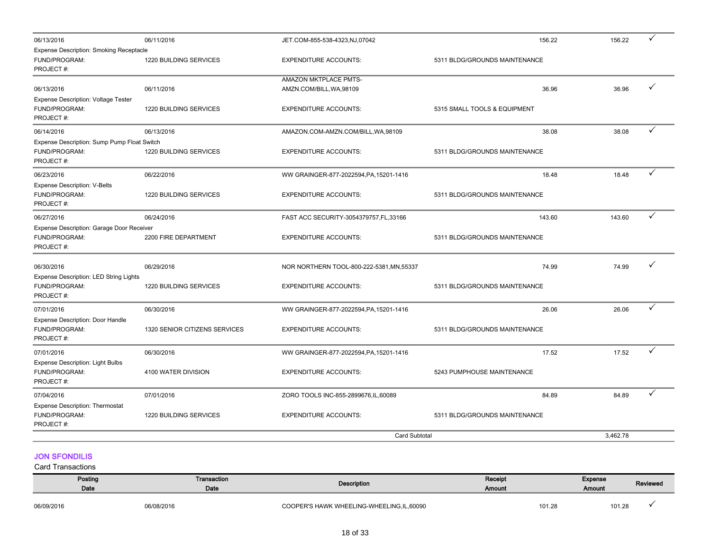| 06/13/2016                                                                   | 06/11/2016                    | JET.COM-855-538-4323,NJ,07042                     | 156.22                        | 156.22   | ✓ |
|------------------------------------------------------------------------------|-------------------------------|---------------------------------------------------|-------------------------------|----------|---|
| <b>Expense Description: Smoking Receptacle</b><br>FUND/PROGRAM:<br>PROJECT#: | 1220 BUILDING SERVICES        | <b>EXPENDITURE ACCOUNTS:</b>                      | 5311 BLDG/GROUNDS MAINTENANCE |          |   |
| 06/13/2016<br><b>Expense Description: Voltage Tester</b>                     | 06/11/2016                    | AMAZON MKTPLACE PMTS-<br>AMZN.COM/BILL, WA, 98109 | 36.96                         | 36.96    | ✓ |
| FUND/PROGRAM:<br>PROJECT#:                                                   | 1220 BUILDING SERVICES        | <b>EXPENDITURE ACCOUNTS:</b>                      | 5315 SMALL TOOLS & EQUIPMENT  |          |   |
| 06/14/2016                                                                   | 06/13/2016                    | AMAZON.COM-AMZN.COM/BILL, WA, 98109               | 38.08                         | 38.08    | ✓ |
| Expense Description: Sump Pump Float Switch<br>FUND/PROGRAM:<br>PROJECT#:    | 1220 BUILDING SERVICES        | <b>EXPENDITURE ACCOUNTS:</b>                      | 5311 BLDG/GROUNDS MAINTENANCE |          |   |
| 06/23/2016                                                                   | 06/22/2016                    | WW GRAINGER-877-2022594, PA, 15201-1416           | 18.48                         | 18.48    | ✓ |
| <b>Expense Description: V-Belts</b><br>FUND/PROGRAM:<br>PROJECT#:            | 1220 BUILDING SERVICES        | <b>EXPENDITURE ACCOUNTS:</b>                      | 5311 BLDG/GROUNDS MAINTENANCE |          |   |
| 06/27/2016                                                                   | 06/24/2016                    | FAST ACC SECURITY-3054379757, FL, 33166           | 143.60                        | 143.60   | ✓ |
| Expense Description: Garage Door Receiver<br>FUND/PROGRAM:<br>PROJECT#:      | 2200 FIRE DEPARTMENT          | <b>EXPENDITURE ACCOUNTS:</b>                      | 5311 BLDG/GROUNDS MAINTENANCE |          |   |
| 06/30/2016<br>Expense Description: LED String Lights                         | 06/29/2016                    | NOR NORTHERN TOOL-800-222-5381, MN, 55337         | 74.99                         | 74.99    | ✓ |
| FUND/PROGRAM:<br>PROJECT#:                                                   | 1220 BUILDING SERVICES        | <b>EXPENDITURE ACCOUNTS:</b>                      | 5311 BLDG/GROUNDS MAINTENANCE |          |   |
| 07/01/2016                                                                   | 06/30/2016                    | WW GRAINGER-877-2022594, PA, 15201-1416           | 26.06                         | 26.06    | ✓ |
| Expense Description: Door Handle<br>FUND/PROGRAM:<br>PROJECT#:               | 1320 SENIOR CITIZENS SERVICES | <b>EXPENDITURE ACCOUNTS:</b>                      | 5311 BLDG/GROUNDS MAINTENANCE |          |   |
| 07/01/2016                                                                   | 06/30/2016                    | WW GRAINGER-877-2022594, PA, 15201-1416           | 17.52                         | 17.52    | ✓ |
| <b>Expense Description: Light Bulbs</b><br>FUND/PROGRAM:<br>PROJECT#:        | 4100 WATER DIVISION           | <b>EXPENDITURE ACCOUNTS:</b>                      | 5243 PUMPHOUSE MAINTENANCE    |          |   |
| 07/04/2016                                                                   | 07/01/2016                    | ZORO TOOLS INC-855-2899676, IL, 60089             | 84.89                         | 84.89    |   |
| <b>Expense Description: Thermostat</b><br>FUND/PROGRAM:<br>PROJECT#:         | 1220 BUILDING SERVICES        | <b>EXPENDITURE ACCOUNTS:</b>                      | 5311 BLDG/GROUNDS MAINTENANCE |          |   |
|                                                                              |                               | <b>Card Subtotal</b>                              |                               | 3,462.78 |   |

## JON SFONDILIS

| Posting<br>Date | Transaction<br>Date | Description                              | Receipt<br>Amount |        | <b>Expense</b><br><b>Amount</b> | Reviewed |
|-----------------|---------------------|------------------------------------------|-------------------|--------|---------------------------------|----------|
| 06/09/2016      | 06/08/2016          | COOPER'S HAWK WHEELING-WHEELING.IL.60090 |                   | 101.28 | 101.28                          |          |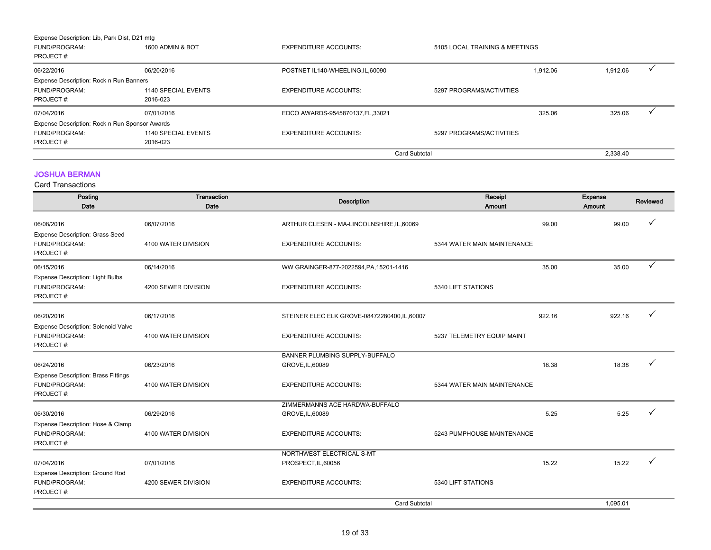| <b>FUND/PROGRAM:</b><br>PROJECT#:<br>07/04/2016<br>Expense Description: Rock n Run Sponsor Awards | 1140 SPECIAL EVENTS<br>2016-023<br>07/01/2016 | <b>EXPENDITURE ACCOUNTS:</b><br>EDCO AWARDS-9545870137.FL.33021 | 5297 PROGRAMS/ACTIVITIES       | 325.06   | 325.06   |  |
|---------------------------------------------------------------------------------------------------|-----------------------------------------------|-----------------------------------------------------------------|--------------------------------|----------|----------|--|
|                                                                                                   |                                               |                                                                 |                                |          |          |  |
|                                                                                                   |                                               |                                                                 |                                |          |          |  |
|                                                                                                   |                                               |                                                                 |                                |          |          |  |
|                                                                                                   |                                               |                                                                 |                                |          |          |  |
| Expense Description: Rock n Run Banners                                                           |                                               |                                                                 |                                |          |          |  |
| 06/22/2016                                                                                        | 06/20/2016                                    | POSTNET IL140-WHEELING, IL, 60090                               |                                | 1.912.06 | 1,912.06 |  |
| PROJECT#:                                                                                         |                                               |                                                                 |                                |          |          |  |
| FUND/PROGRAM:                                                                                     | 1600 ADMIN & BOT                              | <b>EXPENDITURE ACCOUNTS:</b>                                    | 5105 LOCAL TRAINING & MEETINGS |          |          |  |

## JOSHUA BERMAN

| Posting<br>Date                                                          | Transaction<br>Date | <b>Description</b>                            | Receipt<br><b>Amount</b>    |        | Expense<br>Amount | Reviewed     |
|--------------------------------------------------------------------------|---------------------|-----------------------------------------------|-----------------------------|--------|-------------------|--------------|
| 06/08/2016<br>Expense Description: Grass Seed                            | 06/07/2016          | ARTHUR CLESEN - MA-LINCOLNSHIRE, IL, 60069    |                             | 99.00  | 99.00             |              |
| FUND/PROGRAM:<br>PROJECT#:                                               | 4100 WATER DIVISION | <b>EXPENDITURE ACCOUNTS:</b>                  | 5344 WATER MAIN MAINTENANCE |        |                   |              |
| 06/15/2016                                                               | 06/14/2016          | WW GRAINGER-877-2022594, PA, 15201-1416       |                             | 35.00  | 35.00             | $\checkmark$ |
| <b>Expense Description: Light Bulbs</b><br>FUND/PROGRAM:<br>PROJECT#:    | 4200 SEWER DIVISION | <b>EXPENDITURE ACCOUNTS:</b>                  | 5340 LIFT STATIONS          |        |                   |              |
| 06/20/2016                                                               | 06/17/2016          | STEINER ELEC ELK GROVE-08472280400, IL, 60007 |                             | 922.16 | 922.16            |              |
| Expense Description: Solenoid Valve<br>FUND/PROGRAM:<br>PROJECT#:        | 4100 WATER DIVISION | <b>EXPENDITURE ACCOUNTS:</b>                  | 5237 TELEMETRY EQUIP MAINT  |        |                   |              |
|                                                                          |                     | BANNER PLUMBING SUPPLY-BUFFALO                |                             |        |                   |              |
| 06/24/2016                                                               | 06/23/2016          | GROVE, IL, 60089                              |                             | 18.38  | 18.38             |              |
| <b>Expense Description: Brass Fittings</b><br>FUND/PROGRAM:<br>PROJECT#: | 4100 WATER DIVISION | <b>EXPENDITURE ACCOUNTS:</b>                  | 5344 WATER MAIN MAINTENANCE |        |                   |              |
|                                                                          |                     | ZIMMERMANNS ACE HARDWA-BUFFALO                |                             |        |                   |              |
| 06/30/2016                                                               | 06/29/2016          | GROVE, IL, 60089                              |                             | 5.25   | 5.25              | $\checkmark$ |
| Expense Description: Hose & Clamp<br>FUND/PROGRAM:<br>PROJECT#:          | 4100 WATER DIVISION | <b>EXPENDITURE ACCOUNTS:</b>                  | 5243 PUMPHOUSE MAINTENANCE  |        |                   |              |
|                                                                          |                     | NORTHWEST ELECTRICAL S-MT                     |                             |        |                   |              |
| 07/04/2016                                                               | 07/01/2016          | PROSPECT, IL, 60056                           |                             | 15.22  | 15.22             |              |
| Expense Description: Ground Rod<br>FUND/PROGRAM:<br>PROJECT#:            | 4200 SEWER DIVISION | <b>EXPENDITURE ACCOUNTS:</b>                  | 5340 LIFT STATIONS          |        |                   |              |
|                                                                          |                     | <b>Card Subtotal</b>                          |                             |        | 1,095.01          |              |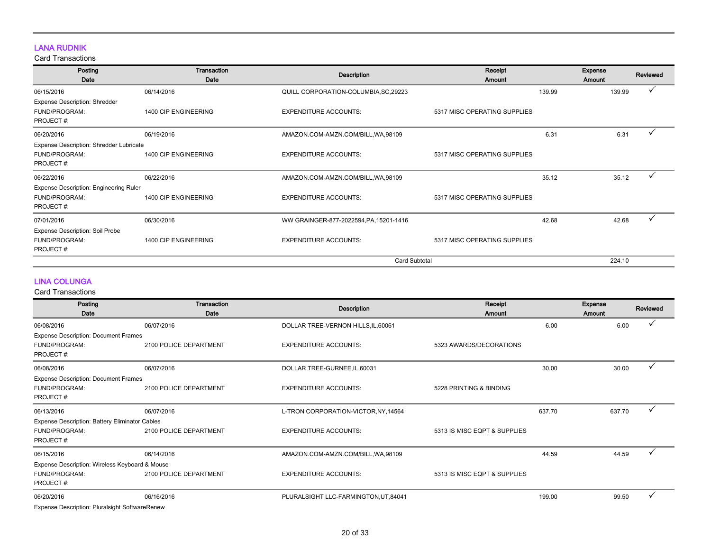## LANA RUDNIK

Card Transactions

| Posting<br>Date                                | Transaction<br>Date  | <b>Description</b>                      | Receipt<br>Amount            |        | Expense<br>Amount | Reviewed |
|------------------------------------------------|----------------------|-----------------------------------------|------------------------------|--------|-------------------|----------|
| 06/15/2016                                     | 06/14/2016           | QUILL CORPORATION-COLUMBIA, SC, 29223   |                              | 139.99 | 139.99            |          |
| <b>Expense Description: Shredder</b>           |                      |                                         |                              |        |                   |          |
| <b>FUND/PROGRAM:</b><br>PROJECT#:              | 1400 CIP ENGINEERING | <b>EXPENDITURE ACCOUNTS:</b>            | 5317 MISC OPERATING SUPPLIES |        |                   |          |
| 06/20/2016                                     | 06/19/2016           | AMAZON.COM-AMZN.COM/BILL, WA, 98109     |                              | 6.31   | 6.31              | ✓        |
| <b>Expense Description: Shredder Lubricate</b> |                      |                                         |                              |        |                   |          |
| <b>FUND/PROGRAM:</b>                           | 1400 CIP ENGINEERING | <b>EXPENDITURE ACCOUNTS:</b>            | 5317 MISC OPERATING SUPPLIES |        |                   |          |
| PROJECT#:                                      |                      |                                         |                              |        |                   |          |
| 06/22/2016                                     | 06/22/2016           | AMAZON.COM-AMZN.COM/BILL, WA, 98109     |                              | 35.12  | 35.12             | ✓        |
| <b>Expense Description: Engineering Ruler</b>  |                      |                                         |                              |        |                   |          |
| <b>FUND/PROGRAM:</b><br>PROJECT#:              | 1400 CIP ENGINEERING | <b>EXPENDITURE ACCOUNTS:</b>            | 5317 MISC OPERATING SUPPLIES |        |                   |          |
| 07/01/2016                                     | 06/30/2016           | WW GRAINGER-877-2022594, PA, 15201-1416 |                              | 42.68  | 42.68             | ✓        |
| <b>Expense Description: Soil Probe</b>         |                      |                                         |                              |        |                   |          |
| FUND/PROGRAM:<br>PROJECT#:                     | 1400 CIP ENGINEERING | <b>EXPENDITURE ACCOUNTS:</b>            | 5317 MISC OPERATING SUPPLIES |        |                   |          |
|                                                |                      | <b>Card Subtotal</b>                    |                              |        | 224.10            |          |

## LINA COLUNGA

| Posting<br>Date                                | Transaction<br>Date    | <b>Description</b>                    | Receipt<br>Amount            |        | Expense<br><b>Amount</b> | Reviewed |
|------------------------------------------------|------------------------|---------------------------------------|------------------------------|--------|--------------------------|----------|
| 06/08/2016                                     | 06/07/2016             | DOLLAR TREE-VERNON HILLS, IL, 60061   |                              | 6.00   | 6.00                     |          |
| <b>Expense Description: Document Frames</b>    |                        |                                       |                              |        |                          |          |
| <b>FUND/PROGRAM:</b>                           | 2100 POLICE DEPARTMENT | <b>EXPENDITURE ACCOUNTS:</b>          | 5323 AWARDS/DECORATIONS      |        |                          |          |
| PROJECT#:                                      |                        |                                       |                              |        |                          |          |
| 06/08/2016                                     | 06/07/2016             | DOLLAR TREE-GURNEE, IL, 60031         |                              | 30.00  | 30.00                    |          |
| <b>Expense Description: Document Frames</b>    |                        |                                       |                              |        |                          |          |
| FUND/PROGRAM:                                  | 2100 POLICE DEPARTMENT | <b>EXPENDITURE ACCOUNTS:</b>          | 5228 PRINTING & BINDING      |        |                          |          |
| PROJECT#:                                      |                        |                                       |                              |        |                          |          |
| 06/13/2016                                     | 06/07/2016             | L-TRON CORPORATION-VICTOR, NY, 14564  |                              | 637.70 | 637.70                   |          |
| Expense Description: Battery Eliminator Cables |                        |                                       |                              |        |                          |          |
| FUND/PROGRAM:                                  | 2100 POLICE DEPARTMENT | <b>EXPENDITURE ACCOUNTS:</b>          | 5313 IS MISC EQPT & SUPPLIES |        |                          |          |
| PROJECT#:                                      |                        |                                       |                              |        |                          |          |
| 06/15/2016                                     | 06/14/2016             | AMAZON.COM-AMZN.COM/BILL, WA, 98109   |                              | 44.59  | 44.59                    |          |
| Expense Description: Wireless Keyboard & Mouse |                        |                                       |                              |        |                          |          |
| FUND/PROGRAM:                                  | 2100 POLICE DEPARTMENT | <b>EXPENDITURE ACCOUNTS:</b>          | 5313 IS MISC EQPT & SUPPLIES |        |                          |          |
| PROJECT#:                                      |                        |                                       |                              |        |                          |          |
| 06/20/2016                                     | 06/16/2016             | PLURALSIGHT LLC-FARMINGTON, UT, 84041 |                              | 199.00 | 99.50                    |          |
| Expense Description: Pluralsight SoftwareRenew |                        |                                       |                              |        |                          |          |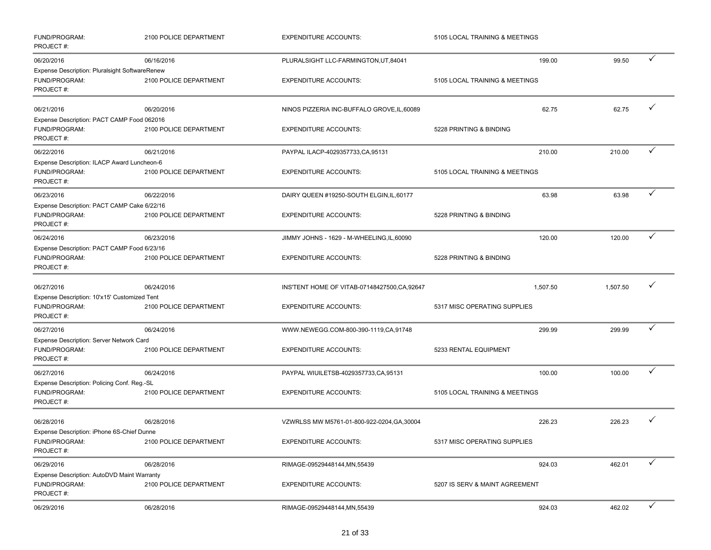| FUND/PROGRAM:<br>PROJECT#:                                                | 2100 POLICE DEPARTMENT | <b>EXPENDITURE ACCOUNTS:</b>                  | 5105 LOCAL TRAINING & MEETINGS |          |              |
|---------------------------------------------------------------------------|------------------------|-----------------------------------------------|--------------------------------|----------|--------------|
| 06/20/2016                                                                | 06/16/2016             | PLURALSIGHT LLC-FARMINGTON, UT, 84041         | 199.00                         | 99.50    | ✓            |
| Expense Description: Pluralsight SoftwareRenew                            |                        |                                               |                                |          |              |
| FUND/PROGRAM:<br>PROJECT#:                                                | 2100 POLICE DEPARTMENT | <b>EXPENDITURE ACCOUNTS:</b>                  | 5105 LOCAL TRAINING & MEETINGS |          |              |
| 06/21/2016                                                                | 06/20/2016             | NINOS PIZZERIA INC-BUFFALO GROVE, IL, 60089   | 62.75                          | 62.75    | ✓            |
| Expense Description: PACT CAMP Food 062016                                |                        |                                               |                                |          |              |
| FUND/PROGRAM:<br>PROJECT#:                                                | 2100 POLICE DEPARTMENT | <b>EXPENDITURE ACCOUNTS:</b>                  | 5228 PRINTING & BINDING        |          |              |
| 06/22/2016                                                                | 06/21/2016             | PAYPAL ILACP-4029357733, CA, 95131            | 210.00                         | 210.00   | ✓            |
| Expense Description: ILACP Award Luncheon-6                               |                        |                                               |                                |          |              |
| FUND/PROGRAM:<br>PROJECT#:                                                | 2100 POLICE DEPARTMENT | <b>EXPENDITURE ACCOUNTS:</b>                  | 5105 LOCAL TRAINING & MEETINGS |          |              |
| 06/23/2016                                                                | 06/22/2016             | DAIRY QUEEN #19250-SOUTH ELGIN, IL, 60177     | 63.98                          | 63.98    | ✓            |
| Expense Description: PACT CAMP Cake 6/22/16<br>FUND/PROGRAM:<br>PROJECT#: | 2100 POLICE DEPARTMENT | <b>EXPENDITURE ACCOUNTS:</b>                  | 5228 PRINTING & BINDING        |          |              |
| 06/24/2016                                                                | 06/23/2016             | JIMMY JOHNS - 1629 - M-WHEELING, IL, 60090    | 120.00                         | 120.00   | ✓            |
| Expense Description: PACT CAMP Food 6/23/16                               |                        |                                               |                                |          |              |
| FUND/PROGRAM:<br>PROJECT#:                                                | 2100 POLICE DEPARTMENT | <b>EXPENDITURE ACCOUNTS:</b>                  | 5228 PRINTING & BINDING        |          |              |
| 06/27/2016                                                                | 06/24/2016             | INS'TENT HOME OF VITAB-07148427500, CA, 92647 | 1,507.50                       | 1,507.50 | ✓            |
| Expense Description: 10'x15' Customized Tent                              |                        |                                               |                                |          |              |
| FUND/PROGRAM:<br>PROJECT#:                                                | 2100 POLICE DEPARTMENT | <b>EXPENDITURE ACCOUNTS:</b>                  | 5317 MISC OPERATING SUPPLIES   |          |              |
| 06/27/2016                                                                | 06/24/2016             | WWW.NEWEGG.COM-800-390-1119,CA,91748          | 299.99                         | 299.99   | ✓            |
| Expense Description: Server Network Card                                  |                        |                                               |                                |          |              |
| FUND/PROGRAM:<br>PROJECT#:                                                | 2100 POLICE DEPARTMENT | <b>EXPENDITURE ACCOUNTS:</b>                  | 5233 RENTAL EQUIPMENT          |          |              |
| 06/27/2016                                                                | 06/24/2016             | PAYPAL WIUILETSB-4029357733,CA,95131          | 100.00                         | 100.00   | ✓            |
| Expense Description: Policing Conf. Reg.-SL                               |                        |                                               |                                |          |              |
| FUND/PROGRAM:<br>PROJECT#:                                                | 2100 POLICE DEPARTMENT | <b>EXPENDITURE ACCOUNTS:</b>                  | 5105 LOCAL TRAINING & MEETINGS |          |              |
| 06/28/2016                                                                | 06/28/2016             | VZWRLSS MW M5761-01-800-922-0204, GA, 30004   | 226.23                         | 226.23   | ✓            |
| Expense Description: iPhone 6S-Chief Dunne                                |                        |                                               |                                |          |              |
| FUND/PROGRAM:<br>PROJECT#:                                                | 2100 POLICE DEPARTMENT | <b>EXPENDITURE ACCOUNTS:</b>                  | 5317 MISC OPERATING SUPPLIES   |          |              |
| 06/29/2016                                                                | 06/28/2016             | RIMAGE-09529448144, MN, 55439                 | 924.03                         | 462.01   | ✓            |
| Expense Description: AutoDVD Maint Warranty                               |                        |                                               |                                |          |              |
| FUND/PROGRAM:<br>PROJECT#:                                                | 2100 POLICE DEPARTMENT | <b>EXPENDITURE ACCOUNTS:</b>                  | 5207 IS SERV & MAINT AGREEMENT |          |              |
| 06/29/2016                                                                | 06/28/2016             | RIMAGE-09529448144, MN, 55439                 | 924.03                         | 462.02   | $\checkmark$ |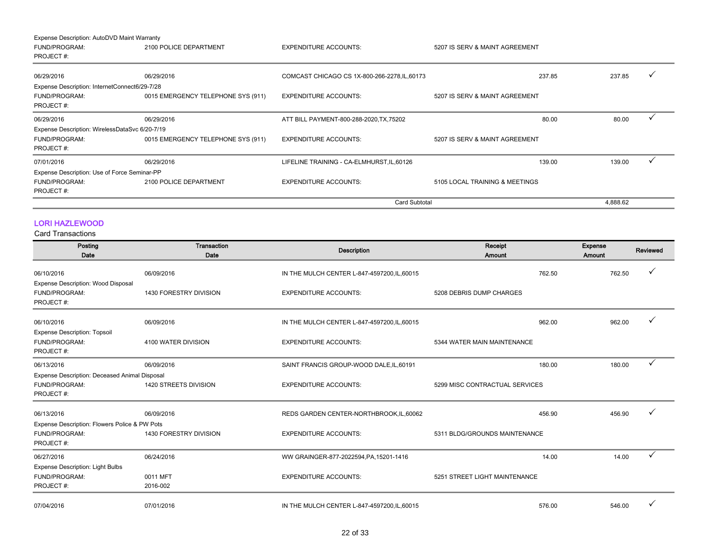| Expense Description: AutoDVD Maint Warranty    |                                    |                                               |                                |          |  |
|------------------------------------------------|------------------------------------|-----------------------------------------------|--------------------------------|----------|--|
| <b>FUND/PROGRAM:</b>                           | 2100 POLICE DEPARTMENT             | <b>EXPENDITURE ACCOUNTS:</b>                  | 5207 IS SERV & MAINT AGREEMENT |          |  |
| PROJECT#:                                      |                                    |                                               |                                |          |  |
|                                                |                                    |                                               |                                |          |  |
| 06/29/2016                                     | 06/29/2016                         | COMCAST CHICAGO CS 1X-800-266-2278, IL, 60173 | 237.85                         | 237.85   |  |
| Expense Description: InternetConnect6/29-7/28  |                                    |                                               |                                |          |  |
| <b>FUND/PROGRAM:</b>                           | 0015 EMERGENCY TELEPHONE SYS (911) | <b>EXPENDITURE ACCOUNTS:</b>                  | 5207 IS SERV & MAINT AGREEMENT |          |  |
| PROJECT#:                                      |                                    |                                               |                                |          |  |
| 06/29/2016                                     | 06/29/2016                         | ATT BILL PAYMENT-800-288-2020, TX, 75202      | 80.00                          | 80.00    |  |
| Expense Description: WirelessDataSvc 6/20-7/19 |                                    |                                               |                                |          |  |
| FUND/PROGRAM:                                  | 0015 EMERGENCY TELEPHONE SYS (911) | <b>EXPENDITURE ACCOUNTS:</b>                  | 5207 IS SERV & MAINT AGREEMENT |          |  |
| PROJECT#:                                      |                                    |                                               |                                |          |  |
| 07/01/2016                                     | 06/29/2016                         | LIFELINE TRAINING - CA-ELMHURST, IL, 60126    | 139.00                         | 139.00   |  |
| Expense Description: Use of Force Seminar-PP   |                                    |                                               |                                |          |  |
| FUND/PROGRAM:                                  | 2100 POLICE DEPARTMENT             | <b>EXPENDITURE ACCOUNTS:</b>                  | 5105 LOCAL TRAINING & MEETINGS |          |  |
| PROJECT#:                                      |                                    |                                               |                                |          |  |
|                                                |                                    | <b>Card Subtotal</b>                          |                                | 4,888.62 |  |

## LORI HAZLEWOOD

| Posting<br>Date                                                   | Transaction<br>Date    | <b>Description</b>                           | Receipt<br>Amount              | <b>Expense</b><br>Amount | Reviewed |
|-------------------------------------------------------------------|------------------------|----------------------------------------------|--------------------------------|--------------------------|----------|
| 06/10/2016                                                        | 06/09/2016             | IN THE MULCH CENTER L-847-4597200, IL, 60015 | 762.50                         | 762.50                   |          |
| Expense Description: Wood Disposal<br>FUND/PROGRAM:<br>PROJECT#:  | 1430 FORESTRY DIVISION | <b>EXPENDITURE ACCOUNTS:</b>                 | 5208 DEBRIS DUMP CHARGES       |                          |          |
| 06/10/2016                                                        | 06/09/2016             | IN THE MULCH CENTER L-847-4597200, IL, 60015 | 962.00                         | 962.00                   |          |
| <b>Expense Description: Topsoil</b><br>FUND/PROGRAM:<br>PROJECT#: | 4100 WATER DIVISION    | <b>EXPENDITURE ACCOUNTS:</b>                 | 5344 WATER MAIN MAINTENANCE    |                          |          |
| 06/13/2016                                                        | 06/09/2016             | SAINT FRANCIS GROUP-WOOD DALE, IL, 60191     | 180.00                         | 180.00                   | ✓        |
| Expense Description: Deceased Animal Disposal                     |                        |                                              |                                |                          |          |
| FUND/PROGRAM:<br>PROJECT#:                                        | 1420 STREETS DIVISION  | <b>EXPENDITURE ACCOUNTS:</b>                 | 5299 MISC CONTRACTUAL SERVICES |                          |          |
| 06/13/2016                                                        | 06/09/2016             | REDS GARDEN CENTER-NORTHBROOK, IL, 60062     | 456.90                         | 456.90                   |          |
| Expense Description: Flowers Police & PW Pots                     |                        |                                              |                                |                          |          |
| FUND/PROGRAM:<br>PROJECT#:                                        | 1430 FORESTRY DIVISION | <b>EXPENDITURE ACCOUNTS:</b>                 | 5311 BLDG/GROUNDS MAINTENANCE  |                          |          |
| 06/27/2016                                                        | 06/24/2016             | WW GRAINGER-877-2022594, PA, 15201-1416      | 14.00                          | 14.00                    |          |
| <b>Expense Description: Light Bulbs</b>                           |                        |                                              |                                |                          |          |
| FUND/PROGRAM:                                                     | 0011 MFT               | <b>EXPENDITURE ACCOUNTS:</b>                 | 5251 STREET LIGHT MAINTENANCE  |                          |          |
| PROJECT#:                                                         | 2016-002               |                                              |                                |                          |          |
| 07/04/2016                                                        | 07/01/2016             | IN THE MULCH CENTER L-847-4597200, IL, 60015 | 576.00                         | 546.00                   |          |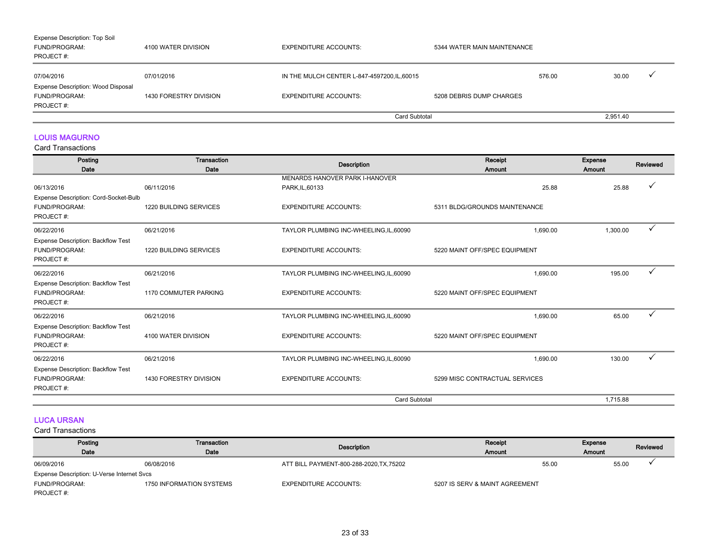| <b>Expense Description: Top Soil</b>      |                        |                                              |                             |        |          |  |
|-------------------------------------------|------------------------|----------------------------------------------|-----------------------------|--------|----------|--|
| FUND/PROGRAM:                             | 4100 WATER DIVISION    | <b>EXPENDITURE ACCOUNTS:</b>                 | 5344 WATER MAIN MAINTENANCE |        |          |  |
| PROJECT#:                                 |                        |                                              |                             |        |          |  |
|                                           |                        |                                              |                             |        |          |  |
| 07/04/2016                                | 07/01/2016             | IN THE MULCH CENTER L-847-4597200, IL, 60015 |                             | 576.00 | 30.00    |  |
| <b>Expense Description: Wood Disposal</b> |                        |                                              |                             |        |          |  |
| FUND/PROGRAM:                             | 1430 FORESTRY DIVISION | <b>EXPENDITURE ACCOUNTS:</b>                 | 5208 DEBRIS DUMP CHARGES    |        |          |  |
| PROJECT#:                                 |                        |                                              |                             |        |          |  |
|                                           |                        | Card Subtotal                                |                             |        | 2,951.40 |  |

## LOUIS MAGURNO

Card Transactions

| Posting<br>Date                                                                | <b>Transaction</b><br>Date    | <b>Description</b>                                | Receipt<br>Amount              | <b>Expense</b><br>Amount | Reviewed |
|--------------------------------------------------------------------------------|-------------------------------|---------------------------------------------------|--------------------------------|--------------------------|----------|
| 06/13/2016                                                                     | 06/11/2016                    | MENARDS HANOVER PARK I-HANOVER<br>PARK, IL, 60133 | 25.88                          | 25.88                    |          |
| Expense Description: Cord-Socket-Bulb<br>FUND/PROGRAM:<br>PROJECT#:            | <b>1220 BUILDING SERVICES</b> | <b>EXPENDITURE ACCOUNTS:</b>                      | 5311 BLDG/GROUNDS MAINTENANCE  |                          |          |
| 06/22/2016                                                                     | 06/21/2016                    | TAYLOR PLUMBING INC-WHEELING, IL, 60090           | 1,690.00                       | 1,300.00                 | ✓        |
| <b>Expense Description: Backflow Test</b><br><b>FUND/PROGRAM:</b><br>PROJECT#: | 1220 BUILDING SERVICES        | <b>EXPENDITURE ACCOUNTS:</b>                      | 5220 MAINT OFF/SPEC EQUIPMENT  |                          |          |
| 06/22/2016                                                                     | 06/21/2016                    | TAYLOR PLUMBING INC-WHEELING, IL, 60090           | 1,690.00                       | 195.00                   |          |
| <b>Expense Description: Backflow Test</b><br>FUND/PROGRAM:<br>PROJECT#:        | <b>1170 COMMUTER PARKING</b>  | <b>EXPENDITURE ACCOUNTS:</b>                      | 5220 MAINT OFF/SPEC EQUIPMENT  |                          |          |
| 06/22/2016                                                                     | 06/21/2016                    | TAYLOR PLUMBING INC-WHEELING, IL, 60090           | 1.690.00                       | 65.00                    | ✓        |
| <b>Expense Description: Backflow Test</b><br>FUND/PROGRAM:<br>PROJECT#:        | 4100 WATER DIVISION           | <b>EXPENDITURE ACCOUNTS:</b>                      | 5220 MAINT OFF/SPEC EQUIPMENT  |                          |          |
| 06/22/2016                                                                     | 06/21/2016                    | TAYLOR PLUMBING INC-WHEELING, IL, 60090           | 1,690.00                       | 130.00                   |          |
| <b>Expense Description: Backflow Test</b><br>FUND/PROGRAM:<br>PROJECT#:        | 1430 FORESTRY DIVISION        | <b>EXPENDITURE ACCOUNTS:</b>                      | 5299 MISC CONTRACTUAL SERVICES |                          |          |
|                                                                                |                               | <b>Card Subtotal</b>                              |                                | 1,715.88                 |          |

## LUCA URSAN

| Posting                                    | Transaction              |                                          | Receipt                        | <b>Expense</b> | Reviewed |
|--------------------------------------------|--------------------------|------------------------------------------|--------------------------------|----------------|----------|
| Date                                       | Date                     | Description                              | Amount                         | <b>Amount</b>  |          |
| 06/09/2016                                 | 06/08/2016               | ATT BILL PAYMENT-800-288-2020, TX, 75202 | 55.00                          |                | 55.00    |
| Expense Description: U-Verse Internet Svcs |                          |                                          |                                |                |          |
| FUND/PROGRAM:                              | 1750 INFORMATION SYSTEMS | <b>EXPENDITURE ACCOUNTS:</b>             | 5207 IS SERV & MAINT AGREEMENT |                |          |
| PROJECT#:                                  |                          |                                          |                                |                |          |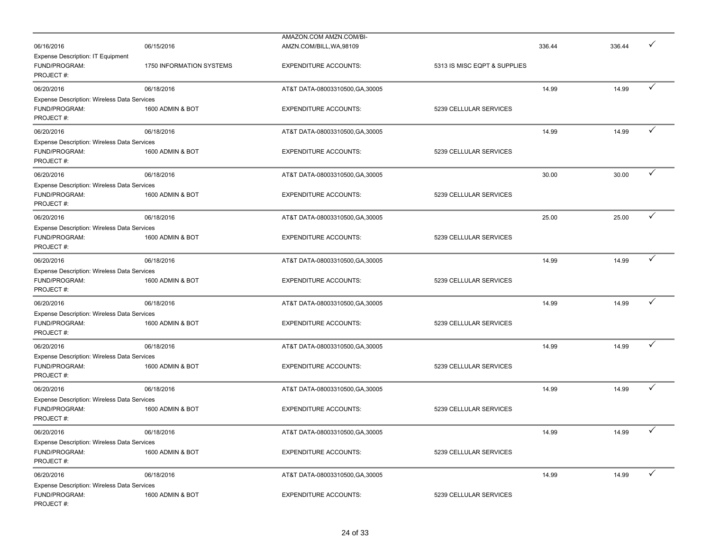|                                                              |                          | AMAZON.COM AMZN.COM/BI-          |                              | 336.44 |        |              |
|--------------------------------------------------------------|--------------------------|----------------------------------|------------------------------|--------|--------|--------------|
| 06/16/2016                                                   | 06/15/2016               | AMZN.COM/BILL, WA, 98109         |                              |        | 336.44 |              |
| Expense Description: IT Equipment<br>FUND/PROGRAM:           |                          |                                  |                              |        |        |              |
| PROJECT#:                                                    | 1750 INFORMATION SYSTEMS | <b>EXPENDITURE ACCOUNTS:</b>     | 5313 IS MISC EQPT & SUPPLIES |        |        |              |
| 06/20/2016                                                   | 06/18/2016               | AT&T DATA-08003310500, GA, 30005 |                              | 14.99  | 14.99  | ✓            |
|                                                              |                          |                                  |                              |        |        |              |
| Expense Description: Wireless Data Services<br>FUND/PROGRAM: | 1600 ADMIN & BOT         | <b>EXPENDITURE ACCOUNTS:</b>     | 5239 CELLULAR SERVICES       |        |        |              |
| PROJECT#:                                                    |                          |                                  |                              |        |        |              |
|                                                              |                          |                                  |                              |        |        | ✓            |
| 06/20/2016                                                   | 06/18/2016               | AT&T DATA-08003310500, GA, 30005 |                              | 14.99  | 14.99  |              |
| Expense Description: Wireless Data Services                  |                          |                                  |                              |        |        |              |
| FUND/PROGRAM:                                                | 1600 ADMIN & BOT         | <b>EXPENDITURE ACCOUNTS:</b>     | 5239 CELLULAR SERVICES       |        |        |              |
| PROJECT#:                                                    |                          |                                  |                              |        |        |              |
| 06/20/2016                                                   | 06/18/2016               | AT&T DATA-08003310500, GA, 30005 |                              | 30.00  | 30.00  | ✓            |
| Expense Description: Wireless Data Services                  |                          |                                  |                              |        |        |              |
| FUND/PROGRAM:                                                | 1600 ADMIN & BOT         | <b>EXPENDITURE ACCOUNTS:</b>     | 5239 CELLULAR SERVICES       |        |        |              |
| PROJECT#:                                                    |                          |                                  |                              |        |        |              |
| 06/20/2016                                                   | 06/18/2016               | AT&T DATA-08003310500, GA, 30005 |                              | 25.00  | 25.00  | ✓            |
| Expense Description: Wireless Data Services                  |                          |                                  |                              |        |        |              |
| FUND/PROGRAM:                                                | 1600 ADMIN & BOT         | <b>EXPENDITURE ACCOUNTS:</b>     | 5239 CELLULAR SERVICES       |        |        |              |
| PROJECT#:                                                    |                          |                                  |                              |        |        |              |
| 06/20/2016                                                   | 06/18/2016               | AT&T DATA-08003310500, GA, 30005 |                              | 14.99  | 14.99  | ✓            |
| Expense Description: Wireless Data Services                  |                          |                                  |                              |        |        |              |
| FUND/PROGRAM:                                                | 1600 ADMIN & BOT         | <b>EXPENDITURE ACCOUNTS:</b>     | 5239 CELLULAR SERVICES       |        |        |              |
| PROJECT#:                                                    |                          |                                  |                              |        |        |              |
| 06/20/2016                                                   | 06/18/2016               | AT&T DATA-08003310500, GA, 30005 |                              | 14.99  | 14.99  | ✓            |
| Expense Description: Wireless Data Services                  |                          |                                  |                              |        |        |              |
| FUND/PROGRAM:                                                | 1600 ADMIN & BOT         | <b>EXPENDITURE ACCOUNTS:</b>     | 5239 CELLULAR SERVICES       |        |        |              |
| PROJECT#:                                                    |                          |                                  |                              |        |        |              |
| 06/20/2016                                                   | 06/18/2016               | AT&T DATA-08003310500, GA, 30005 |                              | 14.99  | 14.99  | ✓            |
| Expense Description: Wireless Data Services                  |                          |                                  |                              |        |        |              |
| FUND/PROGRAM:                                                | 1600 ADMIN & BOT         | <b>EXPENDITURE ACCOUNTS:</b>     | 5239 CELLULAR SERVICES       |        |        |              |
| PROJECT#:                                                    |                          |                                  |                              |        |        |              |
| 06/20/2016                                                   | 06/18/2016               | AT&T DATA-08003310500, GA, 30005 |                              | 14.99  | 14.99  | $\checkmark$ |
| <b>Expense Description: Wireless Data Services</b>           |                          |                                  |                              |        |        |              |
| FUND/PROGRAM:                                                | 1600 ADMIN & BOT         | <b>EXPENDITURE ACCOUNTS:</b>     | 5239 CELLULAR SERVICES       |        |        |              |
| PROJECT#:                                                    |                          |                                  |                              |        |        |              |
| 06/20/2016                                                   | 06/18/2016               | AT&T DATA-08003310500, GA, 30005 |                              | 14.99  | 14.99  | $\checkmark$ |
| Expense Description: Wireless Data Services                  |                          |                                  |                              |        |        |              |
| FUND/PROGRAM:                                                | 1600 ADMIN & BOT         | <b>EXPENDITURE ACCOUNTS:</b>     | 5239 CELLULAR SERVICES       |        |        |              |
| PROJECT#:                                                    |                          |                                  |                              |        |        |              |
| 06/20/2016                                                   | 06/18/2016               | AT&T DATA-08003310500, GA, 30005 |                              | 14.99  | 14.99  | $\checkmark$ |
| Expense Description: Wireless Data Services                  |                          |                                  |                              |        |        |              |
| FUND/PROGRAM:                                                | 1600 ADMIN & BOT         | <b>EXPENDITURE ACCOUNTS:</b>     | 5239 CELLULAR SERVICES       |        |        |              |
| PROJECT#:                                                    |                          |                                  |                              |        |        |              |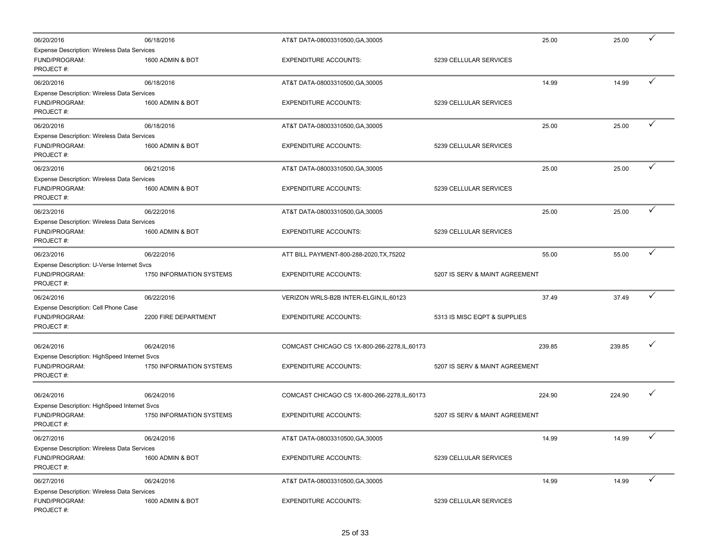| 06/20/2016                                                                 | 06/18/2016               | AT&T DATA-08003310500, GA, 30005              | 25.00                          | 25.00  | ✓            |
|----------------------------------------------------------------------------|--------------------------|-----------------------------------------------|--------------------------------|--------|--------------|
| Expense Description: Wireless Data Services<br>FUND/PROGRAM:<br>PROJECT#:  | 1600 ADMIN & BOT         | <b>EXPENDITURE ACCOUNTS:</b>                  | 5239 CELLULAR SERVICES         |        |              |
| 06/20/2016                                                                 | 06/18/2016               | AT&T DATA-08003310500, GA, 30005              | 14.99                          | 14.99  | ✓            |
| Expense Description: Wireless Data Services<br>FUND/PROGRAM:<br>PROJECT#:  | 1600 ADMIN & BOT         | <b>EXPENDITURE ACCOUNTS:</b>                  | 5239 CELLULAR SERVICES         |        |              |
| 06/20/2016                                                                 | 06/18/2016               | AT&T DATA-08003310500, GA, 30005              | 25.00                          | 25.00  | ✓            |
| Expense Description: Wireless Data Services                                |                          |                                               |                                |        |              |
| FUND/PROGRAM:<br>PROJECT#:                                                 | 1600 ADMIN & BOT         | <b>EXPENDITURE ACCOUNTS:</b>                  | 5239 CELLULAR SERVICES         |        |              |
| 06/23/2016                                                                 | 06/21/2016               | AT&T DATA-08003310500, GA, 30005              | 25.00                          | 25.00  | $\checkmark$ |
| Expense Description: Wireless Data Services<br>FUND/PROGRAM:<br>PROJECT#:  | 1600 ADMIN & BOT         | <b>EXPENDITURE ACCOUNTS:</b>                  | 5239 CELLULAR SERVICES         |        |              |
| 06/23/2016                                                                 | 06/22/2016               | AT&T DATA-08003310500, GA, 30005              | 25.00                          | 25.00  | ✓            |
| Expense Description: Wireless Data Services<br>FUND/PROGRAM:<br>PROJECT#:  | 1600 ADMIN & BOT         | <b>EXPENDITURE ACCOUNTS:</b>                  | 5239 CELLULAR SERVICES         |        |              |
| 06/23/2016                                                                 | 06/22/2016               | ATT BILL PAYMENT-800-288-2020, TX, 75202      | 55.00                          | 55.00  | $\checkmark$ |
| Expense Description: U-Verse Internet Svcs<br>FUND/PROGRAM:<br>PROJECT#:   | 1750 INFORMATION SYSTEMS | <b>EXPENDITURE ACCOUNTS:</b>                  | 5207 IS SERV & MAINT AGREEMENT |        |              |
| 06/24/2016                                                                 | 06/22/2016               | VERIZON WRLS-B2B INTER-ELGIN, IL, 60123       | 37.49                          | 37.49  | $\checkmark$ |
| Expense Description: Cell Phone Case<br>FUND/PROGRAM:<br>PROJECT#:         | 2200 FIRE DEPARTMENT     | <b>EXPENDITURE ACCOUNTS:</b>                  | 5313 IS MISC EQPT & SUPPLIES   |        |              |
| 06/24/2016                                                                 | 06/24/2016               | COMCAST CHICAGO CS 1X-800-266-2278, IL, 60173 | 239.85                         | 239.85 | ✓            |
| Expense Description: HighSpeed Internet Svcs<br>FUND/PROGRAM:<br>PROJECT#: | 1750 INFORMATION SYSTEMS | <b>EXPENDITURE ACCOUNTS:</b>                  | 5207 IS SERV & MAINT AGREEMENT |        |              |
| 06/24/2016                                                                 | 06/24/2016               | COMCAST CHICAGO CS 1X-800-266-2278, IL, 60173 | 224.90                         | 224.90 | ✓            |
| Expense Description: HighSpeed Internet Svcs<br>FUND/PROGRAM:<br>PROJECT#: | 1750 INFORMATION SYSTEMS | <b>EXPENDITURE ACCOUNTS:</b>                  | 5207 IS SERV & MAINT AGREEMENT |        |              |
| 06/27/2016                                                                 | 06/24/2016               | AT&T DATA-08003310500, GA, 30005              | 14.99                          | 14.99  |              |
| Expense Description: Wireless Data Services<br>FUND/PROGRAM:<br>PROJECT#:  | 1600 ADMIN & BOT         | <b>EXPENDITURE ACCOUNTS:</b>                  | 5239 CELLULAR SERVICES         |        |              |
| 06/27/2016                                                                 | 06/24/2016               | AT&T DATA-08003310500, GA, 30005              | 14.99                          | 14.99  | ✓            |
| Expense Description: Wireless Data Services<br>FUND/PROGRAM:<br>PROJECT#:  | 1600 ADMIN & BOT         | <b>EXPENDITURE ACCOUNTS:</b>                  | 5239 CELLULAR SERVICES         |        |              |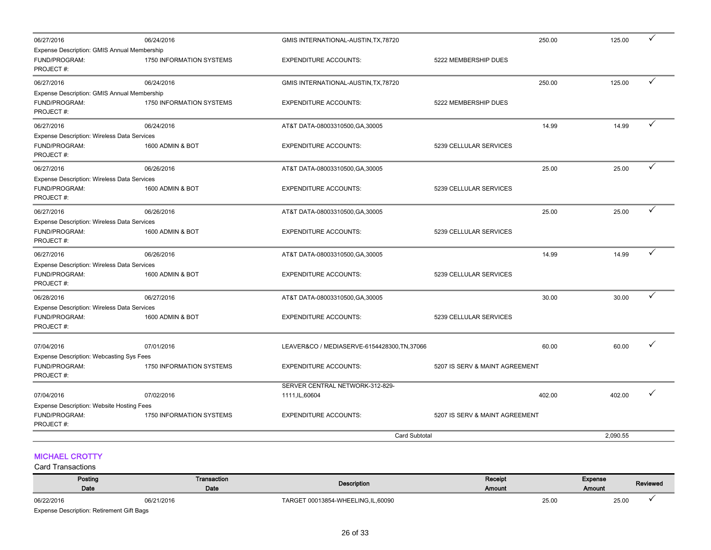| 06/27/2016                                      | 06/24/2016               | GMIS INTERNATIONAL-AUSTIN, TX, 78720         |                                | 250.00 | 125.00   |   |
|-------------------------------------------------|--------------------------|----------------------------------------------|--------------------------------|--------|----------|---|
| Expense Description: GMIS Annual Membership     |                          |                                              |                                |        |          |   |
| FUND/PROGRAM:<br>PROJECT#:                      | 1750 INFORMATION SYSTEMS | <b>EXPENDITURE ACCOUNTS:</b>                 | 5222 MEMBERSHIP DUES           |        |          |   |
| 06/27/2016                                      | 06/24/2016               | GMIS INTERNATIONAL-AUSTIN, TX, 78720         |                                | 250.00 | 125.00   | ✓ |
| Expense Description: GMIS Annual Membership     |                          |                                              |                                |        |          |   |
| FUND/PROGRAM:                                   | 1750 INFORMATION SYSTEMS | <b>EXPENDITURE ACCOUNTS:</b>                 | 5222 MEMBERSHIP DUES           |        |          |   |
| PROJECT#:                                       |                          |                                              |                                |        |          |   |
| 06/27/2016                                      | 06/24/2016               | AT&T DATA-08003310500, GA, 30005             |                                | 14.99  | 14.99    |   |
| Expense Description: Wireless Data Services     |                          |                                              |                                |        |          |   |
| FUND/PROGRAM:                                   | 1600 ADMIN & BOT         | <b>EXPENDITURE ACCOUNTS:</b>                 | 5239 CELLULAR SERVICES         |        |          |   |
| PROJECT#:                                       |                          |                                              |                                |        |          |   |
| 06/27/2016                                      | 06/26/2016               | AT&T DATA-08003310500, GA, 30005             |                                | 25.00  | 25.00    | ✓ |
| Expense Description: Wireless Data Services     |                          |                                              |                                |        |          |   |
| FUND/PROGRAM:                                   | 1600 ADMIN & BOT         | <b>EXPENDITURE ACCOUNTS:</b>                 | 5239 CELLULAR SERVICES         |        |          |   |
| PROJECT#:                                       |                          |                                              |                                |        |          |   |
| 06/27/2016                                      | 06/26/2016               | AT&T DATA-08003310500, GA, 30005             |                                | 25.00  | 25.00    |   |
| Expense Description: Wireless Data Services     |                          |                                              |                                |        |          |   |
| FUND/PROGRAM:                                   | 1600 ADMIN & BOT         | <b>EXPENDITURE ACCOUNTS:</b>                 | 5239 CELLULAR SERVICES         |        |          |   |
| PROJECT#:                                       |                          |                                              |                                |        |          |   |
| 06/27/2016                                      | 06/26/2016               | AT&T DATA-08003310500, GA, 30005             |                                | 14.99  | 14.99    | ✓ |
| Expense Description: Wireless Data Services     |                          |                                              |                                |        |          |   |
| FUND/PROGRAM:                                   | 1600 ADMIN & BOT         | <b>EXPENDITURE ACCOUNTS:</b>                 | 5239 CELLULAR SERVICES         |        |          |   |
| PROJECT#:                                       |                          |                                              |                                |        |          |   |
| 06/28/2016                                      | 06/27/2016               | AT&T DATA-08003310500, GA, 30005             |                                | 30.00  | 30.00    | ✓ |
| Expense Description: Wireless Data Services     |                          |                                              |                                |        |          |   |
| FUND/PROGRAM:                                   | 1600 ADMIN & BOT         | <b>EXPENDITURE ACCOUNTS:</b>                 | 5239 CELLULAR SERVICES         |        |          |   |
| PROJECT#:                                       |                          |                                              |                                |        |          |   |
| 07/04/2016                                      | 07/01/2016               | LEAVER&CO / MEDIASERVE-6154428300, TN, 37066 |                                | 60.00  | 60.00    | ✓ |
| <b>Expense Description: Webcasting Sys Fees</b> |                          |                                              |                                |        |          |   |
| FUND/PROGRAM:                                   | 1750 INFORMATION SYSTEMS | <b>EXPENDITURE ACCOUNTS:</b>                 | 5207 IS SERV & MAINT AGREEMENT |        |          |   |
| PROJECT#:                                       |                          |                                              |                                |        |          |   |
|                                                 |                          | SERVER CENTRAL NETWORK-312-829-              |                                |        |          |   |
| 07/04/2016                                      | 07/02/2016               | 1111, IL, 60604                              |                                | 402.00 | 402.00   | ✓ |
| Expense Description: Website Hosting Fees       |                          |                                              |                                |        |          |   |
| FUND/PROGRAM:                                   | 1750 INFORMATION SYSTEMS | <b>EXPENDITURE ACCOUNTS:</b>                 | 5207 IS SERV & MAINT AGREEMENT |        |          |   |
| PROJECT#:                                       |                          |                                              |                                |        |          |   |
|                                                 |                          | <b>Card Subtotal</b>                         |                                |        | 2,090.55 |   |

## MICHAEL CROTTY

| Posting<br>Date                                  | Transaction<br>Date | Description                         | Receipt<br>Amount |       | Expense<br><b>Amount</b> | Reviewed |
|--------------------------------------------------|---------------------|-------------------------------------|-------------------|-------|--------------------------|----------|
| 06/22/2016                                       | 06/21/2016          | TARGET 00013854-WHEELING, IL, 60090 |                   | 25.00 | 25.00                    |          |
| <b>Expense Description: Retirement Gift Bags</b> |                     |                                     |                   |       |                          |          |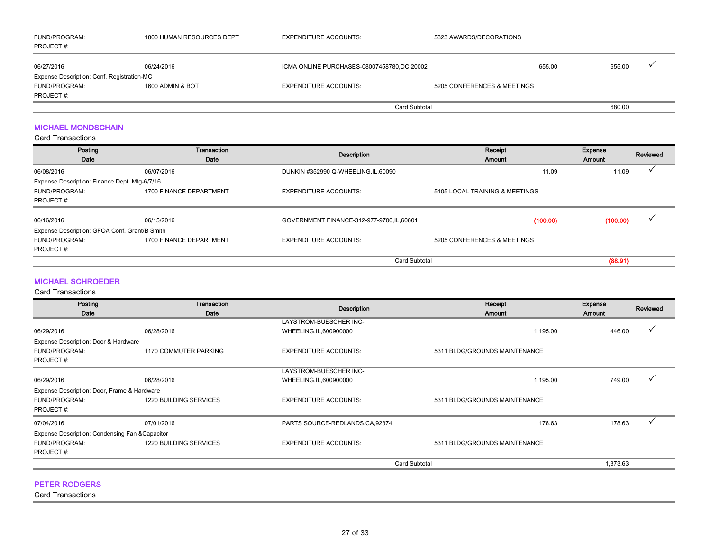| <b>FUND/PROGRAM:</b><br>PROJECT#:          | 1800 HUMAN RESOURCES DEPT | <b>EXPENDITURE ACCOUNTS:</b>               | 5323 AWARDS/DECORATIONS     |        |        |  |
|--------------------------------------------|---------------------------|--------------------------------------------|-----------------------------|--------|--------|--|
| 06/27/2016                                 | 06/24/2016                | ICMA ONLINE PURCHASES-08007458780,DC,20002 |                             | 655.00 | 655.00 |  |
| Expense Description: Conf. Registration-MC |                           |                                            |                             |        |        |  |
| <b>FUND/PROGRAM:</b>                       | 1600 ADMIN & BOT          | <b>EXPENDITURE ACCOUNTS:</b>               | 5205 CONFERENCES & MEETINGS |        |        |  |
| PROJECT #:                                 |                           |                                            |                             |        |        |  |
|                                            |                           | Card Subtotal                              |                             |        | 680.00 |  |

## MICHAEL MONDSCHAIN

Card Transactions

| Posting<br>Date                               | Transaction<br>Date     | Description                                | Receipt<br>Amount              | Expense<br>Amount | Reviewed |
|-----------------------------------------------|-------------------------|--------------------------------------------|--------------------------------|-------------------|----------|
| 06/08/2016                                    | 06/07/2016              | DUNKIN #352990 Q-WHEELING, IL, 60090       | 11.09                          | 11.09             |          |
| Expense Description: Finance Dept. Mtg-6/7/16 |                         |                                            |                                |                   |          |
| <b>FUND/PROGRAM:</b>                          | 1700 FINANCE DEPARTMENT | <b>EXPENDITURE ACCOUNTS:</b>               | 5105 LOCAL TRAINING & MEETINGS |                   |          |
| PROJECT#:                                     |                         |                                            |                                |                   |          |
| 06/16/2016                                    | 06/15/2016              | GOVERNMENT FINANCE-312-977-9700, IL, 60601 | (100.00)                       | (100.00)          |          |
| Expense Description: GFOA Conf. Grant/B Smith |                         |                                            |                                |                   |          |
|                                               |                         |                                            |                                |                   |          |
| FUND/PROGRAM:                                 | 1700 FINANCE DEPARTMENT | <b>EXPENDITURE ACCOUNTS:</b>               | 5205 CONFERENCES & MEETINGS    |                   |          |
| PROJECT#:                                     |                         |                                            |                                |                   |          |
|                                               |                         | <b>Card Subtotal</b>                       |                                | (88.91)           |          |

## MICHAEL SCHROEDER

Card Transactions

| Posting<br>Date                                 | Transaction<br>Date           | <b>Description</b>               | Receipt<br>Amount             | Expense<br>Amount | Reviewed |
|-------------------------------------------------|-------------------------------|----------------------------------|-------------------------------|-------------------|----------|
|                                                 |                               | LAYSTROM-BUESCHER INC-           |                               |                   |          |
| 06/29/2016                                      | 06/28/2016                    | WHEELING, IL, 600900000          | 1,195.00                      | 446.00            |          |
| Expense Description: Door & Hardware            |                               |                                  |                               |                   |          |
| FUND/PROGRAM:                                   | 1170 COMMUTER PARKING         | <b>EXPENDITURE ACCOUNTS:</b>     | 5311 BLDG/GROUNDS MAINTENANCE |                   |          |
| PROJECT#:                                       |                               |                                  |                               |                   |          |
|                                                 |                               | LAYSTROM-BUESCHER INC-           |                               |                   |          |
| 06/29/2016                                      | 06/28/2016                    | WHEELING, IL, 600900000          | 1,195.00                      | 749.00            |          |
| Expense Description: Door, Frame & Hardware     |                               |                                  |                               |                   |          |
| FUND/PROGRAM:                                   | 1220 BUILDING SERVICES        | <b>EXPENDITURE ACCOUNTS:</b>     | 5311 BLDG/GROUNDS MAINTENANCE |                   |          |
| PROJECT#:                                       |                               |                                  |                               |                   |          |
| 07/04/2016                                      | 07/01/2016                    | PARTS SOURCE-REDLANDS, CA, 92374 | 178.63                        | 178.63            |          |
| Expense Description: Condensing Fan & Capacitor |                               |                                  |                               |                   |          |
| FUND/PROGRAM:                                   | <b>1220 BUILDING SERVICES</b> | <b>EXPENDITURE ACCOUNTS:</b>     | 5311 BLDG/GROUNDS MAINTENANCE |                   |          |
| PROJECT#:                                       |                               |                                  |                               |                   |          |
|                                                 |                               | <b>Card Subtotal</b>             |                               | 1,373.63          |          |
|                                                 |                               |                                  |                               |                   |          |

## PETER RODGERS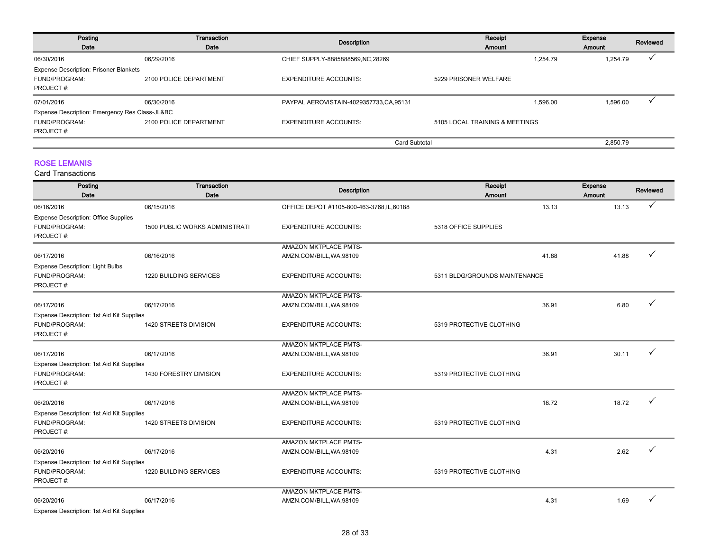| Posting<br>Date                                | Transaction<br>Date    | <b>Description</b>                       | Receipt<br>Amount              |          | <b>Expense</b><br>Amount | Reviewed |
|------------------------------------------------|------------------------|------------------------------------------|--------------------------------|----------|--------------------------|----------|
| 06/30/2016                                     | 06/29/2016             | CHIEF SUPPLY-8885888569, NC, 28269       |                                | 1.254.79 | 1,254.79                 |          |
| <b>Expense Description: Prisoner Blankets</b>  |                        |                                          |                                |          |                          |          |
| <b>FUND/PROGRAM:</b>                           | 2100 POLICE DEPARTMENT | <b>EXPENDITURE ACCOUNTS:</b>             | 5229 PRISONER WELFARE          |          |                          |          |
| PROJECT#:                                      |                        |                                          |                                |          |                          |          |
| 07/01/2016                                     | 06/30/2016             | PAYPAL AEROVISTAIN-4029357733, CA, 95131 |                                | 1.596.00 | 1,596.00                 |          |
| Expense Description: Emergency Res Class-JL&BC |                        |                                          |                                |          |                          |          |
| <b>FUND/PROGRAM:</b>                           | 2100 POLICE DEPARTMENT | <b>EXPENDITURE ACCOUNTS:</b>             | 5105 LOCAL TRAINING & MEETINGS |          |                          |          |
| PROJECT#:                                      |                        |                                          |                                |          |                          |          |
|                                                |                        | Card Subtotal                            |                                |          | 2.850.79                 |          |

## ROSE LEMANIS

| Posting<br>Date                             | Transaction<br>Date            | <b>Description</b>                         | Receipt<br><b>Amount</b>      |       | Expense<br>Amount | Reviewed |
|---------------------------------------------|--------------------------------|--------------------------------------------|-------------------------------|-------|-------------------|----------|
|                                             |                                |                                            |                               |       |                   |          |
| 06/16/2016                                  | 06/15/2016                     | OFFICE DEPOT #1105-800-463-3768, IL, 60188 |                               | 13.13 | 13.13             |          |
| <b>Expense Description: Office Supplies</b> |                                |                                            |                               |       |                   |          |
| FUND/PROGRAM:<br>PROJECT#:                  | 1500 PUBLIC WORKS ADMINISTRATI | <b>EXPENDITURE ACCOUNTS:</b>               | 5318 OFFICE SUPPLIES          |       |                   |          |
|                                             |                                | <b>AMAZON MKTPLACE PMTS-</b>               |                               |       |                   |          |
| 06/17/2016                                  | 06/16/2016                     | AMZN.COM/BILL, WA, 98109                   |                               | 41.88 | 41.88             |          |
| <b>Expense Description: Light Bulbs</b>     |                                |                                            |                               |       |                   |          |
| FUND/PROGRAM:                               | 1220 BUILDING SERVICES         | <b>EXPENDITURE ACCOUNTS:</b>               | 5311 BLDG/GROUNDS MAINTENANCE |       |                   |          |
| PROJECT#:                                   |                                |                                            |                               |       |                   |          |
|                                             |                                | AMAZON MKTPLACE PMTS-                      |                               |       |                   |          |
| 06/17/2016                                  | 06/17/2016                     | AMZN.COM/BILL, WA, 98109                   |                               | 36.91 | 6.80              |          |
| Expense Description: 1st Aid Kit Supplies   |                                |                                            |                               |       |                   |          |
| FUND/PROGRAM:                               | 1420 STREETS DIVISION          | <b>EXPENDITURE ACCOUNTS:</b>               | 5319 PROTECTIVE CLOTHING      |       |                   |          |
| PROJECT#:                                   |                                |                                            |                               |       |                   |          |
|                                             |                                | <b>AMAZON MKTPLACE PMTS-</b>               |                               |       |                   |          |
| 06/17/2016                                  | 06/17/2016                     | AMZN.COM/BILL, WA, 98109                   |                               | 36.91 | 30.11             |          |
| Expense Description: 1st Aid Kit Supplies   |                                |                                            |                               |       |                   |          |
| FUND/PROGRAM:                               | 1430 FORESTRY DIVISION         | <b>EXPENDITURE ACCOUNTS:</b>               | 5319 PROTECTIVE CLOTHING      |       |                   |          |
| PROJECT#:                                   |                                |                                            |                               |       |                   |          |
|                                             |                                | <b>AMAZON MKTPLACE PMTS-</b>               |                               |       |                   |          |
| 06/20/2016                                  | 06/17/2016                     | AMZN.COM/BILL, WA, 98109                   |                               | 18.72 | 18.72             |          |
| Expense Description: 1st Aid Kit Supplies   |                                |                                            |                               |       |                   |          |
| FUND/PROGRAM:                               | 1420 STREETS DIVISION          | <b>EXPENDITURE ACCOUNTS:</b>               | 5319 PROTECTIVE CLOTHING      |       |                   |          |
| PROJECT#:                                   |                                |                                            |                               |       |                   |          |
|                                             |                                | AMAZON MKTPLACE PMTS-                      |                               |       |                   |          |
| 06/20/2016                                  | 06/17/2016                     | AMZN.COM/BILL, WA, 98109                   |                               | 4.31  | 2.62              |          |
| Expense Description: 1st Aid Kit Supplies   |                                |                                            |                               |       |                   |          |
| FUND/PROGRAM:                               | 1220 BUILDING SERVICES         | <b>EXPENDITURE ACCOUNTS:</b>               | 5319 PROTECTIVE CLOTHING      |       |                   |          |
| PROJECT#:                                   |                                |                                            |                               |       |                   |          |
|                                             |                                | <b>AMAZON MKTPLACE PMTS-</b>               |                               |       |                   |          |
| 06/20/2016                                  | 06/17/2016                     | AMZN.COM/BILL, WA, 98109                   |                               | 4.31  | 1.69              |          |
| Expense Description: 1st Aid Kit Supplies   |                                |                                            |                               |       |                   |          |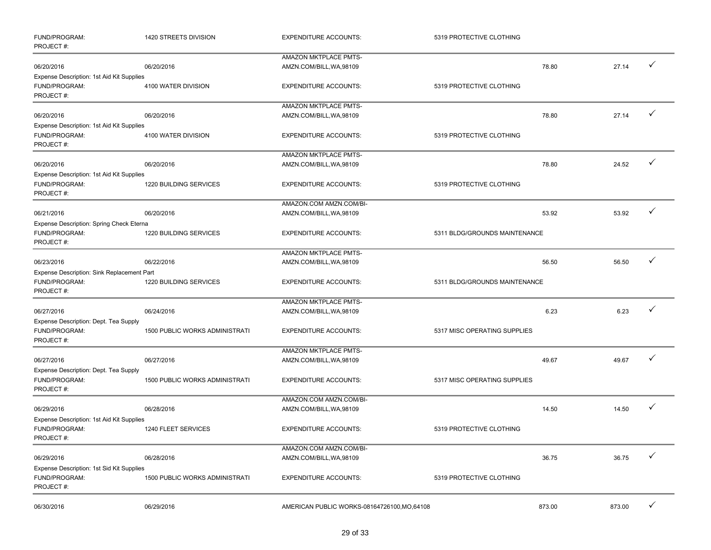| FUND/PROGRAM:<br>PROJECT#:                                               | 1420 STREETS DIVISION                 | <b>EXPENDITURE ACCOUNTS:</b>                      | 5319 PROTECTIVE CLOTHING      |        |        |              |
|--------------------------------------------------------------------------|---------------------------------------|---------------------------------------------------|-------------------------------|--------|--------|--------------|
|                                                                          |                                       | AMAZON MKTPLACE PMTS-                             |                               |        |        |              |
| 06/20/2016                                                               | 06/20/2016                            | AMZN.COM/BILL, WA, 98109                          |                               | 78.80  | 27.14  | ✓            |
| Expense Description: 1st Aid Kit Supplies<br>FUND/PROGRAM:<br>PROJECT#:  | 4100 WATER DIVISION                   | <b>EXPENDITURE ACCOUNTS:</b>                      | 5319 PROTECTIVE CLOTHING      |        |        |              |
|                                                                          |                                       | AMAZON MKTPLACE PMTS-                             |                               |        |        |              |
| 06/20/2016                                                               | 06/20/2016                            | AMZN.COM/BILL, WA, 98109                          |                               | 78.80  | 27.14  | ✓            |
| Expense Description: 1st Aid Kit Supplies<br>FUND/PROGRAM:<br>PROJECT#:  | 4100 WATER DIVISION                   | <b>EXPENDITURE ACCOUNTS:</b>                      | 5319 PROTECTIVE CLOTHING      |        |        |              |
|                                                                          |                                       | AMAZON MKTPLACE PMTS-                             |                               |        |        |              |
| 06/20/2016                                                               | 06/20/2016                            | AMZN.COM/BILL, WA, 98109                          |                               | 78.80  | 24.52  | ✓            |
| Expense Description: 1st Aid Kit Supplies<br>FUND/PROGRAM:<br>PROJECT#:  | 1220 BUILDING SERVICES                | <b>EXPENDITURE ACCOUNTS:</b>                      | 5319 PROTECTIVE CLOTHING      |        |        |              |
|                                                                          |                                       | AMAZON.COM AMZN.COM/BI-                           |                               |        |        |              |
| 06/21/2016                                                               | 06/20/2016                            | AMZN.COM/BILL, WA, 98109                          |                               | 53.92  | 53.92  | ✓            |
| Expense Description: Spring Check Eterna<br>FUND/PROGRAM:                | 1220 BUILDING SERVICES                | <b>EXPENDITURE ACCOUNTS:</b>                      | 5311 BLDG/GROUNDS MAINTENANCE |        |        |              |
| PROJECT#:                                                                |                                       |                                                   |                               |        |        |              |
| 06/23/2016                                                               | 06/22/2016                            | AMAZON MKTPLACE PMTS-<br>AMZN.COM/BILL, WA, 98109 |                               | 56.50  | 56.50  | ✓            |
| Expense Description: Sink Replacement Part<br>FUND/PROGRAM:<br>PROJECT#: | 1220 BUILDING SERVICES                | <b>EXPENDITURE ACCOUNTS:</b>                      | 5311 BLDG/GROUNDS MAINTENANCE |        |        |              |
|                                                                          |                                       | AMAZON MKTPLACE PMTS-                             |                               |        |        |              |
| 06/27/2016                                                               | 06/24/2016                            | AMZN.COM/BILL, WA, 98109                          |                               | 6.23   | 6.23   | ✓            |
| Expense Description: Dept. Tea Supply<br>FUND/PROGRAM:<br>PROJECT#:      | <b>1500 PUBLIC WORKS ADMINISTRATI</b> | <b>EXPENDITURE ACCOUNTS:</b>                      | 5317 MISC OPERATING SUPPLIES  |        |        |              |
|                                                                          |                                       | AMAZON MKTPLACE PMTS-                             |                               |        |        |              |
| 06/27/2016<br>Expense Description: Dept. Tea Supply                      | 06/27/2016                            | AMZN.COM/BILL, WA, 98109                          |                               | 49.67  | 49.67  | ✓            |
| FUND/PROGRAM:<br>PROJECT#:                                               | 1500 PUBLIC WORKS ADMINISTRATI        | <b>EXPENDITURE ACCOUNTS:</b>                      | 5317 MISC OPERATING SUPPLIES  |        |        |              |
|                                                                          |                                       | AMAZON.COM AMZN.COM/BI-                           |                               |        |        |              |
| 06/29/2016                                                               | 06/28/2016                            | AMZN.COM/BILL, WA, 98109                          |                               | 14.50  | 14.50  | $\checkmark$ |
| Expense Description: 1st Aid Kit Supplies<br>FUND/PROGRAM:<br>PROJECT#:  | 1240 FLEET SERVICES                   | <b>EXPENDITURE ACCOUNTS:</b>                      | 5319 PROTECTIVE CLOTHING      |        |        |              |
|                                                                          |                                       | AMAZON.COM AMZN.COM/BI-                           |                               |        |        |              |
| 06/29/2016                                                               | 06/28/2016                            | AMZN.COM/BILL, WA, 98109                          |                               | 36.75  | 36.75  | ✓            |
| Expense Description: 1st Sid Kit Supplies<br>FUND/PROGRAM:<br>PROJECT#:  | <b>1500 PUBLIC WORKS ADMINISTRATI</b> | <b>EXPENDITURE ACCOUNTS:</b>                      | 5319 PROTECTIVE CLOTHING      |        |        |              |
| 06/30/2016                                                               | 06/29/2016                            | AMERICAN PUBLIC WORKS-08164726100, MO, 64108      |                               | 873.00 | 873.00 | ✓            |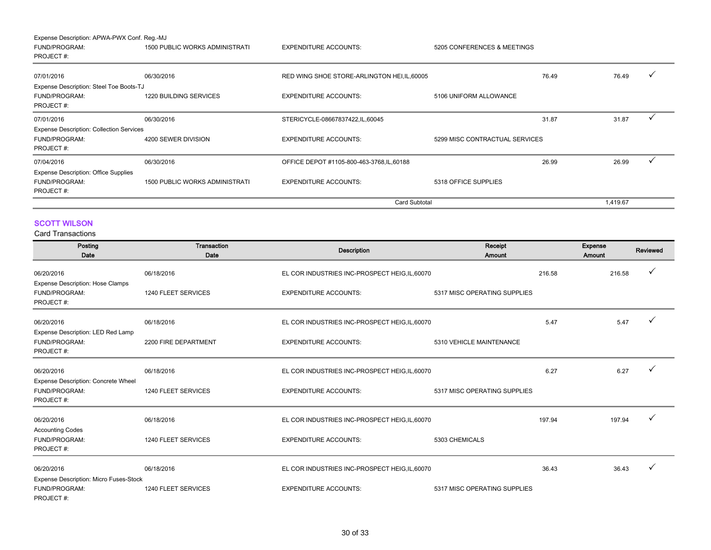Expense Description: APWA-PWX Conf. Reg.-MJ

| <b>FUND/PROGRAM:</b><br>PROJECT#:                                                | <b>1500 PUBLIC WORKS ADMINISTRATI</b> | <b>EXPENDITURE ACCOUNTS:</b>                 | 5205 CONFERENCES & MEETINGS    |       |          |              |
|----------------------------------------------------------------------------------|---------------------------------------|----------------------------------------------|--------------------------------|-------|----------|--------------|
| 07/01/2016                                                                       | 06/30/2016                            | RED WING SHOE STORE-ARLINGTON HEI, IL, 60005 |                                | 76.49 | 76.49    | $\checkmark$ |
| Expense Description: Steel Toe Boots-TJ<br><b>FUND/PROGRAM:</b><br>PROJECT#:     | <b>1220 BUILDING SERVICES</b>         | <b>EXPENDITURE ACCOUNTS:</b>                 | 5106 UNIFORM ALLOWANCE         |       |          |              |
| 07/01/2016                                                                       | 06/30/2016                            | STERICYCLE-08667837422, IL, 60045            |                                | 31.87 | 31.87    |              |
| <b>Expense Description: Collection Services</b><br>FUND/PROGRAM:<br>PROJECT#:    | 4200 SEWER DIVISION                   | <b>EXPENDITURE ACCOUNTS:</b>                 | 5299 MISC CONTRACTUAL SERVICES |       |          |              |
| 07/04/2016                                                                       | 06/30/2016                            | OFFICE DEPOT #1105-800-463-3768, IL, 60188   |                                | 26.99 | 26.99    |              |
| <b>Expense Description: Office Supplies</b><br><b>FUND/PROGRAM:</b><br>PROJECT#: | <b>1500 PUBLIC WORKS ADMINISTRATI</b> | <b>EXPENDITURE ACCOUNTS:</b>                 | 5318 OFFICE SUPPLIES           |       |          |              |
|                                                                                  |                                       | Card Subtotal                                |                                |       | 1,419.67 |              |

## SCOTT WILSON

| Posting<br>Date                                                       | Transaction<br>Date  | <b>Description</b>                             | Receipt<br>Amount            |        | <b>Expense</b><br>Amount | Reviewed |
|-----------------------------------------------------------------------|----------------------|------------------------------------------------|------------------------------|--------|--------------------------|----------|
| 06/20/2016                                                            | 06/18/2016           | EL COR INDUSTRIES INC-PROSPECT HEIG, IL, 60070 |                              | 216.58 | 216.58                   |          |
| <b>Expense Description: Hose Clamps</b><br>FUND/PROGRAM:<br>PROJECT#: | 1240 FLEET SERVICES  | <b>EXPENDITURE ACCOUNTS:</b>                   | 5317 MISC OPERATING SUPPLIES |        |                          |          |
| 06/20/2016                                                            | 06/18/2016           | EL COR INDUSTRIES INC-PROSPECT HEIG, IL, 60070 |                              | 5.47   | 5.47                     |          |
| Expense Description: LED Red Lamp<br>FUND/PROGRAM:<br>PROJECT#:       | 2200 FIRE DEPARTMENT | <b>EXPENDITURE ACCOUNTS:</b>                   | 5310 VEHICLE MAINTENANCE     |        |                          |          |
| 06/20/2016                                                            | 06/18/2016           | EL COR INDUSTRIES INC-PROSPECT HEIG, IL, 60070 |                              | 6.27   | 6.27                     |          |
| Expense Description: Concrete Wheel<br>FUND/PROGRAM:<br>PROJECT#:     | 1240 FLEET SERVICES  | <b>EXPENDITURE ACCOUNTS:</b>                   | 5317 MISC OPERATING SUPPLIES |        |                          |          |
| 06/20/2016                                                            | 06/18/2016           | EL COR INDUSTRIES INC-PROSPECT HEIG, IL, 60070 |                              | 197.94 | 197.94                   |          |
| <b>Accounting Codes</b><br>FUND/PROGRAM:<br>PROJECT#:                 | 1240 FLEET SERVICES  | <b>EXPENDITURE ACCOUNTS:</b>                   | 5303 CHEMICALS               |        |                          |          |
| 06/20/2016                                                            | 06/18/2016           | EL COR INDUSTRIES INC-PROSPECT HEIG, IL, 60070 |                              | 36.43  | 36.43                    |          |
| Expense Description: Micro Fuses-Stock<br>FUND/PROGRAM:<br>PROJECT#:  | 1240 FLEET SERVICES  | <b>EXPENDITURE ACCOUNTS:</b>                   | 5317 MISC OPERATING SUPPLIES |        |                          |          |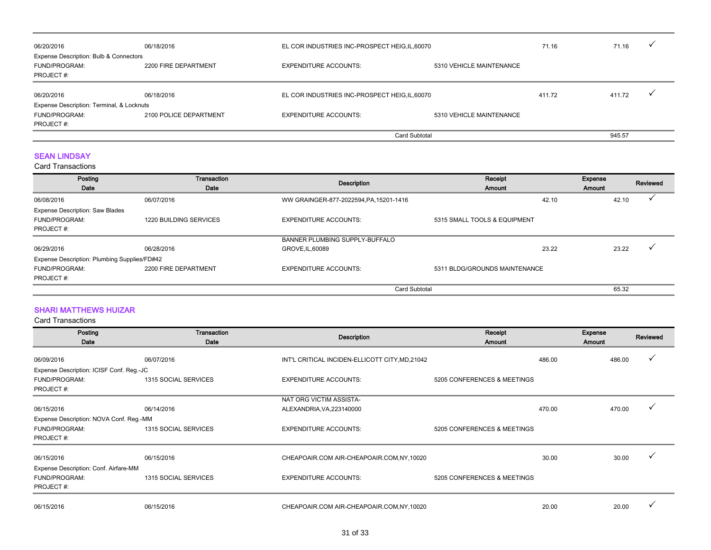| 06/20/2016                                                                   | 06/18/2016             |                                                | EL COR INDUSTRIES INC-PROSPECT HEIG, IL, 60070 |        | 71.16  |  |
|------------------------------------------------------------------------------|------------------------|------------------------------------------------|------------------------------------------------|--------|--------|--|
| Expense Description: Bulb & Connectors<br><b>FUND/PROGRAM:</b><br>PROJECT #: | 2200 FIRE DEPARTMENT   | <b>EXPENDITURE ACCOUNTS:</b>                   | 5310 VEHICLE MAINTENANCE                       |        |        |  |
| 06/20/2016                                                                   | 06/18/2016             | EL COR INDUSTRIES INC-PROSPECT HEIG, IL, 60070 |                                                | 411.72 | 411.72 |  |
| Expense Description: Terminal, & Locknuts                                    |                        |                                                |                                                |        |        |  |
| <b>FUND/PROGRAM:</b>                                                         | 2100 POLICE DEPARTMENT | <b>EXPENDITURE ACCOUNTS:</b>                   | 5310 VEHICLE MAINTENANCE                       |        |        |  |
| PROJECT #:                                                                   |                        |                                                |                                                |        |        |  |
|                                                                              |                        |                                                | Card Subtotal                                  |        | 945.57 |  |

## SEAN LINDSAY

Card Transactions

| Posting<br>Date                              | Transaction<br>Date    | Description                             | Receipt<br><b>Amount</b>      | Expense<br>Amount | Reviewed |
|----------------------------------------------|------------------------|-----------------------------------------|-------------------------------|-------------------|----------|
| 06/08/2016                                   | 06/07/2016             | WW GRAINGER-877-2022594, PA, 15201-1416 | 42.10                         | 42.10             |          |
| <b>Expense Description: Saw Blades</b>       |                        |                                         |                               |                   |          |
| FUND/PROGRAM:                                | 1220 BUILDING SERVICES | <b>EXPENDITURE ACCOUNTS:</b>            | 5315 SMALL TOOLS & EQUIPMENT  |                   |          |
| PROJECT#:                                    |                        |                                         |                               |                   |          |
|                                              |                        | BANNER PLUMBING SUPPLY-BUFFALO          |                               |                   |          |
| 06/29/2016                                   | 06/28/2016             | GROVE, IL, 60089                        | 23.22                         | 23.22             |          |
| Expense Description: Plumbing Supplies/FD#42 |                        |                                         |                               |                   |          |
| FUND/PROGRAM:                                | 2200 FIRE DEPARTMENT   | <b>EXPENDITURE ACCOUNTS:</b>            | 5311 BLDG/GROUNDS MAINTENANCE |                   |          |
| PROJECT#:                                    |                        |                                         |                               |                   |          |
|                                              |                        | <b>Card Subtotal</b>                    |                               | 65.32             |          |

## SHARI MATTHEWS HUIZAR

| Posting<br>Date                          | Transaction<br>Date  | <b>Description</b>                              | Receipt<br><b>Amount</b>    |        | Expense<br>Amount | Reviewed |
|------------------------------------------|----------------------|-------------------------------------------------|-----------------------------|--------|-------------------|----------|
| 06/09/2016                               | 06/07/2016           | INT'L CRITICAL INCIDEN-ELLICOTT CITY, MD, 21042 |                             | 486.00 | 486.00            | ✓        |
| Expense Description: ICISF Conf. Reg.-JC |                      |                                                 |                             |        |                   |          |
| <b>FUND/PROGRAM:</b><br>PROJECT#:        | 1315 SOCIAL SERVICES | <b>EXPENDITURE ACCOUNTS:</b>                    | 5205 CONFERENCES & MEETINGS |        |                   |          |
|                                          |                      | NAT ORG VICTIM ASSISTA-                         |                             |        |                   |          |
| 06/15/2016                               | 06/14/2016           | ALEXANDRIA, VA, 223140000                       |                             | 470.00 | 470.00            |          |
| Expense Description: NOVA Conf. Reg.-MM  |                      |                                                 |                             |        |                   |          |
| <b>FUND/PROGRAM:</b>                     | 1315 SOCIAL SERVICES | <b>EXPENDITURE ACCOUNTS:</b>                    | 5205 CONFERENCES & MEETINGS |        |                   |          |
| PROJECT#:                                |                      |                                                 |                             |        |                   |          |
| 06/15/2016                               | 06/15/2016           | CHEAPOAIR.COM AIR-CHEAPOAIR.COM, NY, 10020      |                             | 30.00  | 30.00             | ✓        |
| Expense Description: Conf. Airfare-MM    |                      |                                                 |                             |        |                   |          |
| <b>FUND/PROGRAM:</b>                     | 1315 SOCIAL SERVICES | <b>EXPENDITURE ACCOUNTS:</b>                    | 5205 CONFERENCES & MEETINGS |        |                   |          |
| PROJECT#:                                |                      |                                                 |                             |        |                   |          |
| 06/15/2016                               | 06/15/2016           | CHEAPOAIR.COM AIR-CHEAPOAIR.COM, NY, 10020      |                             | 20.00  | 20.00             |          |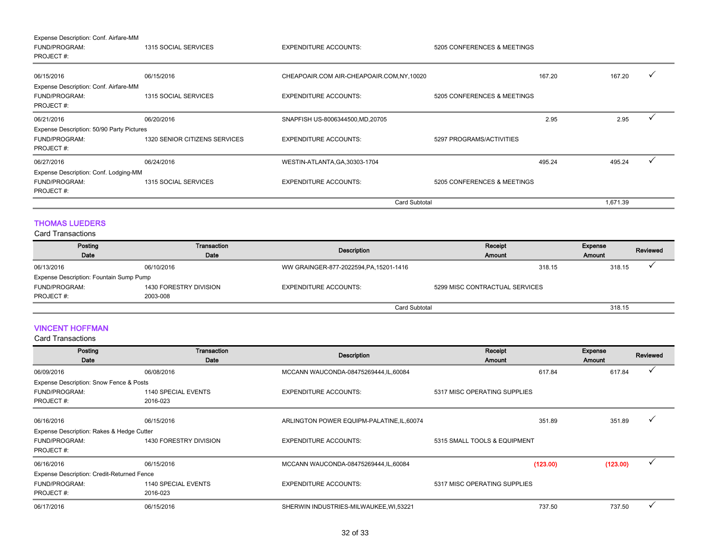| Expense Description: Conf. Airfare-MM<br><b>FUND/PROGRAM:</b><br>PROJECT#: | 1315 SOCIAL SERVICES          | <b>EXPENDITURE ACCOUNTS:</b>               | 5205 CONFERENCES & MEETINGS |        |          |  |
|----------------------------------------------------------------------------|-------------------------------|--------------------------------------------|-----------------------------|--------|----------|--|
| 06/15/2016                                                                 | 06/15/2016                    | CHEAPOAIR.COM AIR-CHEAPOAIR.COM, NY, 10020 |                             | 167.20 | 167.20   |  |
| Expense Description: Conf. Airfare-MM<br><b>FUND/PROGRAM:</b><br>PROJECT#: | 1315 SOCIAL SERVICES          | <b>EXPENDITURE ACCOUNTS:</b>               | 5205 CONFERENCES & MEETINGS |        |          |  |
| 06/21/2016                                                                 | 06/20/2016                    | SNAPFISH US-8006344500, MD, 20705          |                             | 2.95   | 2.95     |  |
| Expense Description: 50/90 Party Pictures                                  |                               |                                            |                             |        |          |  |
| <b>FUND/PROGRAM:</b><br>PROJECT#:                                          | 1320 SENIOR CITIZENS SERVICES | <b>EXPENDITURE ACCOUNTS:</b>               | 5297 PROGRAMS/ACTIVITIES    |        |          |  |
| 06/27/2016                                                                 | 06/24/2016                    | WESTIN-ATLANTA, GA, 30303-1704             |                             | 495.24 | 495.24   |  |
| Expense Description: Conf. Lodging-MM                                      |                               |                                            |                             |        |          |  |
| <b>FUND/PROGRAM:</b><br>PROJECT#:                                          | 1315 SOCIAL SERVICES          | <b>EXPENDITURE ACCOUNTS:</b>               | 5205 CONFERENCES & MEETINGS |        |          |  |
|                                                                            |                               | <b>Card Subtotal</b>                       |                             |        | 1,671.39 |  |

## THOMAS LUEDERS

#### Card Transactions

| Posting                                 | Transaction            | Description                             | Receipt                        | <b>Expense</b> | Reviewed |
|-----------------------------------------|------------------------|-----------------------------------------|--------------------------------|----------------|----------|
| Date                                    | Date                   |                                         | Amount                         | <b>Amount</b>  |          |
| 06/13/2016                              | 06/10/2016             | WW GRAINGER-877-2022594, PA, 15201-1416 | 318.15                         | 318.15         |          |
| Expense Description: Fountain Sump Pump |                        |                                         |                                |                |          |
| <b>FUND/PROGRAM:</b>                    | 1430 FORESTRY DIVISION | <b>EXPENDITURE ACCOUNTS:</b>            | 5299 MISC CONTRACTUAL SERVICES |                |          |
| PROJECT#:                               | 2003-008               |                                         |                                |                |          |
|                                         |                        | <b>Card Subtotal</b>                    |                                | 318.15         |          |

## VINCENT HOFFMAN

| Posting<br>Date                            | Transaction<br>Date        | <b>Description</b>                         | Receipt<br>Amount            | <b>Expense</b><br><b>Amount</b> | Reviewed     |
|--------------------------------------------|----------------------------|--------------------------------------------|------------------------------|---------------------------------|--------------|
| 06/09/2016                                 | 06/08/2016                 | MCCANN WAUCONDA-08475269444, IL, 60084     | 617.84                       | 617.84                          |              |
| Expense Description: Snow Fence & Posts    |                            |                                            |                              |                                 |              |
| FUND/PROGRAM:                              | <b>1140 SPECIAL EVENTS</b> | <b>EXPENDITURE ACCOUNTS:</b>               | 5317 MISC OPERATING SUPPLIES |                                 |              |
| PROJECT#:                                  | 2016-023                   |                                            |                              |                                 |              |
| 06/16/2016                                 | 06/15/2016                 | ARLINGTON POWER EQUIPM-PALATINE, IL, 60074 | 351.89                       | 351.89                          |              |
| Expense Description: Rakes & Hedge Cutter  |                            |                                            |                              |                                 |              |
| FUND/PROGRAM:                              | 1430 FORESTRY DIVISION     | <b>EXPENDITURE ACCOUNTS:</b>               | 5315 SMALL TOOLS & EQUIPMENT |                                 |              |
| PROJECT#:                                  |                            |                                            |                              |                                 |              |
| 06/16/2016                                 | 06/15/2016                 | MCCANN WAUCONDA-08475269444, IL, 60084     | (123.00)                     | (123.00)                        | $\checkmark$ |
| Expense Description: Credit-Returned Fence |                            |                                            |                              |                                 |              |
| FUND/PROGRAM:                              | 1140 SPECIAL EVENTS        | <b>EXPENDITURE ACCOUNTS:</b>               | 5317 MISC OPERATING SUPPLIES |                                 |              |
| PROJECT#:                                  | 2016-023                   |                                            |                              |                                 |              |
| 06/17/2016                                 | 06/15/2016                 | SHERWIN INDUSTRIES-MILWAUKEE, WI,53221     | 737.50                       | 737.50                          |              |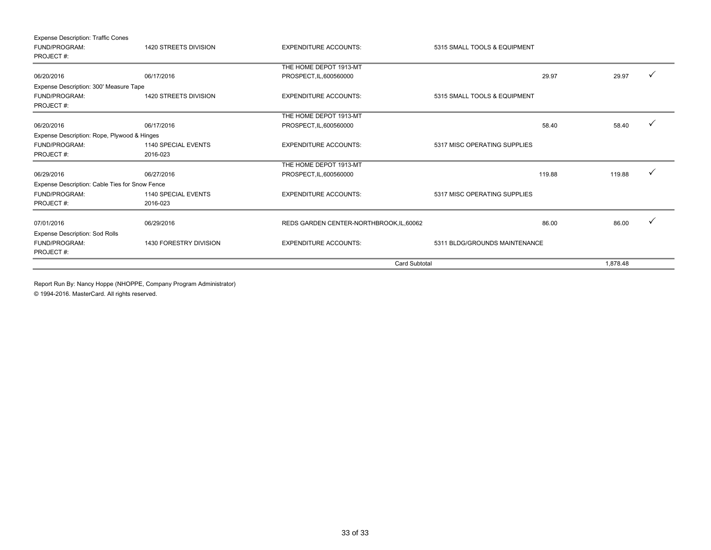| <b>Expense Description: Traffic Cones</b>      |                        |                                          |                               |          |   |
|------------------------------------------------|------------------------|------------------------------------------|-------------------------------|----------|---|
| FUND/PROGRAM:                                  | 1420 STREETS DIVISION  | <b>EXPENDITURE ACCOUNTS:</b>             | 5315 SMALL TOOLS & EQUIPMENT  |          |   |
| PROJECT#:                                      |                        |                                          |                               |          |   |
|                                                |                        | THE HOME DEPOT 1913-MT                   |                               |          |   |
| 06/20/2016                                     | 06/17/2016             | PROSPECT, IL, 600560000                  | 29.97                         | 29.97    | ✓ |
| Expense Description: 300' Measure Tape         |                        |                                          |                               |          |   |
| FUND/PROGRAM:                                  | 1420 STREETS DIVISION  | <b>EXPENDITURE ACCOUNTS:</b>             | 5315 SMALL TOOLS & EQUIPMENT  |          |   |
| PROJECT#:                                      |                        |                                          |                               |          |   |
|                                                |                        | THE HOME DEPOT 1913-MT                   |                               |          |   |
| 06/20/2016                                     | 06/17/2016             | PROSPECT, IL, 600560000                  | 58.40                         | 58.40    | ✓ |
| Expense Description: Rope, Plywood & Hinges    |                        |                                          |                               |          |   |
| FUND/PROGRAM:                                  | 1140 SPECIAL EVENTS    | <b>EXPENDITURE ACCOUNTS:</b>             | 5317 MISC OPERATING SUPPLIES  |          |   |
| PROJECT#:                                      | 2016-023               |                                          |                               |          |   |
|                                                |                        | THE HOME DEPOT 1913-MT                   |                               |          |   |
| 06/29/2016                                     | 06/27/2016             | PROSPECT, IL, 600560000                  | 119.88                        | 119.88   | ✓ |
| Expense Description: Cable Ties for Snow Fence |                        |                                          |                               |          |   |
| FUND/PROGRAM:                                  | 1140 SPECIAL EVENTS    | <b>EXPENDITURE ACCOUNTS:</b>             | 5317 MISC OPERATING SUPPLIES  |          |   |
| PROJECT#:                                      | 2016-023               |                                          |                               |          |   |
|                                                |                        |                                          |                               |          |   |
| 07/01/2016                                     | 06/29/2016             | REDS GARDEN CENTER-NORTHBROOK, IL, 60062 | 86.00                         | 86.00    |   |
| <b>Expense Description: Sod Rolls</b>          |                        |                                          |                               |          |   |
| <b>FUND/PROGRAM:</b>                           | 1430 FORESTRY DIVISION | <b>EXPENDITURE ACCOUNTS:</b>             | 5311 BLDG/GROUNDS MAINTENANCE |          |   |
| PROJECT#:                                      |                        |                                          |                               |          |   |
|                                                |                        | <b>Card Subtotal</b>                     |                               | 1.878.48 |   |

Report Run By: Nancy Hoppe (NHOPPE, Company Program Administrator)

© 1994-2016. MasterCard. All rights reserved.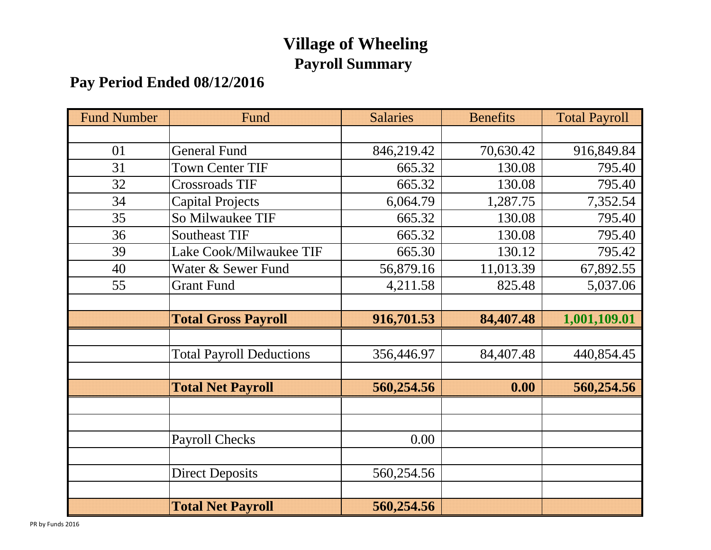## **Village of Wheeling Payroll Summary**

## **Pay Period Ended 08/12/2016**

| <b>Fund Number</b> | Fund                            | <b>Salaries</b> | <b>Benefits</b> | <b>Total Payroll</b> |
|--------------------|---------------------------------|-----------------|-----------------|----------------------|
|                    |                                 |                 |                 |                      |
| 01                 | <b>General Fund</b>             | 846,219.42      | 70,630.42       | 916,849.84           |
| 31                 | <b>Town Center TIF</b>          | 665.32          | 130.08          | 795.40               |
| 32                 | <b>Crossroads TIF</b>           | 665.32          | 130.08          | 795.40               |
| 34                 | <b>Capital Projects</b>         | 6,064.79        | 1,287.75        | 7,352.54             |
| 35                 | So Milwaukee TIF                | 665.32          | 130.08          | 795.40               |
| 36                 | <b>Southeast TIF</b>            | 665.32          | 130.08          | 795.40               |
| 39                 | Lake Cook/Milwaukee TIF         | 665.30          | 130.12          | 795.42               |
| 40                 | Water & Sewer Fund              | 56,879.16       | 11,013.39       | 67,892.55            |
| 55                 | <b>Grant Fund</b>               | 4,211.58        | 825.48          | 5,037.06             |
|                    |                                 |                 |                 |                      |
|                    | <b>Total Gross Payroll</b>      | 916,701.53      | 84,407.48       | 1,001,109.01         |
|                    |                                 |                 |                 |                      |
|                    | <b>Total Payroll Deductions</b> | 356,446.97      | 84,407.48       | 440,854.45           |
|                    |                                 |                 |                 |                      |
|                    | <b>Total Net Payroll</b>        | 560,254.56      | 0.00            | 560,254.56           |
|                    |                                 |                 |                 |                      |
|                    |                                 |                 |                 |                      |
|                    | <b>Payroll Checks</b>           | 0.00            |                 |                      |
|                    |                                 |                 |                 |                      |
|                    | <b>Direct Deposits</b>          | 560,254.56      |                 |                      |
|                    |                                 |                 |                 |                      |
|                    | <b>Total Net Payroll</b>        | 560,254.56      |                 |                      |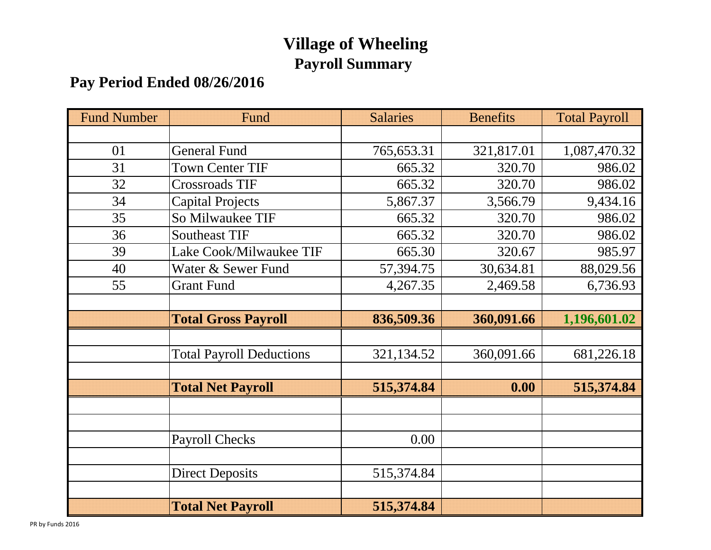## **Village of Wheeling Payroll Summary**

## **Pay Period Ended 08/26/2016**

| <b>Fund Number</b> | Fund                            | <b>Salaries</b> | <b>Benefits</b> | <b>Total Payroll</b> |
|--------------------|---------------------------------|-----------------|-----------------|----------------------|
|                    |                                 |                 |                 |                      |
| 01                 | <b>General Fund</b>             | 765,653.31      | 321,817.01      | 1,087,470.32         |
| 31                 | <b>Town Center TIF</b>          | 665.32          | 320.70          | 986.02               |
| 32                 | <b>Crossroads TIF</b>           | 665.32          | 320.70          | 986.02               |
| 34                 | <b>Capital Projects</b>         | 5,867.37        | 3,566.79        | 9,434.16             |
| 35                 | So Milwaukee TIF                | 665.32          | 320.70          | 986.02               |
| 36                 | <b>Southeast TIF</b>            | 665.32          | 320.70          | 986.02               |
| 39                 | Lake Cook/Milwaukee TIF         | 665.30          | 320.67          | 985.97               |
| 40                 | Water & Sewer Fund              | 57,394.75       | 30,634.81       | 88,029.56            |
| 55                 | <b>Grant Fund</b>               | 4,267.35        | 2,469.58        | 6,736.93             |
|                    |                                 |                 |                 |                      |
|                    | <b>Total Gross Payroll</b>      | 836,509.36      | 360,091.66      | 1,196,601.02         |
|                    |                                 |                 |                 |                      |
|                    | <b>Total Payroll Deductions</b> | 321,134.52      | 360,091.66      | 681,226.18           |
|                    |                                 |                 |                 |                      |
|                    | <b>Total Net Payroll</b>        | 515,374.84      | 0.00            | 515,374.84           |
|                    |                                 |                 |                 |                      |
|                    |                                 |                 |                 |                      |
|                    | <b>Payroll Checks</b>           | 0.00            |                 |                      |
|                    |                                 |                 |                 |                      |
|                    | <b>Direct Deposits</b>          | 515,374.84      |                 |                      |
|                    |                                 |                 |                 |                      |
|                    | <b>Total Net Payroll</b>        | 515,374.84      |                 |                      |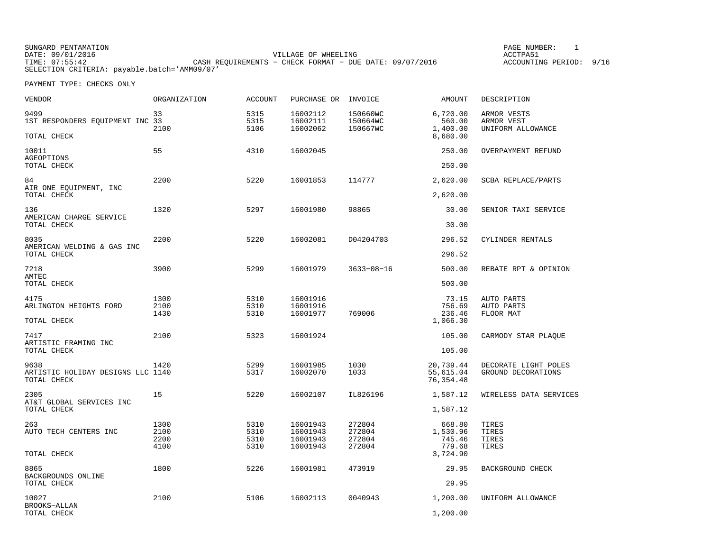SUNGARD PENTAMATION PAGE NUMBER: 1DATE: 09/01/2016 VILLAGE OF WHEELING ACCTPA51TIMES CASH REQUIREMENTS - CHECK FORMAT - DUE DATE: 09/07/2016 SELECTION CRITERIA: payable.batch='AMM09/07'

ACCOUNTING PERIOD: 9/16

| VENDOR                                                   | <b>ORGANIZATION</b>          | <b>ACCOUNT</b>               | PURCHASE OR INVOICE                          |                                      | AMOUNT                                     | DESCRIPTION                                    |
|----------------------------------------------------------|------------------------------|------------------------------|----------------------------------------------|--------------------------------------|--------------------------------------------|------------------------------------------------|
| 9499<br>1ST RESPONDERS EQUIPMENT INC 33<br>TOTAL CHECK   | 33<br>2100                   | 5315<br>5315<br>5106         | 16002112<br>16002111<br>16002062             | 150660WC<br>150664WC<br>150667WC     | 6,720.00<br>560.00<br>1,400.00<br>8,680.00 | ARMOR VESTS<br>ARMOR VEST<br>UNIFORM ALLOWANCE |
| 10011                                                    | 55                           | 4310                         | 16002045                                     |                                      | 250.00                                     | OVERPAYMENT REFUND                             |
| AGEOPTIONS<br>TOTAL CHECK                                |                              |                              |                                              |                                      | 250.00                                     |                                                |
| 84<br>AIR ONE EQUIPMENT, INC                             | 2200                         | 5220                         | 16001853                                     | 114777                               | 2,620.00                                   | SCBA REPLACE/PARTS                             |
| TOTAL CHECK                                              |                              |                              |                                              |                                      | 2,620.00                                   |                                                |
| 136<br>AMERICAN CHARGE SERVICE                           | 1320                         | 5297                         | 16001980                                     | 98865                                | 30.00                                      | SENIOR TAXI SERVICE                            |
| TOTAL CHECK                                              |                              |                              |                                              |                                      | 30.00                                      |                                                |
| 8035<br>AMERICAN WELDING & GAS INC                       | 2200                         | 5220                         | 16002081                                     | D04204703                            | 296.52                                     | CYLINDER RENTALS                               |
| TOTAL CHECK                                              |                              |                              |                                              |                                      | 296.52                                     |                                                |
| 7218<br>AMTEC                                            | 3900                         | 5299                         | 16001979                                     | $3633 - 08 - 16$                     | 500.00                                     | REBATE RPT & OPINION                           |
| TOTAL CHECK                                              |                              |                              |                                              |                                      | 500.00                                     |                                                |
| 4175<br>ARLINGTON HEIGHTS FORD<br>TOTAL CHECK            | 1300<br>2100<br>1430         | 5310<br>5310<br>5310         | 16001916<br>16001916<br>16001977             | 769006                               | 73.15<br>756.69<br>236.46<br>1,066.30      | AUTO PARTS<br>AUTO PARTS<br>FLOOR MAT          |
|                                                          | 2100                         | 5323                         |                                              |                                      |                                            |                                                |
| 7417<br>ARTISTIC FRAMING INC<br>TOTAL CHECK              |                              |                              | 16001924                                     |                                      | 105.00<br>105.00                           | CARMODY STAR PLAOUE                            |
| 9638<br>ARTISTIC HOLIDAY DESIGNS LLC 1140<br>TOTAL CHECK | 1420                         | 5299<br>5317                 | 16001985<br>16002070                         | 1030<br>1033                         | 20,739.44<br>55,615.04<br>76, 354.48       | DECORATE LIGHT POLES<br>GROUND DECORATIONS     |
| 2305                                                     | 15                           | 5220                         | 16002107                                     | IL826196                             | 1,587.12                                   | WIRELESS DATA SERVICES                         |
| AT&T GLOBAL SERVICES INC<br>TOTAL CHECK                  |                              |                              |                                              |                                      | 1,587.12                                   |                                                |
| 263<br>AUTO TECH CENTERS INC                             | 1300<br>2100<br>2200<br>4100 | 5310<br>5310<br>5310<br>5310 | 16001943<br>16001943<br>16001943<br>16001943 | 272804<br>272804<br>272804<br>272804 | 668.80<br>1,530.96<br>745.46<br>779.68     | TIRES<br>TIRES<br>TIRES<br>TIRES               |
| TOTAL CHECK                                              |                              |                              |                                              |                                      | 3,724.90                                   |                                                |
| 8865<br>BACKGROUNDS ONLINE                               | 1800                         | 5226                         | 16001981                                     | 473919                               | 29.95                                      | BACKGROUND CHECK                               |
| TOTAL CHECK                                              |                              |                              |                                              |                                      | 29.95                                      |                                                |
| 10027<br>BROOKS-ALLAN<br>TOTAL CHECK                     | 2100                         | 5106                         | 16002113                                     | 0040943                              | 1,200.00<br>1,200.00                       | UNIFORM ALLOWANCE                              |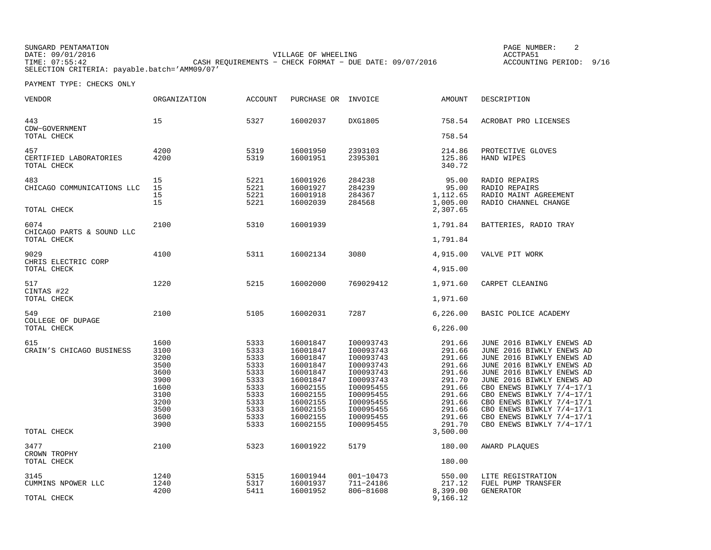SUNGARD PENTAMATION PAGE NUMBER: 2DATE: 09/01/2016 VILLAGE OF WHEELING ACCTPA51ACCOUNTING PERIOD: 9/16 TIME: 07:55:42 CASH REQUIREMENTS − CHECK FORMAT − DUE DATE: 09/07/2016 ACCOUNTING PERIOD: 9/16SELECTION CRITERIA: payable.batch='AMM09/07'

| VENDOR                                           | ORGANIZATION                                                                                 | <b>ACCOUNT</b>                                                                               | PURCHASE OR                                                                                                                                  | INVOICE                                                                                                                                                  | AMOUNT                                                                                                               | DESCRIPTION                                                                                                                                                                                                                                                                                                                                              |
|--------------------------------------------------|----------------------------------------------------------------------------------------------|----------------------------------------------------------------------------------------------|----------------------------------------------------------------------------------------------------------------------------------------------|----------------------------------------------------------------------------------------------------------------------------------------------------------|----------------------------------------------------------------------------------------------------------------------|----------------------------------------------------------------------------------------------------------------------------------------------------------------------------------------------------------------------------------------------------------------------------------------------------------------------------------------------------------|
| 443<br>CDW-GOVERNMENT                            | 15                                                                                           | 5327                                                                                         | 16002037                                                                                                                                     | <b>DXG1805</b>                                                                                                                                           | 758.54<br>758.54                                                                                                     | ACROBAT PRO LICENSES                                                                                                                                                                                                                                                                                                                                     |
| TOTAL CHECK                                      |                                                                                              |                                                                                              |                                                                                                                                              |                                                                                                                                                          |                                                                                                                      |                                                                                                                                                                                                                                                                                                                                                          |
| 457<br>CERTIFIED LABORATORIES<br>TOTAL CHECK     | 4200<br>4200                                                                                 | 5319<br>5319                                                                                 | 16001950<br>16001951                                                                                                                         | 2393103<br>2395301                                                                                                                                       | 214.86<br>125.86<br>340.72                                                                                           | PROTECTIVE GLOVES<br>HAND WIPES                                                                                                                                                                                                                                                                                                                          |
| 483<br>CHICAGO COMMUNICATIONS LLC<br>TOTAL CHECK | 15<br>15<br>15<br>15                                                                         | 5221<br>5221<br>5221<br>5221                                                                 | 16001926<br>16001927<br>16001918<br>16002039                                                                                                 | 284238<br>284239<br>284367<br>284568                                                                                                                     | 95.00<br>95.00<br>1,112.65<br>1,005.00<br>2,307.65                                                                   | RADIO REPAIRS<br>RADIO REPAIRS<br>RADIO MAINT AGREEMENT<br>RADIO CHANNEL CHANGE                                                                                                                                                                                                                                                                          |
| 6074<br>CHICAGO PARTS & SOUND LLC                | 2100                                                                                         | 5310                                                                                         | 16001939                                                                                                                                     |                                                                                                                                                          | 1,791.84                                                                                                             | BATTERIES, RADIO TRAY                                                                                                                                                                                                                                                                                                                                    |
| TOTAL CHECK                                      |                                                                                              |                                                                                              |                                                                                                                                              |                                                                                                                                                          | 1,791.84                                                                                                             |                                                                                                                                                                                                                                                                                                                                                          |
| 9029<br>CHRIS ELECTRIC CORP                      | 4100                                                                                         | 5311                                                                                         | 16002134                                                                                                                                     | 3080                                                                                                                                                     | 4,915.00                                                                                                             | VALVE PIT WORK                                                                                                                                                                                                                                                                                                                                           |
| TOTAL CHECK                                      |                                                                                              |                                                                                              |                                                                                                                                              |                                                                                                                                                          | 4,915.00                                                                                                             |                                                                                                                                                                                                                                                                                                                                                          |
| 517<br>CINTAS #22                                | 1220                                                                                         | 5215                                                                                         | 16002000                                                                                                                                     | 769029412                                                                                                                                                | 1,971.60                                                                                                             | CARPET CLEANING                                                                                                                                                                                                                                                                                                                                          |
| TOTAL CHECK                                      |                                                                                              |                                                                                              |                                                                                                                                              |                                                                                                                                                          | 1,971.60                                                                                                             |                                                                                                                                                                                                                                                                                                                                                          |
| 549<br>COLLEGE OF DUPAGE                         | 2100                                                                                         | 5105                                                                                         | 16002031                                                                                                                                     | 7287                                                                                                                                                     | 6, 226.00                                                                                                            | BASIC POLICE ACADEMY                                                                                                                                                                                                                                                                                                                                     |
| TOTAL CHECK                                      |                                                                                              |                                                                                              |                                                                                                                                              |                                                                                                                                                          | 6,226.00                                                                                                             |                                                                                                                                                                                                                                                                                                                                                          |
| 615<br>CRAIN'S CHICAGO BUSINESS                  | 1600<br>3100<br>3200<br>3500<br>3600<br>3900<br>1600<br>3100<br>3200<br>3500<br>3600<br>3900 | 5333<br>5333<br>5333<br>5333<br>5333<br>5333<br>5333<br>5333<br>5333<br>5333<br>5333<br>5333 | 16001847<br>16001847<br>16001847<br>16001847<br>16001847<br>16001847<br>16002155<br>16002155<br>16002155<br>16002155<br>16002155<br>16002155 | I00093743<br>I00093743<br>I00093743<br>I00093743<br>I00093743<br>I00093743<br>I00095455<br>I00095455<br>I00095455<br>I00095455<br>I00095455<br>I00095455 | 291.66<br>291.66<br>291.66<br>291.66<br>291.66<br>291.70<br>291.66<br>291.66<br>291.66<br>291.66<br>291.66<br>291.70 | JUNE 2016 BIWKLY ENEWS AD<br>JUNE 2016 BIWKLY ENEWS AD<br>JUNE 2016 BIWKLY ENEWS AD<br>JUNE 2016 BIWKLY ENEWS AD<br>JUNE 2016 BIWKLY ENEWS AD<br>JUNE 2016 BIWKLY ENEWS AD<br>CBO ENEWS BIWKLY 7/4-17/1<br>CBO ENEWS BIWKLY 7/4-17/1<br>CBO ENEWS BIWKLY 7/4-17/1<br>CBO ENEWS BIWKLY 7/4-17/1<br>CBO ENEWS BIWKLY 7/4-17/1<br>CBO ENEWS BIWKLY 7/4-17/1 |
| TOTAL CHECK                                      |                                                                                              |                                                                                              |                                                                                                                                              |                                                                                                                                                          | 3,500.00                                                                                                             |                                                                                                                                                                                                                                                                                                                                                          |
| 3477<br>CROWN TROPHY                             | 2100                                                                                         | 5323                                                                                         | 16001922                                                                                                                                     | 5179                                                                                                                                                     | 180.00                                                                                                               | AWARD PLAQUES                                                                                                                                                                                                                                                                                                                                            |
| TOTAL CHECK                                      |                                                                                              |                                                                                              |                                                                                                                                              |                                                                                                                                                          | 180.00                                                                                                               |                                                                                                                                                                                                                                                                                                                                                          |
| 3145<br>CUMMINS NPOWER LLC<br>TOTAL CHECK        | 1240<br>1240<br>4200                                                                         | 5315<br>5317<br>5411                                                                         | 16001944<br>16001937<br>16001952                                                                                                             | 001-10473<br>711-24186<br>806-81608                                                                                                                      | 550.00<br>217.12<br>8,399.00<br>9,166.12                                                                             | LITE REGISTRATION<br>FUEL PUMP TRANSFER<br><b>GENERATOR</b>                                                                                                                                                                                                                                                                                              |
|                                                  |                                                                                              |                                                                                              |                                                                                                                                              |                                                                                                                                                          |                                                                                                                      |                                                                                                                                                                                                                                                                                                                                                          |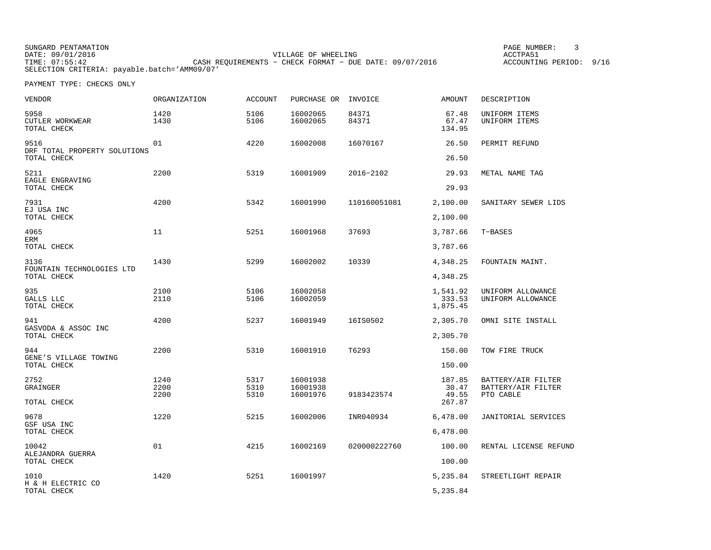SUNGARD PENTAMATION<br>
PAGE NUMBER: 3<br>
PAGE NUMBER: 3<br>
PAGE NUMBER: 3<br>
PAGE NUMBER: 3<br>
PAGE NUMBER: 3 DATE: 09/01/2016 VILLAGE OF WHEELING ACCTPA51 TIME: 07:55:42 CASH REQUIREMENTS − CHECK FORMAT − DUE DATE: 09/07/2016 ACCOUNTING PERIOD: 9/16SELECTION CRITERIA: payable.batch='AMM09/07'

| VENDOR                                              | ORGANIZATION         | <b>ACCOUNT</b>       | PURCHASE OR                      | INVOICE        | <b>AMOUNT</b>                      | DESCRIPTION                                           |
|-----------------------------------------------------|----------------------|----------------------|----------------------------------|----------------|------------------------------------|-------------------------------------------------------|
| 5958<br>CUTLER WORKWEAR<br>TOTAL CHECK              | 1420<br>1430         | 5106<br>5106         | 16002065<br>16002065             | 84371<br>84371 | 67.48<br>67.47<br>134.95           | UNIFORM ITEMS<br>UNIFORM ITEMS                        |
| 9516<br>DRF TOTAL PROPERTY SOLUTIONS<br>TOTAL CHECK | 01                   | 4220                 | 16002008                         | 16070167       | 26.50<br>26.50                     | PERMIT REFUND                                         |
| 5211<br>EAGLE ENGRAVING<br>TOTAL CHECK              | 2200                 | 5319                 | 16001909                         | 2016-2102      | 29.93<br>29.93                     | METAL NAME TAG                                        |
| 7931<br>EJ USA INC<br>TOTAL CHECK                   | 4200                 | 5342                 | 16001990                         | 110160051081   | 2,100.00<br>2,100.00               | SANITARY SEWER LIDS                                   |
| 4965<br>ERM<br>TOTAL CHECK                          | 11                   | 5251                 | 16001968                         | 37693          | 3,787.66<br>3,787.66               | T-BASES                                               |
| 3136<br>FOUNTAIN TECHNOLOGIES LTD<br>TOTAL CHECK    | 1430                 | 5299                 | 16002002                         | 10339          | 4,348.25<br>4,348.25               | FOUNTAIN MAINT.                                       |
| 935<br>GALLS LLC<br>TOTAL CHECK                     | 2100<br>2110         | 5106<br>5106         | 16002058<br>16002059             |                | 1,541.92<br>333.53<br>1,875.45     | UNIFORM ALLOWANCE<br>UNIFORM ALLOWANCE                |
| 941<br>GASVODA & ASSOC INC<br>TOTAL CHECK           | 4200                 | 5237                 | 16001949                         | 16IS0502       | 2,305.70<br>2,305.70               | OMNI SITE INSTALL                                     |
| 944<br>GENE'S VILLAGE TOWING<br>TOTAL CHECK         | 2200                 | 5310                 | 16001910                         | T6293          | 150.00<br>150.00                   | TOW FIRE TRUCK                                        |
| 2752<br>GRAINGER<br>TOTAL CHECK                     | 1240<br>2200<br>2200 | 5317<br>5310<br>5310 | 16001938<br>16001938<br>16001976 | 9183423574     | 187.85<br>30.47<br>49.55<br>267.87 | BATTERY/AIR FILTER<br>BATTERY/AIR FILTER<br>PTO CABLE |
| 9678<br>GSF USA INC<br>TOTAL CHECK                  | 1220                 | 5215                 | 16002006                         | INR040934      | 6,478.00<br>6,478.00               | JANITORIAL SERVICES                                   |
| 10042<br>ALEJANDRA GUERRA<br>TOTAL CHECK            | 01                   | 4215                 | 16002169                         | 020000222760   | 100.00<br>100.00                   | RENTAL LICENSE REFUND                                 |
| 1010<br>H & H ELECTRIC CO<br>TOTAL CHECK            | 1420                 | 5251                 | 16001997                         |                | 5,235.84<br>5,235.84               | STREETLIGHT REPAIR                                    |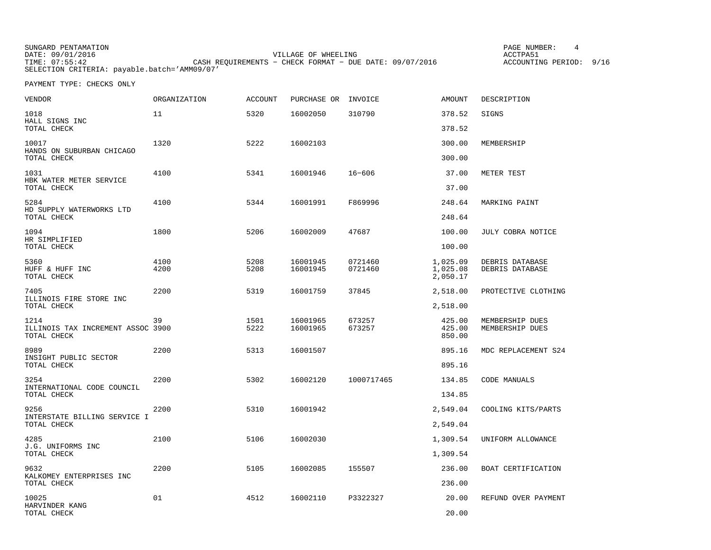| SUNGARD PENTAMATION                          |                                                         | PAGE NUMBER:            |  |
|----------------------------------------------|---------------------------------------------------------|-------------------------|--|
| DATE: 09/01/2016                             | VILLAGE OF WHEELING                                     | ACCTPA51                |  |
| TIME: 07:55:42                               | CASH REOUIREMENTS - CHECK FORMAT - DUE DATE: 09/07/2016 | ACCOUNTING PERIOD: 9/16 |  |
| SELECTION CRITERIA: payable.batch='AMM09/07' |                                                         |                         |  |

| VENDOR                                                   | ORGANIZATION | <b>ACCOUNT</b> | PURCHASE OR INVOICE  |                    | AMOUNT                           | DESCRIPTION                        |
|----------------------------------------------------------|--------------|----------------|----------------------|--------------------|----------------------------------|------------------------------------|
| 1018<br>HALL SIGNS INC                                   | 11           | 5320           | 16002050             | 310790             | 378.52                           | SIGNS                              |
| TOTAL CHECK                                              |              |                |                      |                    | 378.52                           |                                    |
| 10017<br>HANDS ON SUBURBAN CHICAGO                       | 1320         | 5222           | 16002103             |                    | 300.00                           | MEMBERSHIP                         |
| TOTAL CHECK                                              |              |                |                      |                    | 300.00                           |                                    |
| 1031<br>HBK WATER METER SERVICE                          | 4100         | 5341           | 16001946             | $16 - 606$         | 37.00                            | METER TEST                         |
| TOTAL CHECK                                              |              |                |                      |                    | 37.00                            |                                    |
| 5284<br>HD SUPPLY WATERWORKS LTD                         | 4100         | 5344           | 16001991             | F869996            | 248.64                           | MARKING PAINT                      |
| TOTAL CHECK                                              |              |                |                      |                    | 248.64                           |                                    |
| 1094<br>HR SIMPLIFIED                                    | 1800         | 5206           | 16002009             | 47687              | 100.00                           | JULY COBRA NOTICE                  |
| TOTAL CHECK                                              |              |                |                      |                    | 100.00                           |                                    |
| 5360<br>HUFF & HUFF INC<br>TOTAL CHECK                   | 4100<br>4200 | 5208<br>5208   | 16001945<br>16001945 | 0721460<br>0721460 | 1,025.09<br>1,025.08<br>2,050.17 | DEBRIS DATABASE<br>DEBRIS DATABASE |
| 7405                                                     | 2200         | 5319           | 16001759             | 37845              | 2,518.00                         | PROTECTIVE CLOTHING                |
| ILLINOIS FIRE STORE INC<br>TOTAL CHECK                   |              |                |                      |                    | 2,518.00                         |                                    |
| 1214<br>ILLINOIS TAX INCREMENT ASSOC 3900<br>TOTAL CHECK | 39           | 1501<br>5222   | 16001965<br>16001965 | 673257<br>673257   | 425.00<br>425.00<br>850.00       | MEMBERSHIP DUES<br>MEMBERSHIP DUES |
| 8989                                                     | 2200         | 5313           | 16001507             |                    | 895.16                           | MDC REPLACEMENT S24                |
| INSIGHT PUBLIC SECTOR<br>TOTAL CHECK                     |              |                |                      |                    | 895.16                           |                                    |
| 3254                                                     | 2200         | 5302           | 16002120             | 1000717465         | 134.85                           | CODE MANUALS                       |
| INTERNATIONAL CODE COUNCIL<br>TOTAL CHECK                |              |                |                      |                    | 134.85                           |                                    |
| 9256<br>INTERSTATE BILLING SERVICE I                     | 2200         | 5310           | 16001942             |                    | 2,549.04                         | COOLING KITS/PARTS                 |
| TOTAL CHECK                                              |              |                |                      |                    | 2,549.04                         |                                    |
| 4285<br>J.G. UNIFORMS INC                                | 2100         | 5106           | 16002030             |                    | 1,309.54                         | UNIFORM ALLOWANCE                  |
| TOTAL CHECK                                              |              |                |                      |                    | 1,309.54                         |                                    |
| 9632<br>KALKOMEY ENTERPRISES INC                         | 2200         | 5105           | 16002085             | 155507             | 236.00                           | BOAT CERTIFICATION                 |
| TOTAL CHECK                                              |              |                |                      |                    | 236.00                           |                                    |
| 10025<br>HARVINDER KANG                                  | 01           | 4512           | 16002110             | P3322327           | 20.00                            | REFUND OVER PAYMENT                |
| TOTAL CHECK                                              |              |                |                      |                    | 20.00                            |                                    |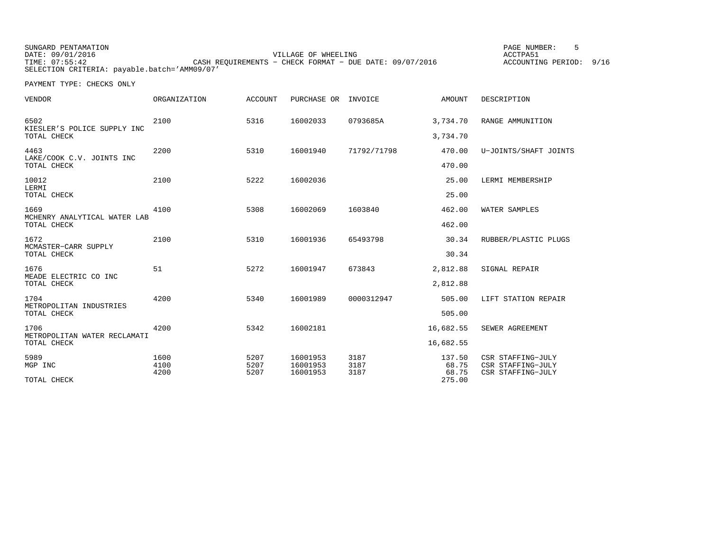SUNGARD PENTAMATION PAGE NUMBER: 5VILLAGE OF WHEELING **ACCTPA51** TIME: 07:55:42 CASH REQUIREMENTS − CHECK FORMAT − DUE DATE: 09/07/2016 SELECTION CRITERIA: payable.batch='AMM09/07'

ACCOUNTING PERIOD: 9/16

| <b>VENDOR</b>                                       | <b>ORGANIZATION</b>  | <b>ACCOUNT</b>       | PURCHASE OR                      | INVOICE              | AMOUNT                             | DESCRIPTION                                                 |
|-----------------------------------------------------|----------------------|----------------------|----------------------------------|----------------------|------------------------------------|-------------------------------------------------------------|
| 6502<br>KIESLER'S POLICE SUPPLY INC<br>TOTAL CHECK  | 2100                 | 5316                 | 16002033                         | 0793685A             | 3,734.70<br>3,734.70               | RANGE AMMUNITION                                            |
| 4463<br>LAKE/COOK C.V. JOINTS INC<br>TOTAL CHECK    | 2200                 | 5310                 | 16001940                         | 71792/71798          | 470.00<br>470.00                   | U-JOINTS/SHAFT JOINTS                                       |
| 10012<br>LERMI<br>TOTAL CHECK                       | 2100                 | 5222                 | 16002036                         |                      | 25.00<br>25.00                     | LERMI MEMBERSHIP                                            |
| 1669<br>MCHENRY ANALYTICAL WATER LAB<br>TOTAL CHECK | 4100                 | 5308                 | 16002069                         | 1603840              | 462.00<br>462.00                   | WATER SAMPLES                                               |
| 1672<br>MCMASTER-CARR SUPPLY<br>TOTAL CHECK         | 2100                 | 5310                 | 16001936                         | 65493798             | 30.34<br>30.34                     | RUBBER/PLASTIC PLUGS                                        |
| 1676<br>MEADE ELECTRIC CO INC<br>TOTAL CHECK        | 51                   | 5272                 | 16001947                         | 673843               | 2,812.88<br>2,812.88               | SIGNAL REPAIR                                               |
| 1704<br>METROPOLITAN INDUSTRIES<br>TOTAL CHECK      | 4200                 | 5340                 | 16001989                         | 0000312947           | 505.00<br>505.00                   | LIFT STATION REPAIR                                         |
| 1706<br>METROPOLITAN WATER RECLAMATI<br>TOTAL CHECK | 4200                 | 5342                 | 16002181                         |                      | 16,682.55<br>16,682.55             | SEWER AGREEMENT                                             |
| 5989<br>MGP INC<br>TOTAL CHECK                      | 1600<br>4100<br>4200 | 5207<br>5207<br>5207 | 16001953<br>16001953<br>16001953 | 3187<br>3187<br>3187 | 137.50<br>68.75<br>68.75<br>275.00 | CSR STAFFING-JULY<br>CSR STAFFING-JULY<br>CSR STAFFING-JULY |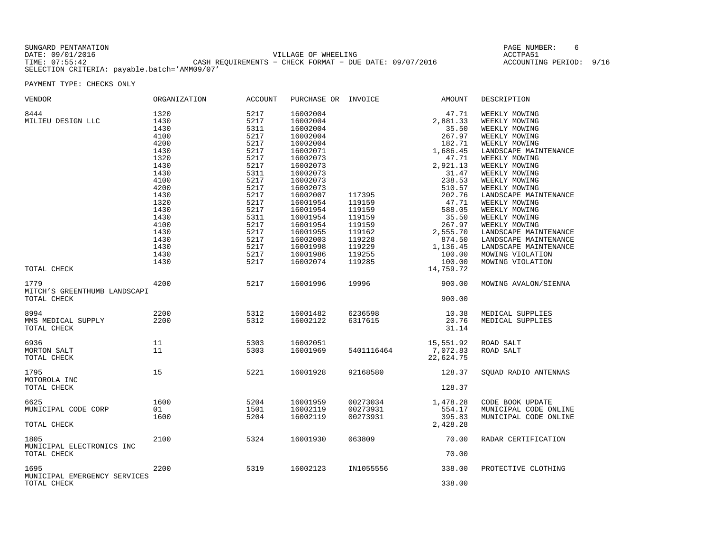| SUNGARD PENTAMATION |                                                         | PAGE NUMBER:      |
|---------------------|---------------------------------------------------------|-------------------|
| DATE: 09/01/2016    | VILLAGE OF WHEELING                                     | ACCTPA51          |
| TIME: 07:55:42      | CASH REOUIREMENTS - CHECK FORMAT - DUE DATE: 09/07/2016 | ACCOUNTING PERIOD |
|                     | SELECTION CRITERIA: payable.batch='AMM09/07'            |                   |

 $J$  PERIOD: 9/16

| VENDOR<br>8444<br>MILIEU DESIGN LLC<br>TOTAL CHECK  | ORGANIZATION<br>1320<br>1430<br>1430<br>4100<br>4200<br>1430<br>1320<br>1430<br>1430<br>4100<br>4200<br>1430<br>1320<br>1430<br>1430<br>4100<br>1430<br>1430<br>1430<br>1430<br>1430 | ACCOUNT<br>5217<br>5217<br>5311<br>5217<br>5217<br>5217<br>5217<br>5217<br>5311<br>5217<br>5217<br>5217<br>5217<br>5217<br>5311<br>5217<br>5217<br>5217<br>5217<br>5217<br>5217 | PURCHASE OR INVOICE<br>16002004<br>16002004<br>16002004<br>16002004<br>16002004<br>16002071<br>16002073<br>16002073<br>16002073<br>16002073<br>16002073<br>16002007<br>16001954<br>16001954<br>16001954<br>16001954<br>16001955<br>16002003<br>16001998<br>16001986<br>16002074 | 117395<br>119159<br>119159<br>119159<br>119159<br>119162<br>119228<br>119229<br>119255<br>119285 | AMOUNT<br>47.71<br>2,881.33<br>35.50<br>267.97<br>182.71<br>1,686.45<br>47.71<br>2,921.13<br>31.47<br>238.53<br>510.57<br>202.76<br>47.71<br>588.05<br>35.50<br>267.97<br>2,555.70<br>874.50<br>1,136.45<br>100.00<br>100.00<br>14,759.72 | DESCRIPTION<br>WEEKLY MOWING<br>WEEKLY MOWING<br>WEEKLY MOWING<br>WEEKLY MOWING<br>WEEKLY MOWING<br>LANDSCAPE MAINTENANCE<br>WEEKLY MOWING<br>WEEKLY MOWING<br>WEEKLY MOWING<br>WEEKLY MOWING<br>WEEKLY MOWING<br>LANDSCAPE MAINTENANCE<br>WEEKLY MOWING<br>WEEKLY MOWING<br>WEEKLY MOWING<br>WEEKLY MOWING<br>LANDSCAPE MAINTENANCE<br>LANDSCAPE MAINTENANCE<br>LANDSCAPE MAINTENANCE<br>MOWING VIOLATION<br>MOWING VIOLATION |
|-----------------------------------------------------|--------------------------------------------------------------------------------------------------------------------------------------------------------------------------------------|---------------------------------------------------------------------------------------------------------------------------------------------------------------------------------|---------------------------------------------------------------------------------------------------------------------------------------------------------------------------------------------------------------------------------------------------------------------------------|--------------------------------------------------------------------------------------------------|-------------------------------------------------------------------------------------------------------------------------------------------------------------------------------------------------------------------------------------------|--------------------------------------------------------------------------------------------------------------------------------------------------------------------------------------------------------------------------------------------------------------------------------------------------------------------------------------------------------------------------------------------------------------------------------|
| 1779<br>MITCH'S GREENTHUMB LANDSCAPI<br>TOTAL CHECK | 4200                                                                                                                                                                                 | 5217                                                                                                                                                                            | 16001996                                                                                                                                                                                                                                                                        | 19996                                                                                            | 900.00<br>900.00                                                                                                                                                                                                                          | MOWING AVALON/SIENNA                                                                                                                                                                                                                                                                                                                                                                                                           |
| 8994<br>MMS MEDICAL SUPPLY<br>TOTAL CHECK           | 2200<br>2200                                                                                                                                                                         | 5312<br>5312                                                                                                                                                                    | 16001482<br>16002122                                                                                                                                                                                                                                                            | 6236598<br>6317615                                                                               | 10.38<br>20.76<br>31.14                                                                                                                                                                                                                   | MEDICAL SUPPLIES<br>MEDICAL SUPPLIES                                                                                                                                                                                                                                                                                                                                                                                           |
| 6936<br>MORTON SALT<br>TOTAL CHECK                  | 11<br>11                                                                                                                                                                             | 5303<br>5303                                                                                                                                                                    | 16002051<br>16001969                                                                                                                                                                                                                                                            | 5401116464                                                                                       | 15,551.92<br>7,072.83<br>22,624.75                                                                                                                                                                                                        | ROAD SALT<br>ROAD SALT                                                                                                                                                                                                                                                                                                                                                                                                         |
| 1795<br>MOTOROLA INC<br>TOTAL CHECK                 | 15                                                                                                                                                                                   | 5221                                                                                                                                                                            | 16001928                                                                                                                                                                                                                                                                        | 92168580                                                                                         | 128.37<br>128.37                                                                                                                                                                                                                          | SOUAD RADIO ANTENNAS                                                                                                                                                                                                                                                                                                                                                                                                           |
| 6625<br>MUNICIPAL CODE CORP<br>TOTAL CHECK          | 1600<br>01<br>1600                                                                                                                                                                   | 5204<br>1501<br>5204                                                                                                                                                            | 16001959<br>16002119<br>16002119                                                                                                                                                                                                                                                | 00273034<br>00273931<br>00273931                                                                 | 1,478.28<br>554.17<br>395.83<br>2,428.28                                                                                                                                                                                                  | CODE BOOK UPDATE<br>MUNICIPAL CODE ONLINE<br>MUNICIPAL CODE ONLINE                                                                                                                                                                                                                                                                                                                                                             |
| 1805<br>MUNICIPAL ELECTRONICS INC<br>TOTAL CHECK    | 2100                                                                                                                                                                                 | 5324                                                                                                                                                                            | 16001930                                                                                                                                                                                                                                                                        | 063809                                                                                           | 70.00<br>70.00                                                                                                                                                                                                                            | RADAR CERTIFICATION                                                                                                                                                                                                                                                                                                                                                                                                            |
| 1695<br>MUNICIPAL EMERGENCY SERVICES<br>TOTAL CHECK | 2200                                                                                                                                                                                 | 5319                                                                                                                                                                            | 16002123                                                                                                                                                                                                                                                                        | IN1055556                                                                                        | 338.00<br>338.00                                                                                                                                                                                                                          | PROTECTIVE CLOTHING                                                                                                                                                                                                                                                                                                                                                                                                            |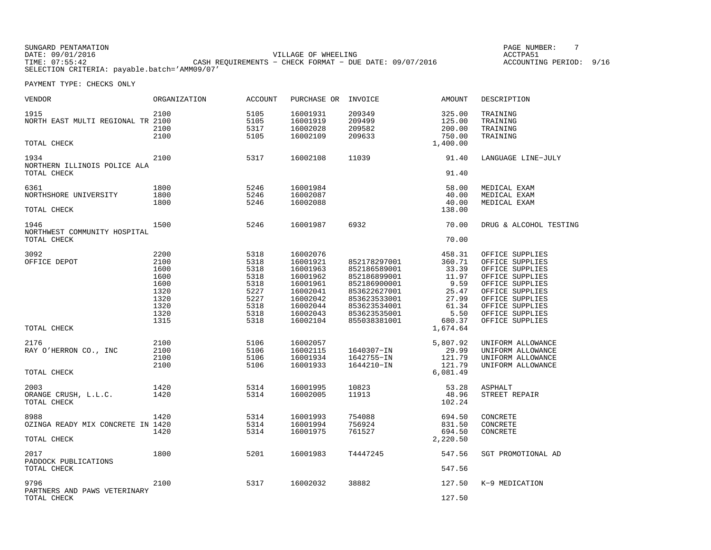SUNGARD PENTAMATION PAGE NUMBER: 7VILLAGE OF WHEELING **ACCTPA51** TIME: 07:55:42 CASH REQUIREMENTS − CHECK FORMAT − DUE DATE: 09/07/2016 SELECTION CRITERIA: payable.batch='AMM09/07'

ACCOUNTING PERIOD: 9/16

| VENDOR                                              | ORGANIZATION                                                                 | <b>ACCOUNT</b>                                                               | PURCHASE OR                                                                                                          | INVOICE                                                                                                                                      | <b>AMOUNT</b>                                                                           | DESCRIPTION                                                                                                                                                                                |
|-----------------------------------------------------|------------------------------------------------------------------------------|------------------------------------------------------------------------------|----------------------------------------------------------------------------------------------------------------------|----------------------------------------------------------------------------------------------------------------------------------------------|-----------------------------------------------------------------------------------------|--------------------------------------------------------------------------------------------------------------------------------------------------------------------------------------------|
| 1915<br>NORTH EAST MULTI REGIONAL TR 2100           | 2100<br>2100<br>2100                                                         | 5105<br>5105<br>5317<br>5105                                                 | 16001931<br>16001919<br>16002028<br>16002109                                                                         | 209349<br>209499<br>209582<br>209633                                                                                                         | 325.00<br>125.00<br>200.00<br>750.00                                                    | TRAINING<br>TRAINING<br>TRAINING<br>TRAINING                                                                                                                                               |
| TOTAL CHECK                                         |                                                                              |                                                                              |                                                                                                                      |                                                                                                                                              | 1,400.00                                                                                |                                                                                                                                                                                            |
| 1934<br>NORTHERN ILLINOIS POLICE ALA<br>TOTAL CHECK | 2100                                                                         | 5317                                                                         | 16002108                                                                                                             | 11039                                                                                                                                        | 91.40<br>91.40                                                                          | LANGUAGE LINE-JULY                                                                                                                                                                         |
| 6361<br>NORTHSHORE UNIVERSITY<br>TOTAL CHECK        | 1800<br>1800<br>1800                                                         | 5246<br>5246<br>5246                                                         | 16001984<br>16002087<br>16002088                                                                                     |                                                                                                                                              | 58.00<br>40.00<br>40.00<br>138.00                                                       | MEDICAL EXAM<br>MEDICAL EXAM<br>MEDICAL EXAM                                                                                                                                               |
| 1946<br>NORTHWEST COMMUNITY HOSPITAL<br>TOTAL CHECK | 1500                                                                         | 5246                                                                         | 16001987                                                                                                             | 6932                                                                                                                                         | 70.00<br>70.00                                                                          | DRUG & ALCOHOL TESTING                                                                                                                                                                     |
| 3092<br>OFFICE DEPOT                                | 2200<br>2100<br>1600<br>1600<br>1600<br>1320<br>1320<br>1320<br>1320<br>1315 | 5318<br>5318<br>5318<br>5318<br>5318<br>5227<br>5227<br>5318<br>5318<br>5318 | 16002076<br>16001921<br>16001963<br>16001962<br>16001961<br>16002041<br>16002042<br>16002044<br>16002043<br>16002104 | 852178297001<br>852186589001<br>852186899001<br>852186900001<br>853622627001<br>853623533001<br>853623534001<br>853623535001<br>855038381001 | 458.31<br>360.71<br>33.39<br>11.97<br>9.59<br>25.47<br>27.99<br>61.34<br>5.50<br>680.37 | OFFICE SUPPLIES<br>OFFICE SUPPLIES<br>OFFICE SUPPLIES<br>OFFICE SUPPLIES<br>OFFICE SUPPLIES<br>OFFICE SUPPLIES<br>OFFICE SUPPLIES<br>OFFICE SUPPLIES<br>OFFICE SUPPLIES<br>OFFICE SUPPLIES |
| TOTAL CHECK                                         |                                                                              |                                                                              |                                                                                                                      |                                                                                                                                              | 1,674.64                                                                                |                                                                                                                                                                                            |
| 2176<br>RAY O'HERRON CO., INC                       | 2100<br>2100<br>2100<br>2100                                                 | 5106<br>5106<br>5106<br>5106                                                 | 16002057<br>16002115<br>16001934<br>16001933                                                                         | 1640307-IN<br>1642755-IN<br>1644210-IN                                                                                                       | 5,807.92<br>29.99<br>121.79<br>121.79                                                   | UNIFORM ALLOWANCE<br>UNIFORM ALLOWANCE<br>UNIFORM ALLOWANCE<br>UNIFORM ALLOWANCE                                                                                                           |
| TOTAL CHECK                                         |                                                                              |                                                                              |                                                                                                                      |                                                                                                                                              | 6,081.49                                                                                |                                                                                                                                                                                            |
| 2003<br>ORANGE CRUSH, L.L.C.<br>TOTAL CHECK         | 1420<br>1420                                                                 | 5314<br>5314                                                                 | 16001995<br>16002005                                                                                                 | 10823<br>11913                                                                                                                               | 53.28<br>48.96<br>102.24                                                                | <b>ASPHALT</b><br>STREET REPAIR                                                                                                                                                            |
| 8988<br>OZINGA READY MIX CONCRETE IN 1420           | 1420<br>1420                                                                 | 5314<br>5314<br>5314                                                         | 16001993<br>16001994<br>16001975                                                                                     | 754088<br>756924<br>761527                                                                                                                   | 694.50<br>831.50<br>694.50                                                              | CONCRETE<br>CONCRETE<br>CONCRETE                                                                                                                                                           |
| TOTAL CHECK                                         |                                                                              |                                                                              |                                                                                                                      |                                                                                                                                              | 2,220.50                                                                                |                                                                                                                                                                                            |
| 2017<br>PADDOCK PUBLICATIONS<br>TOTAL CHECK         | 1800                                                                         | 5201                                                                         | 16001983                                                                                                             | T4447245                                                                                                                                     | 547.56<br>547.56                                                                        | SGT PROMOTIONAL AD                                                                                                                                                                         |
| 9796<br>PARTNERS AND PAWS VETERINARY<br>TOTAL CHECK | 2100                                                                         | 5317                                                                         | 16002032                                                                                                             | 38882                                                                                                                                        | 127.50<br>127.50                                                                        | K-9 MEDICATION                                                                                                                                                                             |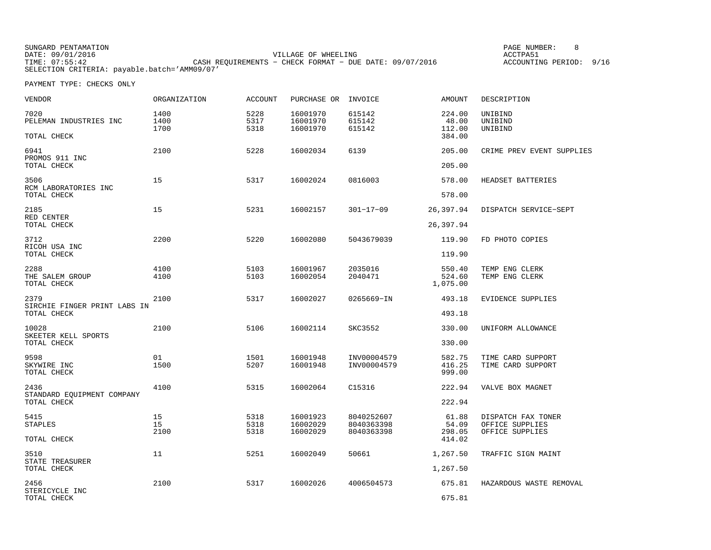| SUNGARD PENTAMATION                          |                                                         | PAGE NUMBER:               |
|----------------------------------------------|---------------------------------------------------------|----------------------------|
| DATE: 09/01/2016                             | VILLAGE OF WHEELING                                     | ACCTPA51                   |
| TIME: 07:55:42                               | CASH REOUIREMENTS - CHECK FORMAT - DUE DATE: 09/07/2016 | 9/16<br>ACCOUNTING PERIOD: |
| SELECTION CRITERIA: payable.batch='AMM09/07' |                                                         |                            |

NUMBER: 8

| VENDOR                                              | ORGANIZATION         | <b>ACCOUNT</b>       | PURCHASE OR                      | INVOICE                                | AMOUNT                              | DESCRIPTION                                              |
|-----------------------------------------------------|----------------------|----------------------|----------------------------------|----------------------------------------|-------------------------------------|----------------------------------------------------------|
| 7020<br>PELEMAN INDUSTRIES INC<br>TOTAL CHECK       | 1400<br>1400<br>1700 | 5228<br>5317<br>5318 | 16001970<br>16001970<br>16001970 | 615142<br>615142<br>615142             | 224.00<br>48.00<br>112.00<br>384.00 | UNIBIND<br>UNIBIND<br>UNIBIND                            |
| 6941<br>PROMOS 911 INC<br>TOTAL CHECK               | 2100                 | 5228                 | 16002034                         | 6139                                   | 205.00<br>205.00                    | CRIME PREV EVENT SUPPLIES                                |
| 3506<br>RCM LABORATORIES INC                        | 15                   | 5317                 | 16002024                         | 0816003                                | 578.00                              | HEADSET BATTERIES                                        |
| TOTAL CHECK                                         |                      |                      |                                  |                                        | 578.00                              |                                                          |
| 2185<br>RED CENTER<br>TOTAL CHECK                   | 15                   | 5231                 | 16002157                         | $301 - 17 - 09$                        | 26,397.94<br>26,397.94              | DISPATCH SERVICE-SEPT                                    |
| 3712                                                | 2200                 | 5220                 | 16002080                         | 5043679039                             | 119.90                              | FD PHOTO COPIES                                          |
| RICOH USA INC<br>TOTAL CHECK                        |                      |                      |                                  |                                        | 119.90                              |                                                          |
| 2288<br>THE SALEM GROUP<br>TOTAL CHECK              | 4100<br>4100         | 5103<br>5103         | 16001967<br>16002054             | 2035016<br>2040471                     | 550.40<br>524.60<br>1,075.00        | TEMP ENG CLERK<br>TEMP ENG CLERK                         |
| 2379<br>SIRCHIE FINGER PRINT LABS IN<br>TOTAL CHECK | 2100                 | 5317                 | 16002027                         | 0265669-IN                             | 493.18<br>493.18                    | EVIDENCE SUPPLIES                                        |
| 10028<br>SKEETER KELL SPORTS<br>TOTAL CHECK         | 2100                 | 5106                 | 16002114                         | SKC3552                                | 330.00<br>330.00                    | UNIFORM ALLOWANCE                                        |
| 9598<br>SKYWIRE INC<br>TOTAL CHECK                  | 01<br>1500           | 1501<br>5207         | 16001948<br>16001948             | INV00004579<br>INV00004579             | 582.75<br>416.25<br>999.00          | TIME CARD SUPPORT<br>TIME CARD SUPPORT                   |
| 2436<br>STANDARD EOUIPMENT COMPANY<br>TOTAL CHECK   | 4100                 | 5315                 | 16002064                         | C15316                                 | 222.94<br>222.94                    | VALVE BOX MAGNET                                         |
| 5415<br><b>STAPLES</b>                              | 15<br>15<br>2100     | 5318<br>5318<br>5318 | 16001923<br>16002029<br>16002029 | 8040252607<br>8040363398<br>8040363398 | 61.88<br>54.09<br>298.05            | DISPATCH FAX TONER<br>OFFICE SUPPLIES<br>OFFICE SUPPLIES |
| TOTAL CHECK                                         |                      |                      |                                  |                                        | 414.02                              |                                                          |
| 3510<br>STATE TREASURER<br>TOTAL CHECK              | 11                   | 5251                 | 16002049                         | 50661                                  | 1,267.50<br>1,267.50                | TRAFFIC SIGN MAINT                                       |
|                                                     |                      |                      |                                  |                                        |                                     |                                                          |
| 2456<br>STERICYCLE INC<br>TOTAL CHECK               | 2100                 | 5317                 | 16002026                         | 4006504573                             | 675.81<br>675.81                    | HAZARDOUS WASTE REMOVAL                                  |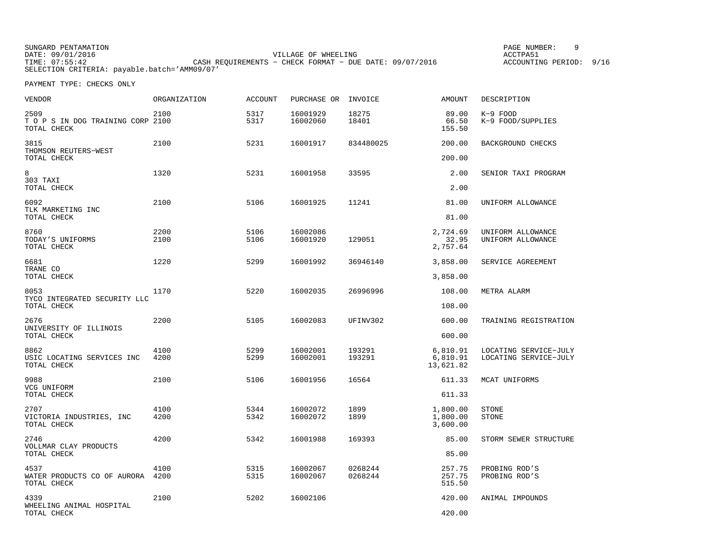SUNGARD PENTAMATION PAGE NUMBER: 9VILLAGE OF WHEELING **ACCTPA51** TIME: 07:55:42 CASH REQUIREMENTS − CHECK FORMAT − DUE DATE: 09/07/2016 SELECTION CRITERIA: payable.batch='AMM09/07'

ACCOUNTING PERIOD: 9/16

| <b>VENDOR</b>                                           | ORGANIZATION | <b>ACCOUNT</b> | PURCHASE OR          | INVOICE            | <b>AMOUNT</b>                     | DESCRIPTION                                    |
|---------------------------------------------------------|--------------|----------------|----------------------|--------------------|-----------------------------------|------------------------------------------------|
| 2509<br>TO P S IN DOG TRAINING CORP 2100<br>TOTAL CHECK | 2100         | 5317<br>5317   | 16001929<br>16002060 | 18275<br>18401     | 89.00<br>66.50<br>155.50          | $K-9$ FOOD<br>K-9 FOOD/SUPPLIES                |
| 3815<br>THOMSON REUTERS-WEST                            | 2100         | 5231           | 16001917             | 834480025          | 200.00                            | BACKGROUND CHECKS                              |
| TOTAL CHECK                                             |              |                |                      |                    | 200.00                            |                                                |
| 8<br>303 TAXI<br>TOTAL CHECK                            | 1320         | 5231           | 16001958             | 33595              | 2.00<br>2.00                      | SENIOR TAXI PROGRAM                            |
| 6092<br>TLK MARKETING INC                               | 2100         | 5106           | 16001925             | 11241              | 81.00                             | UNIFORM ALLOWANCE                              |
| TOTAL CHECK                                             |              |                |                      |                    | 81.00                             |                                                |
| 8760<br>TODAY'S UNIFORMS<br>TOTAL CHECK                 | 2200<br>2100 | 5106<br>5106   | 16002086<br>16001920 | 129051             | 2,724.69<br>32.95<br>2,757.64     | UNIFORM ALLOWANCE<br>UNIFORM ALLOWANCE         |
| 6681<br>TRANE CO                                        | 1220         | 5299           | 16001992             | 36946140           | 3,858.00                          | SERVICE AGREEMENT                              |
| TOTAL CHECK                                             |              |                |                      |                    | 3,858.00                          |                                                |
| 8053<br>TYCO INTEGRATED SECURITY LLC<br>TOTAL CHECK     | 1170         | 5220           | 16002035             | 26996996           | 108.00<br>108.00                  | METRA ALARM                                    |
| 2676                                                    | 2200         | 5105           | 16002083             | UFINV302           | 600.00                            | TRAINING REGISTRATION                          |
| UNIVERSITY OF ILLINOIS<br>TOTAL CHECK                   |              |                |                      |                    | 600.00                            |                                                |
| 8862<br>USIC LOCATING SERVICES INC<br>TOTAL CHECK       | 4100<br>4200 | 5299<br>5299   | 16002001<br>16002001 | 193291<br>193291   | 6,810.91<br>6,810.91<br>13,621.82 | LOCATING SERVICE-JULY<br>LOCATING SERVICE-JULY |
| 9988<br>VCG UNIFORM                                     | 2100         | 5106           | 16001956             | 16564              | 611.33                            | MCAT UNIFORMS                                  |
| TOTAL CHECK                                             |              |                |                      |                    | 611.33                            |                                                |
| 2707<br>VICTORIA INDUSTRIES, INC<br>TOTAL CHECK         | 4100<br>4200 | 5344<br>5342   | 16002072<br>16002072 | 1899<br>1899       | 1,800.00<br>1,800.00<br>3,600.00  | STONE<br>STONE                                 |
| 2746<br>VOLLMAR CLAY PRODUCTS                           | 4200         | 5342           | 16001988             | 169393             | 85.00                             | STORM SEWER STRUCTURE                          |
| TOTAL CHECK                                             |              |                |                      |                    | 85.00                             |                                                |
| 4537<br>WATER PRODUCTS CO OF AURORA<br>TOTAL CHECK      | 4100<br>4200 | 5315<br>5315   | 16002067<br>16002067 | 0268244<br>0268244 | 257.75<br>257.75<br>515.50        | PROBING ROD'S<br>PROBING ROD'S                 |
| 4339                                                    | 2100         | 5202           | 16002106             |                    | 420.00                            | ANIMAL IMPOUNDS                                |
| WHEELING ANIMAL HOSPITAL<br>TOTAL CHECK                 |              |                |                      |                    | 420.00                            |                                                |